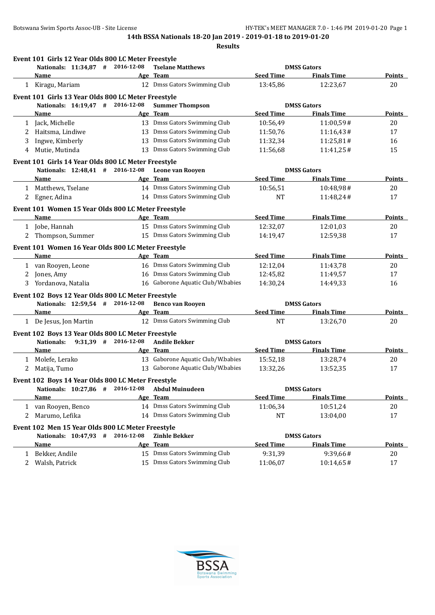|   | Nationals: 11:34,87 # 2016-12-08                                           |            | <b>Tselane Matthews</b>           |                  | <b>DMSS Gators</b> |               |
|---|----------------------------------------------------------------------------|------------|-----------------------------------|------------------|--------------------|---------------|
|   | Name                                                                       |            | Age Team                          | <b>Seed Time</b> | <b>Finals Time</b> | <b>Points</b> |
|   | 1 Kiragu, Mariam                                                           |            | 12 Dmss Gators Swimming Club      | 13:45,86         | 12:23,67           | 20            |
|   | Event 101 Girls 13 Year Olds 800 LC Meter Freestyle                        |            |                                   |                  |                    |               |
|   | Nationals: 14:19,47 # 2016-12-08                                           |            | <b>Summer Thompson</b>            |                  | <b>DMSS Gators</b> |               |
|   | Name                                                                       |            | Age Team                          | <b>Seed Time</b> | <b>Finals Time</b> | <b>Points</b> |
|   | 1 Jack, Michelle                                                           |            | 13 Dmss Gators Swimming Club      | 10:56,49         | 11:00,59#          | 20            |
| 2 | Haitsma, Lindiwe                                                           |            | 13 Dmss Gators Swimming Club      | 11:50,76         | 11:16,43#          | 17            |
| 3 | Ingwe, Kimberly                                                            |            | 13 Dmss Gators Swimming Club      | 11:32,34         | 11:25,81#          | 16            |
| 4 | Mutie, Mutinda                                                             |            | 13 Dmss Gators Swimming Club      | 11:56,68         | 11:41,25#          | 15            |
|   | Event 101 Girls 14 Year Olds 800 LC Meter Freestyle                        |            |                                   |                  |                    |               |
|   | Nationals: 12:48,41 # 2016-12-08                                           |            | Leone van Rooyen                  |                  | <b>DMSS Gators</b> |               |
|   | Name                                                                       |            | Age Team                          | <b>Seed Time</b> | <b>Finals Time</b> | <b>Points</b> |
|   | 1 Matthews, Tselane                                                        |            | 14 Dmss Gators Swimming Club      | 10:56,51         | 10:48,98#          | 20            |
| 2 | Egner, Adina                                                               |            | 14 Dmss Gators Swimming Club      | <b>NT</b>        | 11:48,24#          | 17            |
|   | Event 101 Women 15 Year Olds 800 LC Meter Freestyle                        |            |                                   |                  |                    |               |
|   | Name                                                                       |            | Age Team                          | <b>Seed Time</b> | <b>Finals Time</b> | <b>Points</b> |
|   | 1 Jobe, Hannah                                                             |            | 15 Dmss Gators Swimming Club      | 12:32,07         | 12:01.03           | 20            |
|   | 2 Thompson, Summer                                                         |            | 15 Dmss Gators Swimming Club      | 14:19,47         | 12:59,38           | 17            |
|   | Event 101 Women 16 Year Olds 800 LC Meter Freestyle                        |            |                                   |                  |                    |               |
|   | Name                                                                       |            | Age Team                          | <b>Seed Time</b> | <b>Finals Time</b> | <b>Points</b> |
|   | 1 van Rooyen, Leone                                                        |            | 16 Dmss Gators Swimming Club      | 12:12,04         | 11:43,78           | 20            |
| 2 | Jones, Amy                                                                 |            | 16 Dmss Gators Swimming Club      | 12:45,82         | 11:49,57           | 17            |
| 3 | Yordanova, Natalia                                                         |            | 16 Gaborone Aquatic Club/W.babies | 14:30,24         | 14:49,33           | 16            |
|   | Event 102 Boys 12 Year Olds 800 LC Meter Freestyle                         |            |                                   |                  |                    |               |
|   | Nationals: 12:59,54 # 2016-12-08                                           |            | <b>Benco van Rooyen</b>           |                  | <b>DMSS Gators</b> |               |
|   | Name                                                                       |            | Age Team                          | <b>Seed Time</b> | <b>Finals Time</b> | Points        |
|   | 1 De Jesus, Jon Martin                                                     |            | 12 Dmss Gators Swimming Club      | <b>NT</b>        | 13:26,70           | 20            |
|   | Event 102 Boys 13 Year Olds 800 LC Meter Freestyle                         |            |                                   |                  |                    |               |
|   | $9:31,39$ # 2016-12-08<br><b>Nationals:</b>                                |            | <b>Andile Bekker</b>              |                  | <b>DMSS Gators</b> |               |
|   | Name                                                                       |            | Age Team                          | <b>Seed Time</b> | <b>Finals Time</b> | <b>Points</b> |
| 1 | Molefe, Lerako                                                             |            | 13 Gaborone Aquatic Club/W.babies | 15:52,18         | 13:28,74           | 20            |
| 2 | Matija, Tumo                                                               |            | 13 Gaborone Aquatic Club/W.babies | 13:32,26         | 13:52,35           | 17            |
|   | Event 102 Boys 14 Year Olds 800 LC Meter Freestyle                         |            |                                   |                  |                    |               |
|   | Nationals: 10:27,86<br>#                                                   | 2016-12-08 | <b>Abdul Muinudeen</b>            |                  | <b>DMSS Gators</b> |               |
|   | Name                                                                       |            | Age Team                          | <b>Seed Time</b> | <b>Finals Time</b> | Points        |
|   | 1 van Rooyen, Benco                                                        |            | 14 Dmss Gators Swimming Club      | 11:06,34         | 10:51,24           | 20            |
| 2 | Marumo, Lefika                                                             |            | 14 Dmss Gators Swimming Club      | NT               | 13:04,00           | 17            |
|   |                                                                            |            |                                   |                  |                    |               |
|   | Event 102 Men 15 Year Olds 800 LC Meter Freestyle<br>Nationals: 10:47,93 # | 2016-12-08 | <b>Zinhle Bekker</b>              |                  | <b>DMSS Gators</b> |               |
|   | Name                                                                       |            | Age Team                          | <b>Seed Time</b> | <b>Finals Time</b> | <b>Points</b> |
| 1 | Bekker, Andile                                                             |            | 15 Dmss Gators Swimming Club      | 9:31,39          | 9:39,66#           | 20            |
| 2 | Walsh, Patrick                                                             |            | 15 Dmss Gators Swimming Club      | 11:06,07         | 10:14,65#          | 17            |
|   |                                                                            |            |                                   |                  |                    |               |

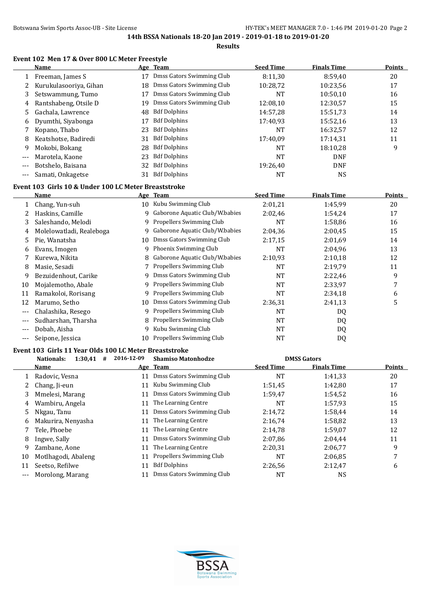**Results**

#### **Event 102 Men 17 & Over 800 LC Meter Freestyle**

|       | <b>Name</b>            |    | Age Team                  | <b>Seed Time</b> | <b>Finals Time</b> | Points |
|-------|------------------------|----|---------------------------|------------------|--------------------|--------|
|       | Freeman, James S       | 17 | Dmss Gators Swimming Club | 8:11.30          | 8:59.40            | 20     |
|       | Kurukulasooriya, Gihan | 18 | Dmss Gators Swimming Club | 10:28,72         | 10:23.56           | 17     |
|       | Setswammung, Tumo      | 17 | Dmss Gators Swimming Club | <b>NT</b>        | 10:50.10           | 16     |
| 4     | Rantshabeng, Otsile D  | 19 | Dmss Gators Swimming Club | 12:08.10         | 12:30,57           | 15     |
|       | Gachala, Lawrence      | 48 | <b>Bdf Dolphins</b>       | 14:57.28         | 15:51,73           | 14     |
| 6     | Dyumthi, Siyabonga     | 17 | <b>Bdf Dolphins</b>       | 17:40.93         | 15:52,16           | 13     |
|       | Kopano, Thabo          | 23 | <b>Bdf Dolphins</b>       | <b>NT</b>        | 16:32,57           | 12     |
| 8     | Keatshotse, Badiredi   | 31 | <b>Bdf Dolphins</b>       | 17:40.09         | 17:14.31           | 11     |
| 9     | Mokobi, Bokang         | 28 | <b>Bdf Dolphins</b>       | <b>NT</b>        | 18:10,28           | 9      |
| $---$ | Marotela, Kaone        | 23 | <b>Bdf Dolphins</b>       | <b>NT</b>        | <b>DNF</b>         |        |
| $---$ | Botshelo, Baisana      | 32 | <b>Bdf Dolphins</b>       | 19:26.40         | <b>DNF</b>         |        |
|       | Samati, Onkagetse      | 31 | <b>Bdf Dolphins</b>       | NT               | <b>NS</b>          |        |

# **Event 103 Girls 10 & Under 100 LC Meter Breaststroke**

|       | Name                     |    | Age Team                       | <b>Seed Time</b> | <b>Finals Time</b> | <b>Points</b> |
|-------|--------------------------|----|--------------------------------|------------------|--------------------|---------------|
| 1     | Chang, Yun-suh           | 10 | Kubu Swimming Club             | 2:01,21          | 1:45,99            | 20            |
|       | Haskins, Camille         | 9  | Gaborone Aquatic Club/W.babies | 2:02,46          | 1:54,24            | 17            |
| 3     | Saleshando, Melodi       | 9  | Propellers Swimming Club       | NT               | 1:58,86            | 16            |
| 4     | Molelowatladi, Realeboga | 9  | Gaborone Aquatic Club/W.babies | 2:04.36          | 2:00,45            | 15            |
| 5     | Pie, Wanatsha            | 10 | Dmss Gators Swimming Club      | 2:17,15          | 2:01.69            | 14            |
| 6     | Evans, Imogen            | 9  | Phoenix Swimming Club          | NT               | 2:04,96            | 13            |
|       | Kurewa, Nikita           | 8  | Gaborone Aquatic Club/W.babies | 2:10,93          | 2:10,18            | 12            |
| 8     | Masie, Sesadi            |    | Propellers Swimming Club       | NT               | 2:19,79            | 11            |
| 9     | Bezuidenhout, Carike     |    | Dmss Gators Swimming Club      | <b>NT</b>        | 2:22,46            | 9             |
| 10    | Mojalemotho, Abale       | 9  | Propellers Swimming Club       | NT               | 2:33,97            | 7             |
| 11    | Ramakoloi, Rorisang      |    | Propellers Swimming Club       | NT               | 2:34,18            | 6             |
| 12    | Marumo, Setho            | 10 | Dmss Gators Swimming Club      | 2:36,31          | 2:41,13            | 5             |
| $---$ | Chalashika, Resego       | 9  | Propellers Swimming Club       | NT               | DQ                 |               |
|       | Sudharshan, Tharsha      |    | Propellers Swimming Club       | NT               | DQ                 |               |
| $---$ | Dobah, Aisha             | 9  | Kubu Swimming Club             | NT               | DQ                 |               |
|       | Seipone, Jessica         | 10 | Propellers Swimming Club       | NT               | DQ                 |               |

#### **Event 103 Girls 11 Year Olds 100 LC Meter Breaststroke**

|       | 1:30,41<br>Nationals:<br># | 2016-12-09 | <b>Shamiso Matonhodze</b> |                  | <b>DMSS Gators</b> |               |
|-------|----------------------------|------------|---------------------------|------------------|--------------------|---------------|
|       | Name                       |            | Age Team                  | <b>Seed Time</b> | <b>Finals Time</b> | <b>Points</b> |
|       | Radovic, Vesna             | 11         | Dmss Gators Swimming Club | NT               | 1:41.33            | 20            |
|       | Chang, Ji-eun              | 11         | Kubu Swimming Club        | 1:51,45          | 1:42.80            | 17            |
|       | Mmelesi, Marang            | 11         | Dmss Gators Swimming Club | 1:59,47          | 1:54,52            | 16            |
| 4     | Wambiru, Angela            | 11         | The Learning Centre       | NT               | 1:57.93            | 15            |
| 5.    | Nkgau, Tanu                | 11         | Dmss Gators Swimming Club | 2:14.72          | 1:58.44            | 14            |
| 6     | Makurira, Nenyasha         | 11         | The Learning Centre       | 2:16.74          | 1:58,82            | 13            |
|       | Tele. Phoebe               | 11         | The Learning Centre       | 2:14.78          | 1:59.07            | 12            |
| 8     | Ingwe, Sally               | 11         | Dmss Gators Swimming Club | 2:07.86          | 2:04.44            | 11            |
| 9     | Zambane, Aone              | 11         | The Learning Centre       | 2:20.31          | 2:06.77            | 9             |
| 10    | Motlhagodi, Abaleng        | 11         | Propellers Swimming Club  | NT               | 2:06.85            |               |
| 11    | Seetso, Refilwe            | 11         | <b>Bdf Dolphins</b>       | 2:26,56          | 2:12,47            | 6             |
| $---$ | Morolong, Marang           | 11         | Dmss Gators Swimming Club | NT               | NS                 |               |

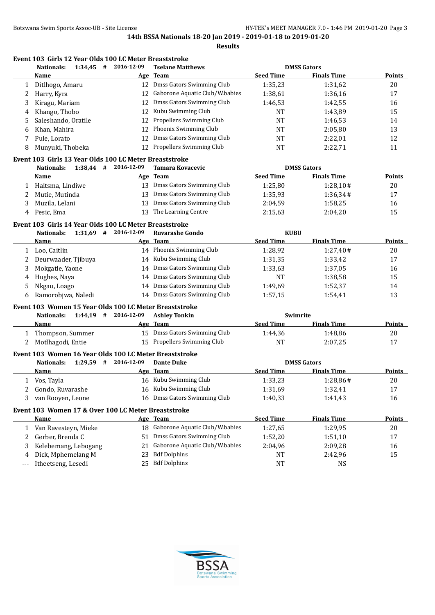|    | Nationals:<br>1:34,45<br>#                             | 2016-12-09 | <b>Tselane Matthews</b>         |                  | <b>DMSS Gators</b> |        |
|----|--------------------------------------------------------|------------|---------------------------------|------------------|--------------------|--------|
|    | Name                                                   |            | Age Team                        | <b>Seed Time</b> | <b>Finals Time</b> | Points |
|    | Ditlhogo, Amaru                                        | 12         | Dmss Gators Swimming Club       | 1:35,23          | 1:31,62            | 20     |
|    | Harry, Kyra                                            | 12         | Gaborone Aquatic Club/W.babies  | 1:38,61          | 1:36,16            | 17     |
| 3  | Kiragu, Mariam                                         | 12         | Dmss Gators Swimming Club       | 1:46,53          | 1:42,55            | 16     |
| 4  | Khango, Thobo                                          | 12         | Kubu Swimming Club              | <b>NT</b>        | 1:43.89            | 15     |
| 5. | Saleshando, Oratile                                    | 12         | <b>Propellers Swimming Club</b> | <b>NT</b>        | 1:46.53            | 14     |
| 6  | Khan, Mahira                                           | 12         | Phoenix Swimming Club           | <b>NT</b>        | 2:05.80            | 13     |
|    | Pule, Lorato                                           | 12         | Dmss Gators Swimming Club       | <b>NT</b>        | 2:22,01            | 12     |
| 8  | Munyuki, Thobeka                                       | 12         | Propellers Swimming Club        | NT               | 2:22,71            | 11     |
|    | Event 103 Girls 13 Year Olds 100 LC Meter Breaststroke |            |                                 |                  |                    |        |
|    | Nationals:<br>$1:38,44$ #                              | 2016-12-09 | Tamara Kovacevic                |                  | <b>DMSS Gators</b> |        |
|    | Name                                                   |            | Age Team                        | <b>Seed Time</b> | <b>Finals Time</b> | Points |
|    | Haitsma, Lindiwe                                       | 13         | Dmss Gators Swimming Club       | 1:25,80          | 1:28,10#           | 20     |
|    | Mutie, Mutinda                                         | 13         | Dmss Gators Swimming Club       | 1:35,93          | 1:36,34#           | 17     |
| 3  | Muzila, Lelani                                         | 13         | Dmss Gators Swimming Club       | 2:04.59          | 1:58,25            | 16     |
| 4  | Pesic, Ema                                             | 13         | The Learning Centre             | 2:15.63          | 2:04,20            | 15     |

# **Event 103 Girls 14 Year Olds 100 LC Meter Breaststroke**

|    | 1:31,69<br><b>Nationals:</b><br># | 2016-12-09 | <b>Ruvarashe Gondo</b>    | <b>KUBU</b>      |                    |               |
|----|-----------------------------------|------------|---------------------------|------------------|--------------------|---------------|
|    | Name                              |            | Age Team                  | <b>Seed Time</b> | <b>Finals Time</b> | <b>Points</b> |
|    | Loo. Caitlin                      | 14         | Phoenix Swimming Club     | 1:28.92          | 1:27.40#           | 20            |
|    | Deurwaader, Tjibuya               | 14         | Kubu Swimming Club        | 1:31,35          | 1:33.42            | 17            |
|    | Mokgatle, Yaone                   | 14         | Dmss Gators Swimming Club | 1:33,63          | 1:37,05            | 16            |
| 4  | Hughes, Naya                      | 14         | Dmss Gators Swimming Club | <b>NT</b>        | 1:38.58            | 15            |
|    | Nkgau, Loago                      | 14         | Dmss Gators Swimming Club | 1:49.69          | 1:52,37            | 14            |
| b. | Ramorobjwa, Naledi                | 14         | Dmss Gators Swimming Club | 1:57.15          | 1:54.41            | 13            |

#### **Event 103 Women 15 Year Olds 100 LC Meter Breaststroke**

| $1:44.19$ #<br>Nationals: | 2016-12-09 | <b>Ashley Tonkin</b>         | Swimrite         |                    |               |
|---------------------------|------------|------------------------------|------------------|--------------------|---------------|
| <b>Name</b>               |            | Age Team                     | <b>Seed Time</b> | <b>Finals Time</b> | <b>Points</b> |
| Thompson, Summer          |            | 15 Dmss Gators Swimming Club | 1:44.36          | 1:48.86            | 20            |
| 2 Motlhagodi, Entie       |            | 15 Propellers Swimming Club  | NT               | 2:07.25            | 17            |
|                           |            |                              |                  |                    |               |

#### **Event 103 Women 16 Year Olds 100 LC Meter Breaststroke**

| 1:29.59<br>Nationals: | 2016-12-09 | <b>Dante Duke</b>            | <b>DMSS Gators</b> |                    |        |
|-----------------------|------------|------------------------------|--------------------|--------------------|--------|
| <b>Name</b>           |            | Age Team                     | <b>Seed Time</b>   | <b>Finals Time</b> | Points |
| Vos, Tayla            |            | 16 Kubu Swimming Club        | 1:33.23            | 1:28.86#           | 20     |
| 2 Gondo, Ruvarashe    |            | 16 Kubu Swimming Club        | 1:31.69            | 1:32.41            | 17     |
| van Rooven, Leone     |            | 16 Dmss Gators Swimming Club | 1:40.33            | 1:41,43            | 16     |

# **Event 103 Women 17 & Over 100 LC Meter Breaststroke**

|       | Name                 | Age Team                          | <b>Seed Time</b> | <b>Finals Time</b> | <b>Points</b> |
|-------|----------------------|-----------------------------------|------------------|--------------------|---------------|
|       | Van Ravesteyn, Mieke | 18 Gaborone Aquatic Club/W.babies | 1:27.65          | 1:29.95            | 20            |
|       | 2 Gerber, Brenda C   | 51 Dmss Gators Swimming Club      | 1:52.20          | 1:51.10            | 17            |
|       | Kelebemang, Lebogang | 21 Gaborone Aquatic Club/W.babies | 2:04.96          | 2:09.28            | 16            |
|       | 4 Dick, Mphemelang M | 23 Bdf Dolphins                   | NT               | 2:42.96            | 15            |
| $---$ | Itheetseng, Lesedi   | 25 Bdf Dolphins                   | NT               | NS                 |               |
|       |                      |                                   |                  |                    |               |

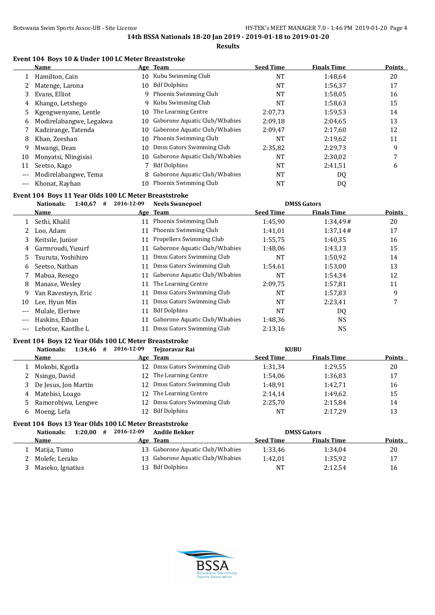#### **Event 104 Boys 10 & Under 100 LC Meter Breaststroke**

|       | Name                    |    | Age Team                       | <b>Seed Time</b> | <b>Finals Time</b> | <b>Points</b> |
|-------|-------------------------|----|--------------------------------|------------------|--------------------|---------------|
|       | Hamilton, Cain          | 10 | Kubu Swimming Club             | NT               | 1:48,64            | 20            |
|       | Matenge, Larona         | 10 | <b>Bdf Dolphins</b>            | NT               | 1:56,37            | 17            |
| 3     | Evans, Elliot           | 9  | Phoenix Swimming Club          | NT               | 1:58.05            | 16            |
| 4     | Khango, Letshego        | 9  | Kubu Swimming Club             | NT               | 1:58,63            | 15            |
| 5.    | Kgengwenyane, Lentle    | 10 | The Learning Centre            | 2:07,73          | 1:59,53            | 14            |
| 6     | Modirelabangwe, Legakwa | 10 | Gaborone Aquatic Club/W.babies | 2:09.18          | 2:04.65            | 13            |
|       | Kadzirange, Tatenda     | 10 | Gaborone Aquatic Club/W.babies | 2:09.47          | 2:17.60            | 12            |
| 8     | Khan, Zeeshan           | 10 | Phoenix Swimming Club          | NT               | 2:19,62            | 11            |
| 9     | Mwangi, Dean            | 10 | Dmss Gators Swimming Club      | 2:35,82          | 2:29,73            | 9             |
| 10    | Monyatsi, Nlingisisi    | 10 | Gaborone Aquatic Club/W.babies | NT               | 2:30,02            |               |
|       | Seetso, Kago            |    | <b>Bdf Dolphins</b>            | NT               | 2:41,51            | 6             |
| $---$ | Modirelabangwe, Tema    | 8  | Gaborone Aquatic Club/W.babies | NT               | DQ                 |               |
| ---   | Khonat, Rayhan          | 10 | Phoenix Swimming Club          | NT               | DQ                 |               |

# **Event 104 Boys 11 Year Olds 100 LC Meter Breaststroke**

|       | Nationals:<br>1:40.67<br># | 2016-12-09 | <b>Neels Swanepoel</b>         |                  | <b>DMSS Gators</b> |               |
|-------|----------------------------|------------|--------------------------------|------------------|--------------------|---------------|
|       | Name                       |            | Age Team                       | <b>Seed Time</b> | <b>Finals Time</b> | <b>Points</b> |
|       | Sethi, Khalil              | 11         | Phoenix Swimming Club          | 1:45,90          | 1:34,49#           | 20            |
|       | Loo. Adam                  | 11         | Phoenix Swimming Club          | 1:41,01          | 1:37,14#           | 17            |
| 3     | Keitsile, Junior           | 11         | Propellers Swimming Club       | 1:55,75          | 1:40.35            | 16            |
| 4     | Garmroudi, Yusurf          | 11         | Gaborone Aquatic Club/W.babies | 1:48,06          | 1:43.13            | 15            |
| 5.    | Tsuruta, Yoshihiro         | 11         | Dmss Gators Swimming Club      | NT               | 1:50,92            | 14            |
| 6     | Seetso, Nathan             | 11         | Dmss Gators Swimming Club      | 1:54,61          | 1:53,00            | 13            |
|       | Mabua, Resego              | 11         | Gaborone Aquatic Club/W.babies | NT               | 1:54.34            | 12            |
| 8     | Manase, Wesley             | 11         | The Learning Centre            | 2:09.75          | 1:57,81            | 11            |
| 9     | Van Ravesteyn, Eric        | 11         | Dmss Gators Swimming Club      | NT               | 1:57,83            | 9             |
| 10    | Lee, Hyun Min              | 11         | Dmss Gators Swimming Club      | <b>NT</b>        | 2:23,41            | 7             |
| ---   | Mulale, Eleriwe            | 11         | <b>Bdf Dolphins</b>            | NT               | DQ                 |               |
| $--$  | Haskins, Ethan             | 11         | Gaborone Aquatic Club/W.babies | 1:48,36          | <b>NS</b>          |               |
| $---$ | Lebotse, Kaotlhe L         |            | Dmss Gators Swimming Club      | 2:13,16          | <b>NS</b>          |               |

#### **Event 104 Boys 12 Year Olds 100 LC Meter Breaststroke**

|   | 1:34,46<br>Nationals:<br># | 2016-12-09 | Teizoravar Rai            | <b>KUBU</b>      |                    |               |
|---|----------------------------|------------|---------------------------|------------------|--------------------|---------------|
|   | Name                       |            | Age Team                  | <b>Seed Time</b> | <b>Finals Time</b> | <b>Points</b> |
|   | Mokobi, Kgotla             | 12.        | Dmss Gators Swimming Club | 1:31,34          | 1:29.55            | 20            |
|   | Nsingo, David              |            | 12 The Learning Centre    | 1:54.06          | 1:36,83            | 17            |
|   | De Jesus, Jon Martin       | 12.        | Dmss Gators Swimming Club | 1:48.91          | 1:42,71            | 16            |
|   | 4 Matebisi, Loago          |            | 12 The Learning Centre    | 2:14.14          | 1:49.62            | 15            |
|   | 5 Ramorobjwa, Lengwe       | 12.        | Dmss Gators Swimming Club | 2:25,70          | 2:15,84            | 14            |
| 6 | Moeng, Lefa                |            | <b>Bdf Dolphins</b>       | NT               | 2:17.29            | 13            |

# **Event 104 Boys 13 Year Olds 100 LC Meter Breaststroke**

| 1:20.00<br>Nationals:<br># | 2016-12-09 | <b>Andile Bekker</b>              |                  | <b>DMSS Gators</b> |               |
|----------------------------|------------|-----------------------------------|------------------|--------------------|---------------|
| <b>Name</b>                |            | Age Team                          | <b>Seed Time</b> | <b>Finals Time</b> | <b>Points</b> |
| Matija, Tumo               |            | 13 Gaborone Aquatic Club/W.babies | 1:33.46          | 1:34.04            | 20            |
| Molefe, Lerako             |            | 13 Gaborone Aquatic Club/W.babies | 1:42.01          | 1:35.92            | 17            |
| Maseko, Ignatius           |            | 13 Bdf Dolphins                   | NT               | 2:12.54            | 16            |

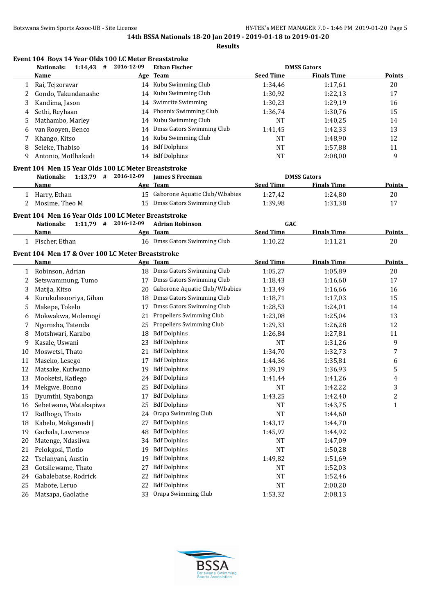**Results**

|    |                                                                                           |            | <b>Results</b>                    |                  |                    |                  |
|----|-------------------------------------------------------------------------------------------|------------|-----------------------------------|------------------|--------------------|------------------|
|    | Event 104 Boys 14 Year Olds 100 LC Meter Breaststroke<br>$1:14,43$ #<br><b>Nationals:</b> | 2016-12-09 | <b>Ethan Fischer</b>              |                  | <b>DMSS Gators</b> |                  |
|    | Name                                                                                      |            | Age Team                          | <b>Seed Time</b> | <b>Finals Time</b> | <b>Points</b>    |
| 1  | Rai, Tejzoravar                                                                           |            | 14 Kubu Swimming Club             | 1:34,46          | 1:17,61            | 20               |
| 2  | Gondo, Takundanashe                                                                       |            | 14 Kubu Swimming Club             | 1:30,92          | 1:22,13            | 17               |
| 3  | Kandima, Jason                                                                            |            | 14 Swimrite Swimming              | 1:30,23          | 1:29,19            | 16               |
| 4  | Sethi, Reyhaan                                                                            |            | 14 Phoenix Swimming Club          | 1:36,74          | 1:30,76            | 15               |
| 5  | Mathambo, Marley                                                                          |            | 14 Kubu Swimming Club             | NT               | 1:40,25            | 14               |
| 6  | van Rooyen, Benco                                                                         |            | 14 Dmss Gators Swimming Club      | 1:41,45          | 1:42,33            | 13               |
| 7  | Khango, Kitso                                                                             |            | 14 Kubu Swimming Club             | <b>NT</b>        | 1:48,90            | 12               |
| 8  | Seleke, Thabiso                                                                           |            | 14 Bdf Dolphins                   | <b>NT</b>        | 1:57,88            | 11               |
| 9  | Antonio, Motlhakudi                                                                       |            | 14 Bdf Dolphins                   | <b>NT</b>        | 2:08,00            | 9                |
|    | Event 104 Men 15 Year Olds 100 LC Meter Breaststroke                                      |            |                                   |                  |                    |                  |
|    | $1:13,79$ # 2016-12-09<br><b>Nationals:</b>                                               |            | <b>James S Freeman</b>            |                  | <b>DMSS Gators</b> |                  |
|    | Name                                                                                      |            | Age Team                          | <b>Seed Time</b> | <b>Finals Time</b> | <b>Points</b>    |
|    | 1 Harry, Ethan                                                                            |            | 15 Gaborone Aquatic Club/W.babies | 1:27,42          | 1:24,80            | 20               |
| 2  | Mosime, Theo M                                                                            |            | 15 Dmss Gators Swimming Club      | 1:39,98          | 1:31,38            | 17               |
|    | Event 104 Men 16 Year Olds 100 LC Meter Breaststroke                                      |            |                                   |                  |                    |                  |
|    | $1:11,79$ # 2016-12-09<br><b>Nationals:</b>                                               |            | <b>Adrian Robinson</b>            | GAC              |                    |                  |
|    | Name                                                                                      |            | Age Team                          | <b>Seed Time</b> | <b>Finals Time</b> | <b>Points</b>    |
|    | 1 Fischer, Ethan                                                                          |            | 16 Dmss Gators Swimming Club      | 1:10,22          | 1:11,21            | 20               |
|    | Event 104 Men 17 & Over 100 LC Meter Breaststroke                                         |            |                                   |                  |                    |                  |
|    | <b>Name</b>                                                                               |            | Age Team                          | <b>Seed Time</b> | <b>Finals Time</b> | <b>Points</b>    |
|    | 1 Robinson, Adrian                                                                        |            | 18 Dmss Gators Swimming Club      | 1:05,27          | 1:05,89            | 20               |
| 2  | Setswammung, Tumo                                                                         |            | 17 Dmss Gators Swimming Club      | 1:18,43          | 1:16,60            | 17               |
| 3  | Matija, Kitso                                                                             |            | 20 Gaborone Aquatic Club/W.babies | 1:13,49          | 1:16,66            | 16               |
| 4  | Kurukulasooriya, Gihan                                                                    |            | 18 Dmss Gators Swimming Club      | 1:18,71          | 1:17,03            | 15               |
| 5  | Makepe, Tokelo                                                                            |            | 17 Dmss Gators Swimming Club      | 1:28,53          | 1:24,01            | 14               |
| 6  | Mokwakwa, Molemogi                                                                        | 21         | Propellers Swimming Club          | 1:23,08          | 1:25,04            | 13               |
| 7  | Ngorosha, Tatenda                                                                         |            | 25 Propellers Swimming Club       | 1:29,33          | 1:26,28            | 12               |
| 8  | Motshwari, Karabo                                                                         |            | 18 Bdf Dolphins                   | 1:26,84          | 1:27,81            | 11               |
| 9  | Kasale, Uswani                                                                            |            | 23 Bdf Dolphins                   | <b>NT</b>        | 1:31,26            | 9                |
| 10 | Moswetsi, Thato                                                                           |            | 21 Bdf Dolphins                   | 1:34,70          | 1:32,73            | $\boldsymbol{7}$ |
| 11 | Maseko, Lesego                                                                            |            | 17 Bdf Dolphins                   | 1:44,36          | 1:35,81            | $\boldsymbol{6}$ |
| 12 | Matsake, Kutlwano                                                                         |            | 19 Bdf Dolphins                   | 1:39,19          | 1:36,93            | 5                |
| 13 | Mooketsi, Katlego                                                                         |            | 24 Bdf Dolphins                   | 1:41,44          | 1:41,26            | 4                |
| 14 | Mekgwe, Bonno                                                                             |            | 25 Bdf Dolphins                   | <b>NT</b>        | 1:42,22            | 3                |
| 15 | Dyumthi, Siyabonga                                                                        | 17         | <b>Bdf Dolphins</b>               | 1:43,25          | 1:42,40            | $\sqrt{2}$       |
| 16 | Sebetwane, Watakapiwa                                                                     | 25         | <b>Bdf Dolphins</b>               | NT               | 1:43,75            | $\mathbf{1}$     |
| 17 | Ratlhogo, Thato                                                                           | 24         | Orapa Swimming Club               | <b>NT</b>        | 1:44,60            |                  |
| 18 | Kabelo, Mokganedi J                                                                       | 27         | <b>Bdf Dolphins</b>               | 1:43,17          | 1:44,70            |                  |
| 19 | Gachala, Lawrence                                                                         | 48         | <b>Bdf Dolphins</b>               | 1:45,97          | 1:44,92            |                  |
| 20 | Matenge, Ndasiiwa                                                                         | 34         | <b>Bdf Dolphins</b>               | NT               | 1:47,09            |                  |
| 21 | Pelokgosi, Tlotlo                                                                         | 19         | <b>Bdf Dolphins</b>               | <b>NT</b>        | 1:50,28            |                  |
| 22 | Tselanyani, Austin                                                                        | 19         | <b>Bdf Dolphins</b>               | 1:49,82          | 1:51,69            |                  |
| 23 | Gotsilewame, Thato                                                                        | 27         | <b>Bdf Dolphins</b>               | <b>NT</b>        | 1:52,03            |                  |
| 24 | Gabalebatse, Rodrick                                                                      | 22         | <b>Bdf Dolphins</b>               | <b>NT</b>        | 1:52,46            |                  |
| 25 | Mabote, Leruo                                                                             |            | 22 Bdf Dolphins                   | <b>NT</b>        | 2:00,20            |                  |

26 Matsapa, Gaolathe 33 Orapa Swimming Club 1:53,32 2:08,13

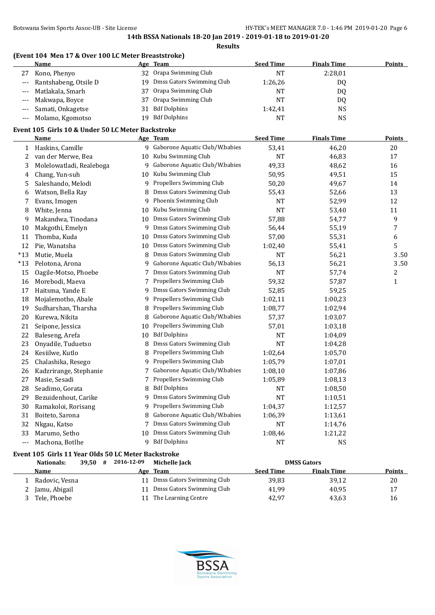# **(Event 104 Men 17 & Over 100 LC Meter Breaststroke)**

|                     | Name                  |    | Age Team                     | <b>Seed Time</b> | <b>Finals Time</b> | <b>Points</b> |
|---------------------|-----------------------|----|------------------------------|------------------|--------------------|---------------|
| 27                  | Kono, Phenyo          |    | 32 Orapa Swimming Club       | NT               | 2:28,01            |               |
| $\qquad \qquad - -$ | Rantshabeng, Otsile D |    | 19 Dmss Gators Swimming Club | 1:26,26          | DQ                 |               |
|                     | --- Matlakala, Smarh  |    | 37 Orapa Swimming Club       | NT               | DQ                 |               |
|                     | --- Makwapa, Boyce    |    | 37 Orapa Swimming Club       | NT               | DQ                 |               |
|                     | --- Samati, Onkagetse | 31 | <b>Bdf Dolphins</b>          | 1:42,41          | <b>NS</b>          |               |
| $---$               | Molamo, Kgomotso      | 19 | <b>Bdf Dolphins</b>          | <b>NT</b>        | <b>NS</b>          |               |

# **Event 105 Girls 10 & Under 50 LC Meter Backstroke**

|       | <b>Name</b>              |    | Age Team                         | <b>Seed Time</b> | <b>Finals Time</b> | <b>Points</b> |
|-------|--------------------------|----|----------------------------------|------------------|--------------------|---------------|
| 1     | Haskins, Camille         |    | 9 Gaborone Aquatic Club/W.babies | 53,41            | 46,20              | 20            |
| 2     | van der Merwe, Bea       | 10 | Kubu Swimming Club               | <b>NT</b>        | 46,83              | 17            |
| 3     | Molelowatladi, Realeboga | 9  | Gaborone Aquatic Club/W.babies   | 49,33            | 48,62              | 16            |
| 4     | Chang, Yun-suh           | 10 | Kubu Swimming Club               | 50,95            | 49,51              | 15            |
| 5     | Saleshando, Melodi       | 9  | Propellers Swimming Club         | 50,20            | 49,67              | 14            |
| 6     | Watson, Bella Ray        | 8  | Dmss Gators Swimming Club        | 55,43            | 52,66              | 13            |
| 7     | Evans, Imogen            | 9  | Phoenix Swimming Club            | NT               | 52,99              | 12            |
| 8     | White, Jenna             | 10 | Kubu Swimming Club               | NT               | 53,40              | 11            |
| 9     | Makandwa, Tinodana       | 10 | Dmss Gators Swimming Club        | 57,88            | 54,77              | 9             |
| 10    | Makgothi, Emelyn         | 9  | Dmss Gators Swimming Club        | 56,44            | 55,19              | 7             |
| 11    | Thomba, Kuda             | 10 | Dmss Gators Swimming Club        | 57,00            | 55,31              | 6             |
| 12    | Pie, Wanatsha            | 10 | Dmss Gators Swimming Club        | 1:02,40          | 55,41              | 5             |
| $*13$ | Mutie, Muela             | 8  | Dmss Gators Swimming Club        | <b>NT</b>        | 56,21              | 3.50          |
| $*13$ | Pelotona, Arona          | 9  | Gaborone Aquatic Club/W.babies   | 56,13            | 56,21              | 3.50          |
| 15    | Oagile-Motso, Phoebe     |    | Dmss Gators Swimming Club        | NT               | 57,74              | 2             |
| 16    | Morebodi, Maeva          | 7  | Propellers Swimming Club         | 59,32            | 57,87              | $\mathbf{1}$  |
| 17    | Haitsma, Yande E         | 9  | Dmss Gators Swimming Club        | 52,85            | 59,25              |               |
| 18    | Mojalemotho, Abale       | 9  | Propellers Swimming Club         | 1:02,11          | 1:00,23            |               |
| 19    | Sudharshan, Tharsha      | 8  | Propellers Swimming Club         | 1:08,77          | 1:02,94            |               |
| 20    | Kurewa, Nikita           | 8  | Gaborone Aquatic Club/W.babies   | 57,37            | 1:03,07            |               |
| 21    | Seipone, Jessica         | 10 | Propellers Swimming Club         | 57,01            | 1:03,18            |               |
| 22    | Baleseng, Arefa          | 10 | <b>Bdf Dolphins</b>              | <b>NT</b>        | 1:04,09            |               |
| 23    | Onyadile, Tuduetso       | 8  | Dmss Gators Swimming Club        | <b>NT</b>        | 1:04,28            |               |
| 24    | Kesiilwe, Kutlo          | 8  | Propellers Swimming Club         | 1:02,64          | 1:05,70            |               |
| 25    | Chalashika, Resego       | 9  | Propellers Swimming Club         | 1:05,79          | 1:07,01            |               |
| 26    | Kadzrirange, Stephanie   |    | Gaborone Aquatic Club/W.babies   | 1:08,10          | 1:07,86            |               |
| 27    | Masie, Sesadi            | 7  | Propellers Swimming Club         | 1:05,89          | 1:08,13            |               |
| 28    | Seadimo, Gorata          | 8  | <b>Bdf Dolphins</b>              | NT               | 1:08,50            |               |
| 29    | Bezuidenhout, Carike     | 9  | Dmss Gators Swimming Club        | <b>NT</b>        | 1:10,51            |               |
| 30    | Ramakoloi, Rorisang      | 9  | Propellers Swimming Club         | 1:04,37          | 1:12,57            |               |
| 31    | Boiteto, Sarona          | 8  | Gaborone Aquatic Club/W.babies   | 1:06,39          | 1:13,61            |               |
| 32    | Nkgau, Katso             | 7  | Dmss Gators Swimming Club        | NT               | 1:14,76            |               |
| 33    | Marumo, Setho            | 10 | Dmss Gators Swimming Club        | 1:08,46          | 1:21,22            |               |
| ---   | Machona, Botlhe          | 9  | <b>Bdf Dolphins</b>              | <b>NT</b>        | <b>NS</b>          |               |

# **Event 105 Girls 11 Year Olds 50 LC Meter Backstroke**

| Nationals:     | 39.50 | 2016-12-09<br># | Michelle Jack             |                  | <b>DMSS Gators</b> |               |
|----------------|-------|-----------------|---------------------------|------------------|--------------------|---------------|
| Name           |       |                 | Age Team                  | <b>Seed Time</b> | <b>Finals Time</b> | <b>Points</b> |
| Radovic, Vesna |       |                 | Dmss Gators Swimming Club | 39,83            | 39.12              | 20            |
| Jamu, Abigail  |       |                 | Dmss Gators Swimming Club | 41.99            | 40.95              | 17            |
| Tele, Phoebe   |       |                 | The Learning Centre       | 42,97            | 43,63              | 16            |

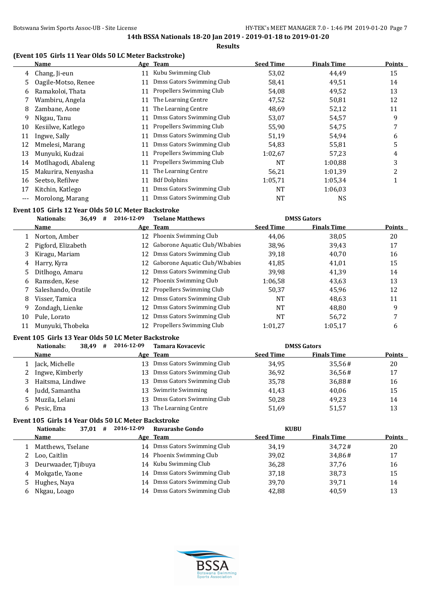# **(Event 105 Girls 11 Year Olds 50 LC Meter Backstroke)**

|       | Name                |    | Age Team                  | <b>Seed Time</b> | <b>Finals Time</b> | <b>Points</b> |
|-------|---------------------|----|---------------------------|------------------|--------------------|---------------|
| 4     | Chang, Ji-eun       | 11 | Kubu Swimming Club        | 53,02            | 44,49              | 15            |
| 5.    | Oagile-Motso, Renee | 11 | Dmss Gators Swimming Club | 58,41            | 49,51              | 14            |
| 6     | Ramakoloi, Thata    | 11 | Propellers Swimming Club  | 54,08            | 49,52              | 13            |
|       | Wambiru, Angela     | 11 | The Learning Centre       | 47,52            | 50,81              | 12            |
| 8     | Zambane, Aone       | 11 | The Learning Centre       | 48,69            | 52,12              | 11            |
| 9     | Nkgau, Tanu         | 11 | Dmss Gators Swimming Club | 53,07            | 54,57              | 9             |
| 10    | Kesiilwe, Katlego   | 11 | Propellers Swimming Club  | 55,90            | 54,75              | 7             |
| 11    | Ingwe, Sally        | 11 | Dmss Gators Swimming Club | 51,19            | 54,94              | 6             |
| 12    | Mmelesi, Marang     | 11 | Dmss Gators Swimming Club | 54,83            | 55,81              | 5             |
| 13    | Munyuki, Kudzai     | 11 | Propellers Swimming Club  | 1:02.67          | 57,23              | 4             |
| 14    | Motlhagodi, Abaleng | 11 | Propellers Swimming Club  | NT               | 1:00,88            | 3             |
| 15    | Makurira, Nenyasha  | 11 | The Learning Centre       | 56,21            | 1:01.39            | 2             |
| 16    | Seetso, Refilwe     | 11 | <b>Bdf Dolphins</b>       | 1:05,71          | 1:05,34            |               |
| 17    | Kitchin, Katlego    | 11 | Dmss Gators Swimming Club | NT               | 1:06.03            |               |
| $---$ | Morolong, Marang    | 11 | Dmss Gators Swimming Club | NT               | <b>NS</b>          |               |

# **Event 105 Girls 12 Year Olds 50 LC Meter Backstroke**

|    | <b>Nationals:</b><br>36,49<br># | 2016-12-09 | <b>Tselane Matthews</b>           |                  | <b>DMSS Gators</b> |               |
|----|---------------------------------|------------|-----------------------------------|------------------|--------------------|---------------|
|    | Name                            |            | Age Team                          | <b>Seed Time</b> | <b>Finals Time</b> | <b>Points</b> |
|    | Norton, Amber                   | 12         | Phoenix Swimming Club             | 44.06            | 38,05              | 20            |
|    | Pigford, Elizabeth              |            | 12 Gaborone Aquatic Club/W.babies | 38,96            | 39,43              | 17            |
| 3  | Kiragu, Mariam                  | 12         | Dmss Gators Swimming Club         | 39,18            | 40,70              | 16            |
| 4  | Harry, Kyra                     | 12         | Gaborone Aquatic Club/W.babies    | 41,85            | 41,01              | 15            |
| 5  | Ditlhogo, Amaru                 | 12         | Dmss Gators Swimming Club         | 39,98            | 41,39              | 14            |
| 6  | Ramsden, Kese                   | 12.        | Phoenix Swimming Club             | 1:06.58          | 43,63              | 13            |
|    | Saleshando, Oratile             | 12         | Propellers Swimming Club          | 50,37            | 45,96              | 12            |
| 8  | Visser, Tamica                  | 12         | Dmss Gators Swimming Club         | NT               | 48,63              | 11            |
| 9  | Zondagh, Lienke                 | 12         | Dmss Gators Swimming Club         | NT               | 48.80              | 9             |
| 10 | Pule, Lorato                    | 12         | Dmss Gators Swimming Club         | NT               | 56,72              | 7             |
| 11 | Munyuki, Thobeka                | 12         | Propellers Swimming Club          | 1:01.27          | 1:05,17            | 6             |

#### **Event 105 Girls 13 Year Olds 50 LC Meter Backstroke**

|    | Nationals:<br>38,49<br># | 2016-12-09 | Tamara Kovacevic          |                  | <b>DMSS Gators</b> |               |
|----|--------------------------|------------|---------------------------|------------------|--------------------|---------------|
|    | Name                     | Age        | Team                      | <b>Seed Time</b> | <b>Finals Time</b> | <b>Points</b> |
|    | Jack, Michelle           | 13         | Dmss Gators Swimming Club | 34.95            | 35.56#             | 20            |
|    | Ingwe, Kimberly          | 13.        | Dmss Gators Swimming Club | 36.92            | 36,56#             | 17            |
|    | Haitsma, Lindiwe         | 13.        | Dmss Gators Swimming Club | 35,78            | 36,88#             | 16            |
| 4  | Judd, Samantha           |            | 13 Swimrite Swimming      | 41.43            | 40.06              | 15            |
|    | Muzila, Lelani           | 13.        | Dmss Gators Swimming Club | 50,28            | 49.23              | 14            |
| h. | Pesic, Ema               | 13.        | The Learning Centre       | 51,69            | 51.57              | 13            |

#### **Event 105 Girls 14 Year Olds 50 LC Meter Backstroke**

|    | 37,01<br>Nationals:<br># | 2016-12-09 | <b>Ruvarashe Gondo</b>    | <b>KUBU</b>      |                    |               |
|----|--------------------------|------------|---------------------------|------------------|--------------------|---------------|
|    | Name                     |            | Age Team                  | <b>Seed Time</b> | <b>Finals Time</b> | <b>Points</b> |
|    | Matthews, Tselane        | 14         | Dmss Gators Swimming Club | 34,19            | 34.72#             | 20            |
|    | 2 Loo. Caitlin           |            | 14 Phoenix Swimming Club  | 39,02            | 34,86#             | 17            |
|    | 3 Deurwaader, Tjibuya    |            | 14 Kubu Swimming Club     | 36,28            | 37.76              | 16            |
| 4  | Mokgatle, Yaone          | 14         | Dmss Gators Swimming Club | 37,18            | 38,73              | 15            |
|    | 5 Hughes, Naya           | 14         | Dmss Gators Swimming Club | 39.70            | 39,71              | 14            |
| 6. | Nkgau, Loago             | 14         | Dmss Gators Swimming Club | 42,88            | 40,59              | 13            |

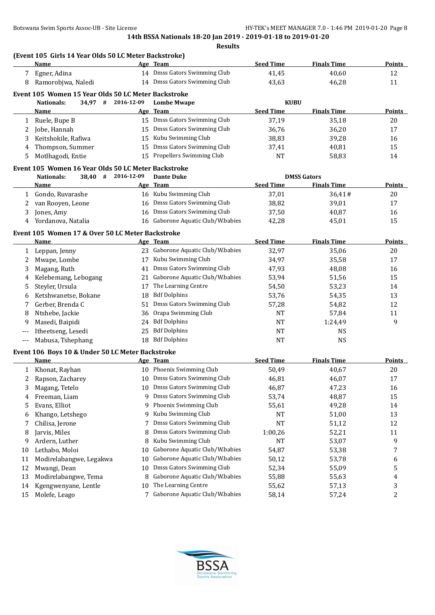# **(Event 105 Girls 14 Year Olds 50 LC Meter Backstroke)**

|   | Name                                                |            | Age Team                     | <b>Seed Time</b> | <b>Finals Time</b> | <b>Points</b> |
|---|-----------------------------------------------------|------------|------------------------------|------------------|--------------------|---------------|
|   | Egner, Adina                                        | 14         | Dmss Gators Swimming Club    | 41,45            | 40,60              | 12            |
| 8 | Ramorobjwa, Naledi                                  | 14         | Dmss Gators Swimming Club    | 43,63            | 46,28              | 11            |
|   | Event 105 Women 15 Year Olds 50 LC Meter Backstroke |            |                              |                  |                    |               |
|   | 34,97<br>#<br>Nationals:                            | 2016-12-09 | <b>Lombe Mwape</b>           | KUBU             |                    |               |
|   | <b>Name</b>                                         |            | Age Team                     | <b>Seed Time</b> | <b>Finals Time</b> | <b>Points</b> |
|   | Ruele, Bupe B                                       | 15         | Dmss Gators Swimming Club    | 37,19            | 35,18              | 20            |
| 2 | Jobe, Hannah                                        |            | 15 Dmss Gators Swimming Club | 36,76            | 36,20              | 17            |
| 3 | Keitshokile, Rafiwa                                 | 15         | Kubu Swimming Club           | 38,83            | 39,28              | 16            |
| 4 | Thompson, Summer                                    | 15         | Dmss Gators Swimming Club    | 37,41            | 40,81              | 15            |
| 5 | Motlhagodi, Entie                                   |            | 15 Propellers Swimming Club  | <b>NT</b>        | 58,83              | 14            |
|   |                                                     |            |                              |                  |                    |               |

# **Event 105 Women 16 Year Olds 50 LC Meter Backstroke**

l.

| 38.40<br>Nationals: | 2016-12-09<br># | <b>Dante Duke</b>                 |                  | <b>DMSS Gators</b> |               |
|---------------------|-----------------|-----------------------------------|------------------|--------------------|---------------|
| Name                |                 | Age Team                          | <b>Seed Time</b> | <b>Finals Time</b> | <b>Points</b> |
| Gondo, Ruvarashe    |                 | 16 Kubu Swimming Club             | 37.01            | 36.41#             | 20            |
| van Rooyen, Leone   |                 | 16 Dmss Gators Swimming Club      | 38,82            | 39,01              | 17            |
| Jones, Amy          | 16              | Dmss Gators Swimming Club         | 37,50            | 40.87              | 16            |
| Yordanova, Natalia  |                 | 16 Gaborone Aquatic Club/W.babies | 42,28            | 45,01              | 15            |

# **Event 105 Women 17 & Over 50 LC Meter Backstroke**

|       | Name                 |     | Age Team                          | <b>Seed Time</b> | <b>Finals Time</b> | <b>Points</b> |
|-------|----------------------|-----|-----------------------------------|------------------|--------------------|---------------|
|       | Leppan, Jenny        |     | 23 Gaborone Aquatic Club/W.babies | 32,97            | 35,06              | 20            |
|       | Mwape, Lombe         | 17  | Kubu Swimming Club                | 34,97            | 35,58              | 17            |
|       | Magang, Ruth         | 41  | Dmss Gators Swimming Club         | 47.93            | 48,08              | 16            |
| 4     | Kelebemang, Lebogang |     | 21 Gaborone Aquatic Club/W.babies | 53,94            | 51,56              | 15            |
| 5.    | Steyler, Ursula      | 17  | The Learning Centre               | 54,50            | 53,23              | 14            |
| 6     | Ketshwanetse, Bokane | 18  | <b>Bdf Dolphins</b>               | 53,76            | 54,35              | 13            |
|       | Gerber, Brenda C     |     | 51 Dmss Gators Swimming Club      | 57,28            | 54,82              | 12            |
| 8     | Ntshebe, Jackie      |     | 36 Orapa Swimming Club            | NT               | 57,84              | 11            |
| 9     | Masedi, Baipidi      | 24  | <b>Bdf Dolphins</b>               | NT               | 1:24.49            | 9             |
| $---$ | Itheetseng, Lesedi   | 25. | <b>Bdf Dolphins</b>               | NT               | NS.                |               |
|       | Mabusa, Tshephang    | 18  | <b>Bdf Dolphins</b>               | NT               | <b>NS</b>          |               |

#### **Event 106 Boys 10 & Under 50 LC Meter Backstroke**

|    | Name                    |    | Age Team                       | <b>Seed Time</b> | <b>Finals Time</b> | <b>Points</b> |
|----|-------------------------|----|--------------------------------|------------------|--------------------|---------------|
|    | Khonat, Rayhan          | 10 | Phoenix Swimming Club          | 50,49            | 40,67              | 20            |
|    | Rapson, Zacharey        | 10 | Dmss Gators Swimming Club      | 46,81            | 46,07              | 17            |
| 3  | Magang, Tetelo          | 10 | Dmss Gators Swimming Club      | 46,87            | 47,23              | 16            |
| 4  | Freeman, Liam           | 9  | Dmss Gators Swimming Club      | 53,74            | 48,87              | 15            |
| 5. | Evans, Elliot           |    | 9 Phoenix Swimming Club        | 55,61            | 49,28              | 14            |
| 6  | Khango, Letshego        | 9. | Kubu Swimming Club             | <b>NT</b>        | 51,00              | 13            |
|    | Chilisa, Jerone         |    | Dmss Gators Swimming Club      | NT               | 51,12              | 12            |
| 8  | Jarvis, Miles           | 8  | Dmss Gators Swimming Club      | 1:00,26          | 52,21              | 11            |
| 9  | Ardern, Luther          | 8  | Kubu Swimming Club             | NT               | 53,07              | 9             |
| 10 | Lethabo, Moloi          | 10 | Gaborone Aquatic Club/W.babies | 54,87            | 53,38              |               |
| 11 | Modirelabangwe, Legakwa | 10 | Gaborone Aquatic Club/W.babies | 50,12            | 53,78              | 6             |
| 12 | Mwangi, Dean            | 10 | Dmss Gators Swimming Club      | 52,34            | 55,09              | 5             |
| 13 | Modirelabangwe, Tema    | 8  | Gaborone Aquatic Club/W.babies | 55,88            | 55,63              | 4             |
| 14 | Kgengwenyane, Lentle    | 10 | The Learning Centre            | 55,62            | 57,13              | 3             |
| 15 | Molefe, Leago           |    | Gaborone Aquatic Club/W.babies | 58,14            | 57,24              | 2             |

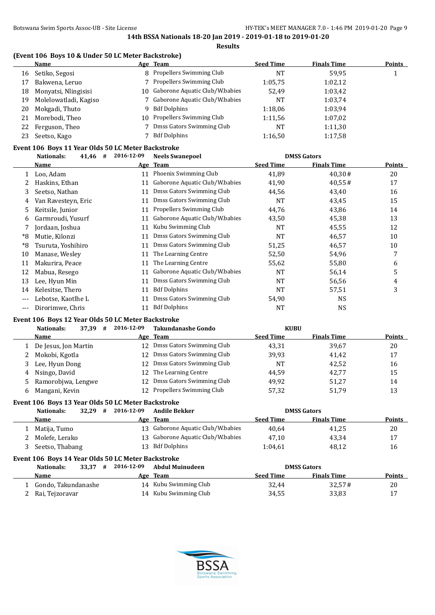# **(Event 106 Boys 10 & Under 50 LC Meter Backstroke)**

|    | Name                  |    | Age Team                          | <b>Seed Time</b> | <b>Finals Time</b> | <b>Points</b> |
|----|-----------------------|----|-----------------------------------|------------------|--------------------|---------------|
| 16 | Setiko, Segosi        |    | 8 Propellers Swimming Club        | <b>NT</b>        | 59.95              |               |
| 17 | Bakwena, Leruo        |    | 7 Propellers Swimming Club        | 1:05.75          | 1:02,12            |               |
| 18 | Monyatsi, Nlingisisi  |    | 10 Gaborone Aquatic Club/W.babies | 52,49            | 1:03,42            |               |
| 19 | Molelowatladi, Kagiso |    | 7 Gaborone Aquatic Club/W.babies  | <b>NT</b>        | 1:03.74            |               |
| 20 | Mokgadi, Thuto        | 9. | <b>Bdf Dolphins</b>               | 1:18,06          | 1:03.94            |               |
| 21 | Morebodi, Theo        |    | 10 Propellers Swimming Club       | 1:11,56          | 1:07,02            |               |
| 22 | Ferguson, Theo        |    | Dmss Gators Swimming Club         | <b>NT</b>        | 1:11,30            |               |
| 23 | Seetso, Kago          |    | <b>Bdf Dolphins</b>               | 1:16.50          | 1:17,58            |               |

# **Event 106 Boys 11 Year Olds 50 LC Meter Backstroke**

|       | 41,46<br>#<br><b>Nationals:</b> | 2016-12-09 | <b>Neels Swanepoel</b>         |                  | <b>DMSS Gators</b> |               |
|-------|---------------------------------|------------|--------------------------------|------------------|--------------------|---------------|
|       | Name                            |            | Age Team                       | <b>Seed Time</b> | <b>Finals Time</b> | <b>Points</b> |
|       | Loo, Adam                       | 11         | Phoenix Swimming Club          | 41,89            | 40,30#             | 20            |
|       | Haskins, Ethan                  | 11         | Gaborone Aquatic Club/W.babies | 41,90            | 40,55#             | 17            |
| 3     | Seetso, Nathan                  | 11         | Dmss Gators Swimming Club      | 44,56            | 43,40              | 16            |
| 4     | Van Ravesteyn, Eric             | 11         | Dmss Gators Swimming Club      | <b>NT</b>        | 43,45              | 15            |
| 5     | Keitsile, Junior                | 11         | Propellers Swimming Club       | 44,76            | 43,86              | 14            |
| 6     | Garmroudi, Yusurf               | 11         | Gaborone Aquatic Club/W.babies | 43,50            | 45,38              | 13            |
|       | Jordaan, Joshua                 | 11         | Kubu Swimming Club             | <b>NT</b>        | 45,55              | 12            |
| *8    | Mutie, Kilonzi                  | 11         | Dmss Gators Swimming Club      | NT               | 46,57              | 10            |
| *8    | Tsuruta, Yoshihiro              | 11         | Dmss Gators Swimming Club      | 51,25            | 46,57              | 10            |
| 10    | Manase, Wesley                  | 11         | The Learning Centre            | 52,50            | 54,96              | 7             |
| 11    | Makurira, Peace                 | 11         | The Learning Centre            | 55,62            | 55,80              | 6             |
| 12    | Mabua, Resego                   | 11         | Gaborone Aquatic Club/W.babies | <b>NT</b>        | 56,14              | 5             |
| 13    | Lee, Hyun Min                   | 11         | Dmss Gators Swimming Club      | NT               | 56,56              | 4             |
| 14    | Kelesitse, Thero                | 11         | <b>Bdf Dolphins</b>            | <b>NT</b>        | 57,51              | 3             |
| $---$ | Lebotse, Kaotlhe L              | 11         | Dmss Gators Swimming Club      | 54,90            | <b>NS</b>          |               |
| $---$ | Dirorimwe, Chris                | 11         | <b>Bdf Dolphins</b>            | NT               | <b>NS</b>          |               |

# **Event 106 Boys 12 Year Olds 50 LC Meter Backstroke**

|    | Nationals:<br>37,39<br># | 2016-12-09 | <b>Takundanashe Gondo</b>    | <b>KUBU</b>      |                    |               |
|----|--------------------------|------------|------------------------------|------------------|--------------------|---------------|
|    | <b>Name</b>              |            | Age Team                     | <b>Seed Time</b> | <b>Finals Time</b> | <b>Points</b> |
|    | De Jesus, Jon Martin     |            | 12 Dmss Gators Swimming Club | 43,31            | 39,67              | 20            |
|    | Mokobi, Kgotla           |            | 12 Dmss Gators Swimming Club | 39.93            | 41.42              | 17            |
|    | Lee, Hyun Dong           |            | 12 Dmss Gators Swimming Club | <b>NT</b>        | 42,52              | 16            |
| 4  | Nsingo, David            |            | 12 The Learning Centre       | 44.59            | 42,77              | 15            |
|    | Ramorobjwa, Lengwe       |            | 12 Dmss Gators Swimming Club | 49.92            | 51.27              | 14            |
| 6. | Mangani, Kevin           |            | 12 Propellers Swimming Club  | 57,32            | 51,79              | 13            |

# **Event 106 Boys 13 Year Olds 50 LC Meter Backstroke**

| Nationals:                                         | 32.29 | # | 2016-12-09 | Andile Bekker                     |                  | <b>DMSS Gators</b> |               |  |
|----------------------------------------------------|-------|---|------------|-----------------------------------|------------------|--------------------|---------------|--|
| Name                                               |       |   |            | Age Team                          | <b>Seed Time</b> | <b>Finals Time</b> | <b>Points</b> |  |
| Matija, Tumo                                       |       |   |            | 13 Gaborone Aquatic Club/W.babies | 40.64            | 41.25              | 20            |  |
| Molefe. Lerako                                     |       |   |            | 13 Gaborone Aquatic Club/W.babies | 47.10            | 43,34              | 17            |  |
| Seetso, Thabang                                    |       |   |            | 13 Bdf Dolphins                   | 1:04.61          | 48.12              | 16            |  |
| Event 106 Boys 14 Year Olds 50 LC Meter Backstroke |       |   |            |                                   |                  |                    |               |  |

| Nationals:                               | 33.37 | # | 2016-12-09 | Abdul Muinudeen                                |                  | <b>DMSS Gators</b> |               |
|------------------------------------------|-------|---|------------|------------------------------------------------|------------------|--------------------|---------------|
| <b>Name</b>                              |       |   |            | Age Team                                       | <b>Seed Time</b> | <b>Finals Time</b> | <b>Points</b> |
| Gondo, Takundanashe<br>2 Rai, Tejzoravar |       |   |            | 14 Kubu Swimming Club<br>14 Kubu Swimming Club | 32.44<br>34,55   | 32.57#<br>33,83    | 20<br>17      |
|                                          |       |   |            |                                                |                  |                    |               |

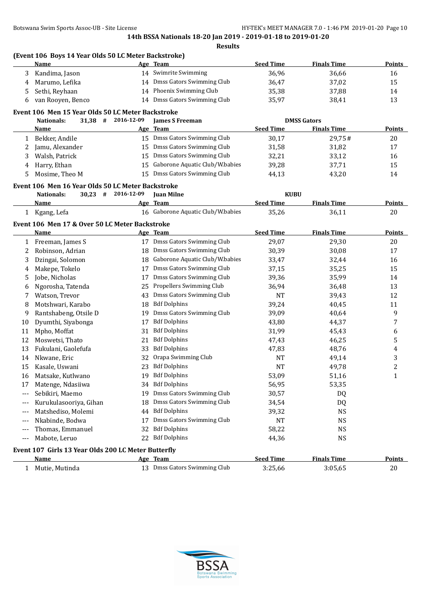|                          | Name                                                                    |            | Age Team                           | <b>Seed Time</b> | <b>Finals Time</b> | <b>Points</b>           |
|--------------------------|-------------------------------------------------------------------------|------------|------------------------------------|------------------|--------------------|-------------------------|
| 3                        | Kandima, Jason                                                          |            | 14 Swimrite Swimming               | 36,96            | 36,66              | 16                      |
| 4                        | Marumo, Lefika                                                          |            | 14 Dmss Gators Swimming Club       | 36,47            | 37,02              | 15                      |
| 5                        | Sethi, Reyhaan                                                          | 14         | Phoenix Swimming Club              | 35,38            | 37,88              | 14                      |
| 6                        | van Rooyen, Benco                                                       |            | 14 Dmss Gators Swimming Club       | 35,97            | 38,41              | 13                      |
|                          |                                                                         |            |                                    |                  |                    |                         |
|                          | Event 106 Men 15 Year Olds 50 LC Meter Backstroke<br>31,38 # 2016-12-09 |            |                                    |                  | <b>DMSS Gators</b> |                         |
|                          | Nationals:<br>Name                                                      |            | <b>James S Freeman</b><br>Age Team | <b>Seed Time</b> | <b>Finals Time</b> | <b>Points</b>           |
|                          |                                                                         |            | 15 Dmss Gators Swimming Club       |                  |                    |                         |
| 1                        | Bekker, Andile                                                          |            | Dmss Gators Swimming Club          | 30,17            | 29,75#             | 20                      |
| 2                        | Jamu, Alexander                                                         | 15         |                                    | 31,58            | 31,82              | 17                      |
| 3                        | Walsh, Patrick                                                          | 15         | Dmss Gators Swimming Club          | 32,21            | 33,12              | 16                      |
| 4                        | Harry, Ethan                                                            | 15         | Gaborone Aquatic Club/W.babies     | 39,28            | 37,71              | 15                      |
| 5                        | Mosime, Theo M                                                          | 15         | Dmss Gators Swimming Club          | 44,13            | 43,20              | 14                      |
|                          | Event 106 Men 16 Year Olds 50 LC Meter Backstroke                       |            |                                    |                  |                    |                         |
|                          | $30,23$ #<br><b>Nationals:</b>                                          | 2016-12-09 | <b>Juan Milne</b>                  | <b>KUBU</b>      |                    |                         |
|                          | Name                                                                    |            | Age Team                           | <b>Seed Time</b> | <b>Finals Time</b> | <b>Points</b>           |
|                          | 1 Kgang, Lefa                                                           |            | 16 Gaborone Aquatic Club/W.babies  | 35,26            | 36,11              | 20                      |
|                          | Event 106 Men 17 & Over 50 LC Meter Backstroke                          |            |                                    |                  |                    |                         |
|                          | Name                                                                    |            | Age Team                           | <b>Seed Time</b> | <b>Finals Time</b> | <b>Points</b>           |
|                          | 1 Freeman, James S                                                      |            | 17 Dmss Gators Swimming Club       | 29,07            | 29,30              | 20                      |
| 2                        | Robinson, Adrian                                                        | 18         | Dmss Gators Swimming Club          | 30,39            | 30,08              | 17                      |
|                          | Dzingai, Solomon                                                        |            | Gaborone Aquatic Club/W.babies     |                  |                    |                         |
| 3                        |                                                                         | 18         |                                    | 33,47            | 32,44              | 16                      |
| 4                        | Makepe, Tokelo                                                          | 17         | Dmss Gators Swimming Club          | 37,15            | 35,25              | 15                      |
| 5                        | Jobe, Nicholas                                                          | 17         | Dmss Gators Swimming Club          | 39,36            | 35,99              | 14                      |
| 6                        | Ngorosha, Tatenda                                                       | 25         | Propellers Swimming Club           | 36,94            | 36,48              | 13                      |
| 7                        | Watson, Trevor                                                          | 43         | Dmss Gators Swimming Club          | <b>NT</b>        | 39,43              | 12                      |
| 8                        | Motshwari, Karabo                                                       | 18         | <b>Bdf Dolphins</b>                | 39,24            | 40,45              | 11                      |
| 9                        | Rantshabeng, Otsile D                                                   | 19         | Dmss Gators Swimming Club          | 39,09            | 40,64              | 9                       |
| 10                       | Dyumthi, Siyabonga                                                      | 17         | <b>Bdf Dolphins</b>                | 43,80            | 44,37              | 7                       |
| 11                       | Mpho, Moffat                                                            | 31         | <b>Bdf Dolphins</b>                | 31,99            | 45,43              | 6                       |
| 12                       | Moswetsi, Thato                                                         | 21         | <b>Bdf Dolphins</b>                | 47,43            | 46,25              | 5                       |
| 13                       | Fukulani, Gaolefufa                                                     | 33         | <b>Bdf Dolphins</b>                | 47,83            | 48,76              | 4                       |
| 14                       | Nkwane, Eric                                                            | 32         | Orapa Swimming Club                | <b>NT</b>        | 49,14              | 3                       |
| 15                       | Kasale, Uswani                                                          | 23         | <b>Bdf Dolphins</b>                | <b>NT</b>        | 49,78              | $\overline{\mathbf{c}}$ |
| 16                       | Matsake, Kutlwano                                                       | 19         | <b>Bdf Dolphins</b>                | 53,09            | 51,16              | $\mathbf{1}$            |
| 17                       | Matenge, Ndasiiwa                                                       |            | 34 Bdf Dolphins                    | 56,95            | 53,35              |                         |
| $---$                    | Sebikiri, Maemo                                                         | 19         | Dmss Gators Swimming Club          | 30,57            | DQ                 |                         |
| ---                      | Kurukulasooriya, Gihan                                                  | 18         | Dmss Gators Swimming Club          | 34,54            | DQ                 |                         |
| $\overline{\phantom{a}}$ | Matshediso, Molemi                                                      | 44         | <b>Bdf Dolphins</b>                | 39,32            | <b>NS</b>          |                         |
| $---$                    | Nkabinde, Bodwa                                                         | 17         | Dmss Gators Swimming Club          | <b>NT</b>        | <b>NS</b>          |                         |
| $---$                    | Thomas, Emmanuel                                                        | 32         | <b>Bdf Dolphins</b>                | 58,22            | <b>NS</b>          |                         |
| $---$                    | Mabote, Leruo                                                           | 22         | <b>Bdf Dolphins</b>                | 44,36            | <b>NS</b>          |                         |
|                          |                                                                         |            |                                    |                  |                    |                         |
|                          | Event 107 Girls 13 Year Olds 200 LC Meter Butterfly                     |            |                                    |                  |                    |                         |
|                          | <b>Name</b>                                                             |            | Age Team                           | <b>Seed Time</b> | <b>Finals Time</b> | <b>Points</b>           |
|                          | 1 Mutie, Mutinda                                                        |            | 13 Dmss Gators Swimming Club       | 3:25,66          | 3:05,65            | 20                      |

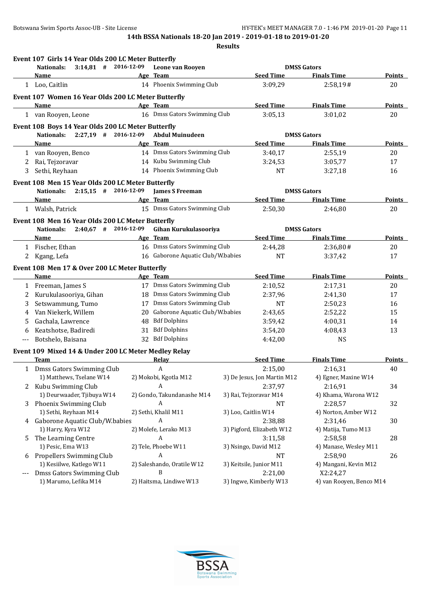|       | Event 107 Girls 14 Year Olds 200 LC Meter Butterfly  |    |                                   |                             |                          |               |
|-------|------------------------------------------------------|----|-----------------------------------|-----------------------------|--------------------------|---------------|
|       | $3:14.81$ # 2016-12-09<br><b>Nationals:</b>          |    | Leone van Rooven                  | <b>DMSS Gators</b>          |                          |               |
|       | <b>Name</b>                                          |    | Age Team                          | <b>Seed Time</b>            | <b>Finals Time</b>       | Points        |
|       | 1 Loo, Caitlin                                       |    | 14 Phoenix Swimming Club          | 3:09,29                     | 2:58,19#                 | 20            |
|       | Event 107 Women 16 Year Olds 200 LC Meter Butterfly  |    |                                   |                             |                          |               |
|       | Name                                                 |    | Age Team                          | <b>Seed Time</b>            | <b>Finals Time</b>       | <b>Points</b> |
|       | 1 van Rooyen, Leone                                  |    | 16 Dmss Gators Swimming Club      | 3:05,13                     | 3:01,02                  | 20            |
|       | Event 108 Boys 14 Year Olds 200 LC Meter Butterfly   |    |                                   |                             |                          |               |
|       | $2:27,19$ # 2016-12-09<br><b>Nationals:</b>          |    | <b>Abdul Muinudeen</b>            | <b>DMSS Gators</b>          |                          |               |
|       | Name                                                 |    | Age Team                          | <b>Seed Time</b>            | <b>Finals Time</b>       | <b>Points</b> |
|       | 1 van Rooyen, Benco                                  |    | 14 Dmss Gators Swimming Club      | 3:40,17                     | 2:55,19                  | 20            |
| 2     | Rai, Tejzoravar                                      |    | 14 Kubu Swimming Club             | 3:24,53                     | 3:05,77                  | 17            |
| 3     | Sethi, Reyhaan                                       |    | 14 Phoenix Swimming Club          | NT                          | 3:27,18                  | 16            |
|       | Event 108 Men 15 Year Olds 200 LC Meter Butterfly    |    |                                   |                             |                          |               |
|       | $2:15,15$ # 2016-12-09<br><b>Nationals:</b>          |    | <b>James S Freeman</b>            | <b>DMSS Gators</b>          |                          |               |
|       | Name                                                 |    | Age Team                          | <b>Seed Time</b>            | <b>Finals Time</b>       | Points        |
|       | 1 Walsh, Patrick                                     |    | 15 Dmss Gators Swimming Club      | 2:50,30                     | 2:46,80                  | 20            |
|       | Event 108 Men 16 Year Olds 200 LC Meter Butterfly    |    |                                   |                             |                          |               |
|       | $2:40,67$ # 2016-12-09<br><b>Nationals:</b>          |    | Gihan Kurukulasooriya             | <b>DMSS Gators</b>          |                          |               |
|       | Name                                                 |    | Age Team                          | <b>Seed Time</b>            | <b>Finals Time</b>       | Points        |
| 1     | Fischer, Ethan                                       |    | 16 Dmss Gators Swimming Club      | 2:44,28                     | 2:36,80#                 | 20            |
| 2     | Kgang, Lefa                                          |    | 16 Gaborone Aquatic Club/W.babies | <b>NT</b>                   | 3:37,42                  | 17            |
|       |                                                      |    |                                   |                             |                          |               |
|       | Event 108 Men 17 & Over 200 LC Meter Butterfly       |    |                                   |                             |                          |               |
|       | <b>Name</b>                                          |    | Age Team                          | <b>Seed Time</b>            | <b>Finals Time</b>       | <b>Points</b> |
| 1     | Freeman, James S                                     |    | 17 Dmss Gators Swimming Club      | 2:10,52                     | 2:17,31                  | 20            |
| 2     | Kurukulasooriya, Gihan                               |    | 18 Dmss Gators Swimming Club      | 2:37,96                     | 2:41,30                  | 17            |
| 3     | Setswammung, Tumo                                    |    | 17 Dmss Gators Swimming Club      | <b>NT</b>                   | 2:50,23                  | 16            |
| 4     | Van Niekerk, Willem                                  |    | 20 Gaborone Aquatic Club/W.babies | 2:43,65                     | 2:52,22                  | 15            |
| 5     | Gachala, Lawrence                                    | 48 | <b>Bdf Dolphins</b>               | 3:59,42                     | 4:00,31                  | 14            |
| 6     | Keatshotse, Badiredi                                 | 31 | <b>Bdf Dolphins</b>               | 3:54,20                     | 4:08,43                  | 13            |
| ---   | Botshelo, Baisana                                    |    | 32 Bdf Dolphins                   | 4:42,00                     | <b>NS</b>                |               |
|       | Event 109 Mixed 14 & Under 200 LC Meter Medley Relay |    |                                   |                             |                          |               |
|       | <b>Team</b>                                          |    | Relay                             | <b>Seed Time</b>            | <b>Finals Time</b>       | <b>Points</b> |
|       | 1 Dmss Gators Swimming Club                          |    | A                                 | 2:15,00                     | 2:16,31                  | 40            |
|       | 1) Matthews, Tselane W14                             |    | 2) Mokobi, Kgotla M12             | 3) De Jesus, Jon Martin M12 | 4) Egner, Maxine W14     |               |
| 2     | Kubu Swimming Club                                   |    | A                                 | 2:37,97                     | 2:16,91                  | 34            |
|       | 1) Deurwaader, Tjibuya W14                           |    | 2) Gondo, Takundanashe M14        | 3) Rai, Tejzoravar M14      | 4) Khama, Warona W12     |               |
| 3     | Phoenix Swimming Club                                |    | A                                 | <b>NT</b>                   | 2:28,57                  | 32            |
|       | 1) Sethi, Reyhaan M14                                |    | 2) Sethi, Khalil M11              | 3) Loo, Caitlin W14         | 4) Norton, Amber W12     |               |
|       | 4 Gaborone Aquatic Club/W.babies                     |    | A                                 | 2:38,88                     | 2:31,46                  | 30            |
|       | 1) Harry, Kyra W12                                   |    | 2) Molefe, Lerako M13             | 3) Pigford, Elizabeth W12   | 4) Matija, Tumo M13      |               |
| 5     | The Learning Centre                                  |    | A                                 | 3:11,58                     | 2:58,58                  | 28            |
|       | 1) Pesic, Ema W13                                    |    | 2) Tele, Phoebe W11               | 3) Nsingo, David M12        | 4) Manase, Wesley M11    |               |
| 6     | Propellers Swimming Club                             |    | A                                 | NT                          | 2:58,90                  | 26            |
|       | 1) Kesiilwe, Katlego W11                             |    | 2) Saleshando, Oratile W12        | 3) Keitsile, Junior M11     | 4) Mangani, Kevin M12    |               |
| $---$ | Dmss Gators Swimming Club                            |    | B                                 | 2:21,00                     | X2:24,27                 |               |
|       | 1) Marumo, Lefika M14                                |    | 2) Haitsma, Lindiwe W13           | 3) Ingwe, Kimberly W13      | 4) van Rooyen, Benco M14 |               |

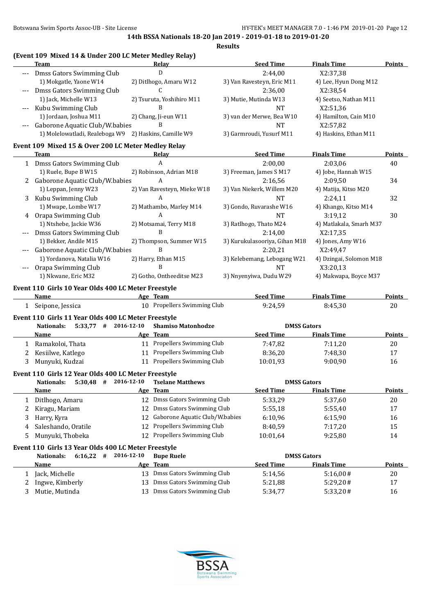|       | (Event 109 Mixed 14 & Under 200 LC Meter Medley Relay)                                             |     |                                |                               |                         |               |
|-------|----------------------------------------------------------------------------------------------------|-----|--------------------------------|-------------------------------|-------------------------|---------------|
|       | <b>Team</b>                                                                                        |     | Relay                          | <b>Seed Time</b>              | <b>Finals Time</b>      | <b>Points</b> |
|       | --- Dmss Gators Swimming Club                                                                      |     | D                              | 2:44,00                       | X2:37,38                |               |
|       | 1) Mokgatle, Yaone W14                                                                             |     | 2) Ditlhogo, Amaru W12         | 3) Van Ravesteyn, Eric M11    | 4) Lee, Hyun Dong M12   |               |
| $---$ | Dmss Gators Swimming Club                                                                          |     | C                              | 2:36,00                       | X2:38,54                |               |
|       | 1) Jack, Michelle W13                                                                              |     | 2) Tsuruta, Yoshihiro M11      | 3) Mutie, Mutinda W13         | 4) Seetso, Nathan M11   |               |
| $---$ | Kubu Swimming Club                                                                                 |     | B                              | <b>NT</b>                     | X2:51,36                |               |
|       | 1) Jordaan, Joshua M11                                                                             |     | 2) Chang, Ji-eun W11           | 3) van der Merwe, Bea W10     | 4) Hamilton, Cain M10   |               |
|       | Gaborone Aquatic Club/W.babies                                                                     |     | B                              | <b>NT</b>                     | X2:57,82                |               |
|       | 1) Molelowatladi, Realeboga W9 2) Haskins, Camille W9                                              |     |                                | 3) Garmroudi, Yusurf M11      | 4) Haskins, Ethan M11   |               |
|       | Event 109 Mixed 15 & Over 200 LC Meter Medley Relay                                                |     |                                |                               |                         |               |
|       | Team                                                                                               |     | Relay                          | <b>Seed Time</b>              | <b>Finals Time</b>      | <b>Points</b> |
|       | 1 Dmss Gators Swimming Club                                                                        |     | A                              | 2:00,00                       | 2:03,06                 | 40            |
|       | 1) Ruele, Bupe B W15                                                                               |     | 2) Robinson, Adrian M18        | 3) Freeman, James S M17       | 4) Jobe, Hannah W15     |               |
|       | 2 Gaborone Aquatic Club/W.babies                                                                   |     | A                              | 2:16,56                       | 2:09,50                 | 34            |
|       | 1) Leppan, Jenny W23                                                                               |     | 2) Van Ravesteyn, Mieke W18    | 3) Van Niekerk, Willem M20    | 4) Matija, Kitso M20    |               |
| 3     | Kubu Swimming Club                                                                                 |     | A                              | <b>NT</b>                     | 2:24,11                 | 32            |
|       | 1) Mwape, Lombe W17                                                                                |     | 2) Mathambo, Marley M14        | 3) Gondo, Ruvarashe W16       | 4) Khango, Kitso M14    |               |
| 4     | Orapa Swimming Club                                                                                |     | A                              | <b>NT</b>                     | 3:19,12                 | 30            |
|       | 1) Ntshebe, Jackie W36                                                                             |     | 2) Motsamai, Terry M18         | 3) Ratlhogo, Thato M24        | 4) Matlakala, Smarh M37 |               |
|       | Dmss Gators Swimming Club                                                                          |     | B                              | 2:14,00                       | X2:17,35                |               |
|       | 1) Bekker, Andile M15                                                                              |     | 2) Thompson, Summer W15        | 3) Kurukulasooriya, Gihan M18 | 4) Jones, Amy W16       |               |
|       | Gaborone Aquatic Club/W.babies                                                                     |     | B                              | 2:20,21                       | X2:49,47                |               |
|       | 1) Yordanova, Natalia W16                                                                          |     | 2) Harry, Ethan M15            | 3) Kelebemang, Lebogang W21   | 4) Dzingai, Solomon M18 |               |
|       | Orapa Swimming Club                                                                                |     | B                              | <b>NT</b>                     | X3:20,13                |               |
|       | 1) Nkwane, Eric M32                                                                                |     | 2) Gotho, Ontheeditse M23      | 3) Nnyenyiwa, Dudu W29        | 4) Makwapa, Boyce M37   |               |
|       | Event 110 Girls 10 Year Olds 400 LC Meter Freestyle                                                |     |                                |                               |                         |               |
|       | Name                                                                                               |     | Age Team                       | <b>Seed Time</b>              | <b>Finals Time</b>      | <b>Points</b> |
|       | 1 Seipone, Jessica                                                                                 |     | 10 Propellers Swimming Club    | 9:24,59                       | 8:45,30                 | 20            |
|       | Event 110 Girls 11 Year Olds 400 LC Meter Freestyle                                                |     |                                |                               |                         |               |
|       | $5:33,77$ # 2016-12-10<br><b>Nationals:</b>                                                        |     | <b>Shamiso Matonhodze</b>      | <b>DMSS Gators</b>            |                         |               |
|       | Name                                                                                               |     | Age Team                       | <b>Seed Time</b>              | <b>Finals Time</b>      | <u>Points</u> |
|       | 1 Ramakoloi, Thata                                                                                 |     | 11 Propellers Swimming Club    | 7:47,82                       | 7:11,20                 | 20            |
| 2     | Kesiilwe, Katlego                                                                                  |     | 11 Propellers Swimming Club    | 8:36,20                       | 7:48,30                 | 17            |
| 3     | Munyuki, Kudzai                                                                                    |     | 11 Propellers Swimming Club    | 10:01,93                      | 9:00,90                 | 16            |
|       |                                                                                                    |     |                                |                               |                         |               |
|       | Event 110 Girls 12 Year Olds 400 LC Meter Freestyle<br>$5:30,48$ # 2016-12-10<br><b>Nationals:</b> |     | <b>Tselane Matthews</b>        | <b>DMSS Gators</b>            |                         |               |
|       | <b>Name</b>                                                                                        | Age | <b>Team</b>                    | <b>Seed Time</b>              | <b>Finals Time</b>      | <b>Points</b> |
|       |                                                                                                    | 12  | Dmss Gators Swimming Club      | 5:33,29                       | 5:37,60                 | 20            |
| 1     | Ditlhogo, Amaru                                                                                    |     | Dmss Gators Swimming Club      |                               |                         |               |
| 2     | Kiragu, Mariam                                                                                     | 12  |                                | 5:55,18                       | 5:55,40                 | 17            |
| 3     | Harry, Kyra                                                                                        | 12  | Gaborone Aquatic Club/W.babies | 6:10,96                       | 6:15,90                 | 16            |
| 4     | Saleshando, Oratile                                                                                | 12  | Propellers Swimming Club       | 8:40,59                       | 7:17,20                 | 15            |
| 5     | Munyuki, Thobeka                                                                                   |     | 12 Propellers Swimming Club    | 10:01,64                      | 9:25,80                 | 14            |
|       | Event 110 Girls 13 Year Olds 400 LC Meter Freestyle                                                |     |                                |                               |                         |               |

# **Nationals: 6:16,22 # 2016-12-10 Bupe Ruele DMSS Gators Name Age Team Seed Time Finals Time Points** 1 Jack, Michelle 13 Dmss Gators Swimming Club 5:14,56 5:16,00# 20 2 Ingwe, Kimberly 13 Dmss Gators Swimming Club 5:21,88 5:29,20# 17 3 Mutie, Mutinda 13 Dmss Gators Swimming Club 5:34,77 5:33,20# 16

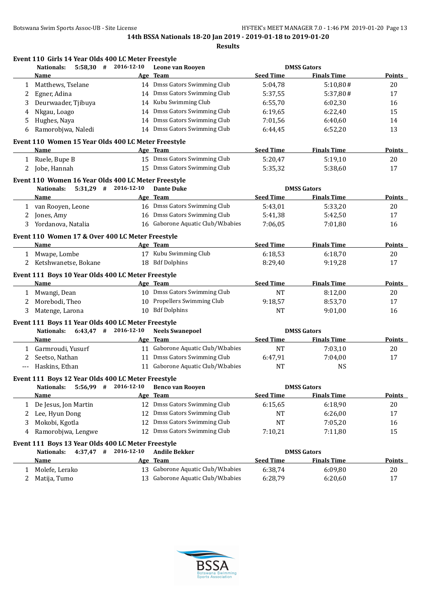| $5:58,30$ # 2016-12-10<br><b>DMSS Gators</b><br><b>Nationals:</b><br>Leone van Rooyen<br><b>Seed Time</b><br><b>Finals Time</b><br>Age Team<br>Name<br>14 Dmss Gators Swimming Club<br>5:04,78<br>Matthews, Tselane<br>5:10,80#<br>1<br>14 Dmss Gators Swimming Club<br>Egner, Adina<br>5:37,55<br>5:37,80#<br>2<br>14 Kubu Swimming Club<br>Deurwaader, Tjibuya<br>6:55,70<br>6:02,30<br>3<br>14 Dmss Gators Swimming Club<br>Nkgau, Loago<br>6:19.65<br>6:22,40<br>4<br>14 Dmss Gators Swimming Club<br>Hughes, Naya<br>7:01,56<br>6:40,60<br>5<br>14 Dmss Gators Swimming Club<br>Ramorobjwa, Naledi<br>6:52,20<br>6:44,45<br>6<br>Event 110 Women 15 Year Olds 400 LC Meter Freestyle<br><b>Seed Time</b><br><b>Finals Time</b><br>Age Team<br>Name<br>15 Dmss Gators Swimming Club<br>1 Ruele, Bupe B<br>5:20,47<br>5:19,10<br>15 Dmss Gators Swimming Club<br>Jobe, Hannah<br>5:35,32<br>5:38,60<br>2<br>Event 110 Women 16 Year Olds 400 LC Meter Freestyle<br>$5:31,29$ # 2016-12-10<br><b>DMSS Gators</b><br><b>Nationals:</b><br><b>Dante Duke</b><br><b>Seed Time</b><br>Age Team<br><b>Finals Time</b><br><b>Name</b><br>16 Dmss Gators Swimming Club<br>1 van Rooyen, Leone<br>5:43,01<br>5:33,20<br>16 Dmss Gators Swimming Club<br>Jones, Amy<br>5:41,38<br>5:42,50<br>2<br>3 Yordanova, Natalia<br>16 Gaborone Aquatic Club/W.babies<br>7:06,05<br>7:01,80<br>Event 110 Women 17 & Over 400 LC Meter Freestyle<br><b>Seed Time</b><br>Name<br>Age Team<br><b>Finals Time</b><br>17 Kubu Swimming Club<br>6:18,53<br>6:18,70<br>1 Mwape, Lombe<br>18 Bdf Dolphins<br>2 Ketshwanetse, Bokane<br>8:29,40<br>9:19,28<br>Event 111 Boys 10 Year Olds 400 LC Meter Freestyle<br><b>Seed Time</b><br><b>Finals Time</b><br>Name<br>Age Team<br>10 Dmss Gators Swimming Club<br>1 Mwangi, Dean<br><b>NT</b><br>8:12,00<br>10 Propellers Swimming Club<br>Morebodi, Theo<br>9:18,57<br>8:53,70<br>2<br>10 Bdf Dolphins<br><b>NT</b><br>3 Matenge, Larona<br>9:01,00<br>Event 111 Boys 11 Year Olds 400 LC Meter Freestyle<br>$6:43,47$ # 2016-12-10<br><b>Neels Swanepoel</b><br><b>DMSS Gators</b><br>Nationals:<br><b>Seed Time</b><br>Age Team<br><b>Finals Time</b><br>Name<br>11 Gaborone Aquatic Club/W.babies<br>1 Garmroudi, Yusurf<br>NT<br>7:03,10<br>11 Dmss Gators Swimming Club<br>Seetso, Nathan<br>6:47,91<br>7:04,00<br>2<br>11 Gaborone Aquatic Club/W.babies<br>Haskins, Ethan<br><b>NT</b><br><b>NS</b><br>$--$<br>Event 111 Boys 12 Year Olds 400 LC Meter Freestyle<br>5:56,99 # 2016-12-10<br><b>DMSS Gators</b><br><b>Nationals:</b><br><b>Benco van Rooyen</b><br><b>Seed Time</b><br><b>Finals Time</b><br>Name<br>Age Team<br>12 Dmss Gators Swimming Club<br>De Jesus, Jon Martin<br>6:15,65<br>6:18,90<br>1<br>Dmss Gators Swimming Club<br>Lee, Hyun Dong<br>NT<br>6:26,00<br>2<br>12<br>Dmss Gators Swimming Club<br>Mokobi, Kgotla<br>7:05,20<br>12<br>NT<br>3<br>12 Dmss Gators Swimming Club<br>Ramorobjwa, Lengwe<br>7:10,21<br>7:11,80<br>4 | Event 110 Girls 14 Year Olds 400 LC Meter Freestyle |               |
|---------------------------------------------------------------------------------------------------------------------------------------------------------------------------------------------------------------------------------------------------------------------------------------------------------------------------------------------------------------------------------------------------------------------------------------------------------------------------------------------------------------------------------------------------------------------------------------------------------------------------------------------------------------------------------------------------------------------------------------------------------------------------------------------------------------------------------------------------------------------------------------------------------------------------------------------------------------------------------------------------------------------------------------------------------------------------------------------------------------------------------------------------------------------------------------------------------------------------------------------------------------------------------------------------------------------------------------------------------------------------------------------------------------------------------------------------------------------------------------------------------------------------------------------------------------------------------------------------------------------------------------------------------------------------------------------------------------------------------------------------------------------------------------------------------------------------------------------------------------------------------------------------------------------------------------------------------------------------------------------------------------------------------------------------------------------------------------------------------------------------------------------------------------------------------------------------------------------------------------------------------------------------------------------------------------------------------------------------------------------------------------------------------------------------------------------------------------------------------------------------------------------------------------------------------------------------------------------------------------------------------------------------------------------------------------------------------------------------------------------------------------------------------------------------------------------------------------------------------------------------------------------------------------------------------------------------------------------------------------|-----------------------------------------------------|---------------|
|                                                                                                                                                                                                                                                                                                                                                                                                                                                                                                                                                                                                                                                                                                                                                                                                                                                                                                                                                                                                                                                                                                                                                                                                                                                                                                                                                                                                                                                                                                                                                                                                                                                                                                                                                                                                                                                                                                                                                                                                                                                                                                                                                                                                                                                                                                                                                                                                                                                                                                                                                                                                                                                                                                                                                                                                                                                                                                                                                                                       |                                                     |               |
|                                                                                                                                                                                                                                                                                                                                                                                                                                                                                                                                                                                                                                                                                                                                                                                                                                                                                                                                                                                                                                                                                                                                                                                                                                                                                                                                                                                                                                                                                                                                                                                                                                                                                                                                                                                                                                                                                                                                                                                                                                                                                                                                                                                                                                                                                                                                                                                                                                                                                                                                                                                                                                                                                                                                                                                                                                                                                                                                                                                       |                                                     | <b>Points</b> |
|                                                                                                                                                                                                                                                                                                                                                                                                                                                                                                                                                                                                                                                                                                                                                                                                                                                                                                                                                                                                                                                                                                                                                                                                                                                                                                                                                                                                                                                                                                                                                                                                                                                                                                                                                                                                                                                                                                                                                                                                                                                                                                                                                                                                                                                                                                                                                                                                                                                                                                                                                                                                                                                                                                                                                                                                                                                                                                                                                                                       |                                                     | 20            |
|                                                                                                                                                                                                                                                                                                                                                                                                                                                                                                                                                                                                                                                                                                                                                                                                                                                                                                                                                                                                                                                                                                                                                                                                                                                                                                                                                                                                                                                                                                                                                                                                                                                                                                                                                                                                                                                                                                                                                                                                                                                                                                                                                                                                                                                                                                                                                                                                                                                                                                                                                                                                                                                                                                                                                                                                                                                                                                                                                                                       |                                                     | 17            |
|                                                                                                                                                                                                                                                                                                                                                                                                                                                                                                                                                                                                                                                                                                                                                                                                                                                                                                                                                                                                                                                                                                                                                                                                                                                                                                                                                                                                                                                                                                                                                                                                                                                                                                                                                                                                                                                                                                                                                                                                                                                                                                                                                                                                                                                                                                                                                                                                                                                                                                                                                                                                                                                                                                                                                                                                                                                                                                                                                                                       |                                                     | 16            |
|                                                                                                                                                                                                                                                                                                                                                                                                                                                                                                                                                                                                                                                                                                                                                                                                                                                                                                                                                                                                                                                                                                                                                                                                                                                                                                                                                                                                                                                                                                                                                                                                                                                                                                                                                                                                                                                                                                                                                                                                                                                                                                                                                                                                                                                                                                                                                                                                                                                                                                                                                                                                                                                                                                                                                                                                                                                                                                                                                                                       |                                                     | 15            |
|                                                                                                                                                                                                                                                                                                                                                                                                                                                                                                                                                                                                                                                                                                                                                                                                                                                                                                                                                                                                                                                                                                                                                                                                                                                                                                                                                                                                                                                                                                                                                                                                                                                                                                                                                                                                                                                                                                                                                                                                                                                                                                                                                                                                                                                                                                                                                                                                                                                                                                                                                                                                                                                                                                                                                                                                                                                                                                                                                                                       |                                                     | 14            |
|                                                                                                                                                                                                                                                                                                                                                                                                                                                                                                                                                                                                                                                                                                                                                                                                                                                                                                                                                                                                                                                                                                                                                                                                                                                                                                                                                                                                                                                                                                                                                                                                                                                                                                                                                                                                                                                                                                                                                                                                                                                                                                                                                                                                                                                                                                                                                                                                                                                                                                                                                                                                                                                                                                                                                                                                                                                                                                                                                                                       |                                                     | 13            |
|                                                                                                                                                                                                                                                                                                                                                                                                                                                                                                                                                                                                                                                                                                                                                                                                                                                                                                                                                                                                                                                                                                                                                                                                                                                                                                                                                                                                                                                                                                                                                                                                                                                                                                                                                                                                                                                                                                                                                                                                                                                                                                                                                                                                                                                                                                                                                                                                                                                                                                                                                                                                                                                                                                                                                                                                                                                                                                                                                                                       |                                                     |               |
|                                                                                                                                                                                                                                                                                                                                                                                                                                                                                                                                                                                                                                                                                                                                                                                                                                                                                                                                                                                                                                                                                                                                                                                                                                                                                                                                                                                                                                                                                                                                                                                                                                                                                                                                                                                                                                                                                                                                                                                                                                                                                                                                                                                                                                                                                                                                                                                                                                                                                                                                                                                                                                                                                                                                                                                                                                                                                                                                                                                       |                                                     | <b>Points</b> |
|                                                                                                                                                                                                                                                                                                                                                                                                                                                                                                                                                                                                                                                                                                                                                                                                                                                                                                                                                                                                                                                                                                                                                                                                                                                                                                                                                                                                                                                                                                                                                                                                                                                                                                                                                                                                                                                                                                                                                                                                                                                                                                                                                                                                                                                                                                                                                                                                                                                                                                                                                                                                                                                                                                                                                                                                                                                                                                                                                                                       |                                                     | 20            |
|                                                                                                                                                                                                                                                                                                                                                                                                                                                                                                                                                                                                                                                                                                                                                                                                                                                                                                                                                                                                                                                                                                                                                                                                                                                                                                                                                                                                                                                                                                                                                                                                                                                                                                                                                                                                                                                                                                                                                                                                                                                                                                                                                                                                                                                                                                                                                                                                                                                                                                                                                                                                                                                                                                                                                                                                                                                                                                                                                                                       |                                                     | 17            |
|                                                                                                                                                                                                                                                                                                                                                                                                                                                                                                                                                                                                                                                                                                                                                                                                                                                                                                                                                                                                                                                                                                                                                                                                                                                                                                                                                                                                                                                                                                                                                                                                                                                                                                                                                                                                                                                                                                                                                                                                                                                                                                                                                                                                                                                                                                                                                                                                                                                                                                                                                                                                                                                                                                                                                                                                                                                                                                                                                                                       |                                                     |               |
|                                                                                                                                                                                                                                                                                                                                                                                                                                                                                                                                                                                                                                                                                                                                                                                                                                                                                                                                                                                                                                                                                                                                                                                                                                                                                                                                                                                                                                                                                                                                                                                                                                                                                                                                                                                                                                                                                                                                                                                                                                                                                                                                                                                                                                                                                                                                                                                                                                                                                                                                                                                                                                                                                                                                                                                                                                                                                                                                                                                       |                                                     |               |
|                                                                                                                                                                                                                                                                                                                                                                                                                                                                                                                                                                                                                                                                                                                                                                                                                                                                                                                                                                                                                                                                                                                                                                                                                                                                                                                                                                                                                                                                                                                                                                                                                                                                                                                                                                                                                                                                                                                                                                                                                                                                                                                                                                                                                                                                                                                                                                                                                                                                                                                                                                                                                                                                                                                                                                                                                                                                                                                                                                                       |                                                     | <b>Points</b> |
|                                                                                                                                                                                                                                                                                                                                                                                                                                                                                                                                                                                                                                                                                                                                                                                                                                                                                                                                                                                                                                                                                                                                                                                                                                                                                                                                                                                                                                                                                                                                                                                                                                                                                                                                                                                                                                                                                                                                                                                                                                                                                                                                                                                                                                                                                                                                                                                                                                                                                                                                                                                                                                                                                                                                                                                                                                                                                                                                                                                       |                                                     | 20            |
|                                                                                                                                                                                                                                                                                                                                                                                                                                                                                                                                                                                                                                                                                                                                                                                                                                                                                                                                                                                                                                                                                                                                                                                                                                                                                                                                                                                                                                                                                                                                                                                                                                                                                                                                                                                                                                                                                                                                                                                                                                                                                                                                                                                                                                                                                                                                                                                                                                                                                                                                                                                                                                                                                                                                                                                                                                                                                                                                                                                       |                                                     | 17            |
|                                                                                                                                                                                                                                                                                                                                                                                                                                                                                                                                                                                                                                                                                                                                                                                                                                                                                                                                                                                                                                                                                                                                                                                                                                                                                                                                                                                                                                                                                                                                                                                                                                                                                                                                                                                                                                                                                                                                                                                                                                                                                                                                                                                                                                                                                                                                                                                                                                                                                                                                                                                                                                                                                                                                                                                                                                                                                                                                                                                       |                                                     | 16            |
|                                                                                                                                                                                                                                                                                                                                                                                                                                                                                                                                                                                                                                                                                                                                                                                                                                                                                                                                                                                                                                                                                                                                                                                                                                                                                                                                                                                                                                                                                                                                                                                                                                                                                                                                                                                                                                                                                                                                                                                                                                                                                                                                                                                                                                                                                                                                                                                                                                                                                                                                                                                                                                                                                                                                                                                                                                                                                                                                                                                       |                                                     |               |
|                                                                                                                                                                                                                                                                                                                                                                                                                                                                                                                                                                                                                                                                                                                                                                                                                                                                                                                                                                                                                                                                                                                                                                                                                                                                                                                                                                                                                                                                                                                                                                                                                                                                                                                                                                                                                                                                                                                                                                                                                                                                                                                                                                                                                                                                                                                                                                                                                                                                                                                                                                                                                                                                                                                                                                                                                                                                                                                                                                                       |                                                     | <b>Points</b> |
|                                                                                                                                                                                                                                                                                                                                                                                                                                                                                                                                                                                                                                                                                                                                                                                                                                                                                                                                                                                                                                                                                                                                                                                                                                                                                                                                                                                                                                                                                                                                                                                                                                                                                                                                                                                                                                                                                                                                                                                                                                                                                                                                                                                                                                                                                                                                                                                                                                                                                                                                                                                                                                                                                                                                                                                                                                                                                                                                                                                       |                                                     | 20            |
|                                                                                                                                                                                                                                                                                                                                                                                                                                                                                                                                                                                                                                                                                                                                                                                                                                                                                                                                                                                                                                                                                                                                                                                                                                                                                                                                                                                                                                                                                                                                                                                                                                                                                                                                                                                                                                                                                                                                                                                                                                                                                                                                                                                                                                                                                                                                                                                                                                                                                                                                                                                                                                                                                                                                                                                                                                                                                                                                                                                       |                                                     | 17            |
|                                                                                                                                                                                                                                                                                                                                                                                                                                                                                                                                                                                                                                                                                                                                                                                                                                                                                                                                                                                                                                                                                                                                                                                                                                                                                                                                                                                                                                                                                                                                                                                                                                                                                                                                                                                                                                                                                                                                                                                                                                                                                                                                                                                                                                                                                                                                                                                                                                                                                                                                                                                                                                                                                                                                                                                                                                                                                                                                                                                       |                                                     |               |
|                                                                                                                                                                                                                                                                                                                                                                                                                                                                                                                                                                                                                                                                                                                                                                                                                                                                                                                                                                                                                                                                                                                                                                                                                                                                                                                                                                                                                                                                                                                                                                                                                                                                                                                                                                                                                                                                                                                                                                                                                                                                                                                                                                                                                                                                                                                                                                                                                                                                                                                                                                                                                                                                                                                                                                                                                                                                                                                                                                                       |                                                     | <b>Points</b> |
|                                                                                                                                                                                                                                                                                                                                                                                                                                                                                                                                                                                                                                                                                                                                                                                                                                                                                                                                                                                                                                                                                                                                                                                                                                                                                                                                                                                                                                                                                                                                                                                                                                                                                                                                                                                                                                                                                                                                                                                                                                                                                                                                                                                                                                                                                                                                                                                                                                                                                                                                                                                                                                                                                                                                                                                                                                                                                                                                                                                       |                                                     | 20            |
|                                                                                                                                                                                                                                                                                                                                                                                                                                                                                                                                                                                                                                                                                                                                                                                                                                                                                                                                                                                                                                                                                                                                                                                                                                                                                                                                                                                                                                                                                                                                                                                                                                                                                                                                                                                                                                                                                                                                                                                                                                                                                                                                                                                                                                                                                                                                                                                                                                                                                                                                                                                                                                                                                                                                                                                                                                                                                                                                                                                       |                                                     | 17            |
|                                                                                                                                                                                                                                                                                                                                                                                                                                                                                                                                                                                                                                                                                                                                                                                                                                                                                                                                                                                                                                                                                                                                                                                                                                                                                                                                                                                                                                                                                                                                                                                                                                                                                                                                                                                                                                                                                                                                                                                                                                                                                                                                                                                                                                                                                                                                                                                                                                                                                                                                                                                                                                                                                                                                                                                                                                                                                                                                                                                       |                                                     | 16            |
|                                                                                                                                                                                                                                                                                                                                                                                                                                                                                                                                                                                                                                                                                                                                                                                                                                                                                                                                                                                                                                                                                                                                                                                                                                                                                                                                                                                                                                                                                                                                                                                                                                                                                                                                                                                                                                                                                                                                                                                                                                                                                                                                                                                                                                                                                                                                                                                                                                                                                                                                                                                                                                                                                                                                                                                                                                                                                                                                                                                       |                                                     |               |
|                                                                                                                                                                                                                                                                                                                                                                                                                                                                                                                                                                                                                                                                                                                                                                                                                                                                                                                                                                                                                                                                                                                                                                                                                                                                                                                                                                                                                                                                                                                                                                                                                                                                                                                                                                                                                                                                                                                                                                                                                                                                                                                                                                                                                                                                                                                                                                                                                                                                                                                                                                                                                                                                                                                                                                                                                                                                                                                                                                                       |                                                     |               |
|                                                                                                                                                                                                                                                                                                                                                                                                                                                                                                                                                                                                                                                                                                                                                                                                                                                                                                                                                                                                                                                                                                                                                                                                                                                                                                                                                                                                                                                                                                                                                                                                                                                                                                                                                                                                                                                                                                                                                                                                                                                                                                                                                                                                                                                                                                                                                                                                                                                                                                                                                                                                                                                                                                                                                                                                                                                                                                                                                                                       |                                                     | Points        |
|                                                                                                                                                                                                                                                                                                                                                                                                                                                                                                                                                                                                                                                                                                                                                                                                                                                                                                                                                                                                                                                                                                                                                                                                                                                                                                                                                                                                                                                                                                                                                                                                                                                                                                                                                                                                                                                                                                                                                                                                                                                                                                                                                                                                                                                                                                                                                                                                                                                                                                                                                                                                                                                                                                                                                                                                                                                                                                                                                                                       |                                                     | 20            |
|                                                                                                                                                                                                                                                                                                                                                                                                                                                                                                                                                                                                                                                                                                                                                                                                                                                                                                                                                                                                                                                                                                                                                                                                                                                                                                                                                                                                                                                                                                                                                                                                                                                                                                                                                                                                                                                                                                                                                                                                                                                                                                                                                                                                                                                                                                                                                                                                                                                                                                                                                                                                                                                                                                                                                                                                                                                                                                                                                                                       |                                                     | 17            |
|                                                                                                                                                                                                                                                                                                                                                                                                                                                                                                                                                                                                                                                                                                                                                                                                                                                                                                                                                                                                                                                                                                                                                                                                                                                                                                                                                                                                                                                                                                                                                                                                                                                                                                                                                                                                                                                                                                                                                                                                                                                                                                                                                                                                                                                                                                                                                                                                                                                                                                                                                                                                                                                                                                                                                                                                                                                                                                                                                                                       |                                                     |               |
|                                                                                                                                                                                                                                                                                                                                                                                                                                                                                                                                                                                                                                                                                                                                                                                                                                                                                                                                                                                                                                                                                                                                                                                                                                                                                                                                                                                                                                                                                                                                                                                                                                                                                                                                                                                                                                                                                                                                                                                                                                                                                                                                                                                                                                                                                                                                                                                                                                                                                                                                                                                                                                                                                                                                                                                                                                                                                                                                                                                       |                                                     |               |
|                                                                                                                                                                                                                                                                                                                                                                                                                                                                                                                                                                                                                                                                                                                                                                                                                                                                                                                                                                                                                                                                                                                                                                                                                                                                                                                                                                                                                                                                                                                                                                                                                                                                                                                                                                                                                                                                                                                                                                                                                                                                                                                                                                                                                                                                                                                                                                                                                                                                                                                                                                                                                                                                                                                                                                                                                                                                                                                                                                                       |                                                     |               |
|                                                                                                                                                                                                                                                                                                                                                                                                                                                                                                                                                                                                                                                                                                                                                                                                                                                                                                                                                                                                                                                                                                                                                                                                                                                                                                                                                                                                                                                                                                                                                                                                                                                                                                                                                                                                                                                                                                                                                                                                                                                                                                                                                                                                                                                                                                                                                                                                                                                                                                                                                                                                                                                                                                                                                                                                                                                                                                                                                                                       |                                                     | <b>Points</b> |
|                                                                                                                                                                                                                                                                                                                                                                                                                                                                                                                                                                                                                                                                                                                                                                                                                                                                                                                                                                                                                                                                                                                                                                                                                                                                                                                                                                                                                                                                                                                                                                                                                                                                                                                                                                                                                                                                                                                                                                                                                                                                                                                                                                                                                                                                                                                                                                                                                                                                                                                                                                                                                                                                                                                                                                                                                                                                                                                                                                                       |                                                     | 20            |
|                                                                                                                                                                                                                                                                                                                                                                                                                                                                                                                                                                                                                                                                                                                                                                                                                                                                                                                                                                                                                                                                                                                                                                                                                                                                                                                                                                                                                                                                                                                                                                                                                                                                                                                                                                                                                                                                                                                                                                                                                                                                                                                                                                                                                                                                                                                                                                                                                                                                                                                                                                                                                                                                                                                                                                                                                                                                                                                                                                                       |                                                     | 17            |
|                                                                                                                                                                                                                                                                                                                                                                                                                                                                                                                                                                                                                                                                                                                                                                                                                                                                                                                                                                                                                                                                                                                                                                                                                                                                                                                                                                                                                                                                                                                                                                                                                                                                                                                                                                                                                                                                                                                                                                                                                                                                                                                                                                                                                                                                                                                                                                                                                                                                                                                                                                                                                                                                                                                                                                                                                                                                                                                                                                                       |                                                     | 16            |
|                                                                                                                                                                                                                                                                                                                                                                                                                                                                                                                                                                                                                                                                                                                                                                                                                                                                                                                                                                                                                                                                                                                                                                                                                                                                                                                                                                                                                                                                                                                                                                                                                                                                                                                                                                                                                                                                                                                                                                                                                                                                                                                                                                                                                                                                                                                                                                                                                                                                                                                                                                                                                                                                                                                                                                                                                                                                                                                                                                                       |                                                     | 15            |
| Event 111 Boys 13 Year Olds 400 LC Meter Freestyle                                                                                                                                                                                                                                                                                                                                                                                                                                                                                                                                                                                                                                                                                                                                                                                                                                                                                                                                                                                                                                                                                                                                                                                                                                                                                                                                                                                                                                                                                                                                                                                                                                                                                                                                                                                                                                                                                                                                                                                                                                                                                                                                                                                                                                                                                                                                                                                                                                                                                                                                                                                                                                                                                                                                                                                                                                                                                                                                    |                                                     |               |
| $4:37,47$ # 2016-12-10<br><b>DMSS Gators</b><br><b>Nationals:</b><br><b>Andile Bekker</b>                                                                                                                                                                                                                                                                                                                                                                                                                                                                                                                                                                                                                                                                                                                                                                                                                                                                                                                                                                                                                                                                                                                                                                                                                                                                                                                                                                                                                                                                                                                                                                                                                                                                                                                                                                                                                                                                                                                                                                                                                                                                                                                                                                                                                                                                                                                                                                                                                                                                                                                                                                                                                                                                                                                                                                                                                                                                                             |                                                     |               |
| <b>Seed Time</b><br>Age Team<br><b>Finals Time</b><br>Name                                                                                                                                                                                                                                                                                                                                                                                                                                                                                                                                                                                                                                                                                                                                                                                                                                                                                                                                                                                                                                                                                                                                                                                                                                                                                                                                                                                                                                                                                                                                                                                                                                                                                                                                                                                                                                                                                                                                                                                                                                                                                                                                                                                                                                                                                                                                                                                                                                                                                                                                                                                                                                                                                                                                                                                                                                                                                                                            |                                                     | <b>Points</b> |
| 13 Gaborone Aquatic Club/W.babies<br>Molefe, Lerako<br>6:38,74<br>6:09,80<br>1                                                                                                                                                                                                                                                                                                                                                                                                                                                                                                                                                                                                                                                                                                                                                                                                                                                                                                                                                                                                                                                                                                                                                                                                                                                                                                                                                                                                                                                                                                                                                                                                                                                                                                                                                                                                                                                                                                                                                                                                                                                                                                                                                                                                                                                                                                                                                                                                                                                                                                                                                                                                                                                                                                                                                                                                                                                                                                        |                                                     | $20\,$        |
| 13 Gaborone Aquatic Club/W.babies<br>6:28,79<br>6:20,60<br>2<br>Matija, Tumo                                                                                                                                                                                                                                                                                                                                                                                                                                                                                                                                                                                                                                                                                                                                                                                                                                                                                                                                                                                                                                                                                                                                                                                                                                                                                                                                                                                                                                                                                                                                                                                                                                                                                                                                                                                                                                                                                                                                                                                                                                                                                                                                                                                                                                                                                                                                                                                                                                                                                                                                                                                                                                                                                                                                                                                                                                                                                                          |                                                     | 17            |

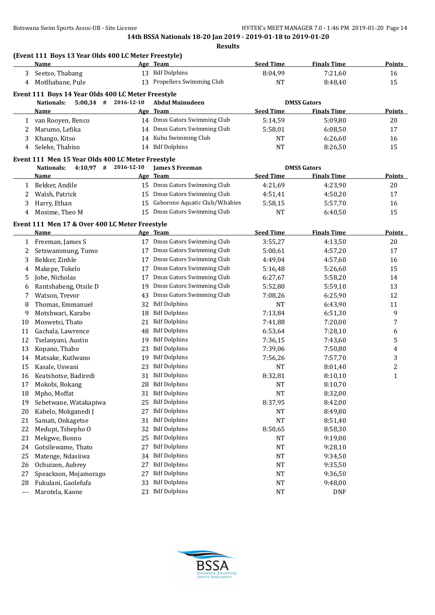|              | (Event 111 Boys 13 Year Olds 400 LC Meter Freestyle)<br><b>Name</b>         |    | Age Team                           | <b>Seed Time</b> | <b>Finals Time</b> | <b>Points</b>  |
|--------------|-----------------------------------------------------------------------------|----|------------------------------------|------------------|--------------------|----------------|
| 3            | Seetso, Thabang                                                             |    | 13 Bdf Dolphins                    | 8:04,99          | 7:21,60            | 16             |
| 4            | Motlhabane, Pule                                                            |    | 13 Propellers Swimming Club        | <b>NT</b>        | 8:48,40            | 15             |
|              | Event 111 Boys 14 Year Olds 400 LC Meter Freestyle                          |    |                                    |                  |                    |                |
|              | $5:00,34$ # 2016-12-10<br><b>Nationals:</b>                                 |    | <b>Abdul Muinudeen</b>             |                  | <b>DMSS Gators</b> |                |
|              | Name                                                                        |    | Age Team                           | <b>Seed Time</b> | <b>Finals Time</b> | Points         |
| 1            | van Rooyen, Benco                                                           |    | 14 Dmss Gators Swimming Club       | 5:14,59          | 5:09,80            | 20             |
| 2            | Marumo, Lefika                                                              |    | 14 Dmss Gators Swimming Club       | 5:58,01          | 6:08,50            | 17             |
| 3            | Khango, Kitso                                                               |    | 14 Kubu Swimming Club              | NT               | 6:26,60            | 16             |
| 4            | Seleke, Thabiso                                                             |    | 14 Bdf Dolphins                    | <b>NT</b>        | 8:26,50            | 15             |
|              |                                                                             |    |                                    |                  |                    |                |
|              | Event 111 Men 15 Year Olds 400 LC Meter Freestyle<br>$4:10,97$ # 2016-12-10 |    |                                    |                  | <b>DMSS Gators</b> |                |
|              | <b>Nationals:</b><br>Name                                                   |    | <b>James S Freeman</b><br>Age Team | <b>Seed Time</b> | <b>Finals Time</b> | Points         |
|              | Bekker, Andile                                                              |    | 15 Dmss Gators Swimming Club       | 4:21,69          |                    | 20             |
| 1            |                                                                             |    | 15 Dmss Gators Swimming Club       |                  | 4:23,90            |                |
| 2            | Walsh, Patrick                                                              |    | Gaborone Aquatic Club/W.babies     | 4:51,41          | 4:50,20            | 17             |
| 3            | Harry, Ethan                                                                | 15 |                                    | 5:58,15          | 5:57,70            | 16             |
| 4            | Mosime, Theo M                                                              |    | 15 Dmss Gators Swimming Club       | <b>NT</b>        | 6:40,50            | 15             |
|              | Event 111 Men 17 & Over 400 LC Meter Freestyle                              |    |                                    |                  |                    |                |
|              | Name                                                                        |    | Age Team                           | <b>Seed Time</b> | <b>Finals Time</b> | <b>Points</b>  |
| $\mathbf{1}$ | Freeman, James S                                                            |    | 17 Dmss Gators Swimming Club       | 3:55,27          | 4:13,50            | 20             |
| 2            | Setswammung, Tumo                                                           |    | 17 Dmss Gators Swimming Club       | 5:00,61          | 4:57,20            | 17             |
| 3            | Bekker, Zinhle                                                              | 17 | Dmss Gators Swimming Club          | 4:49,04          | 4:57,60            | 16             |
| 4            | Makepe, Tokelo                                                              | 17 | Dmss Gators Swimming Club          | 5:16,48          | 5:26,60            | 15             |
| 5            | Jobe, Nicholas                                                              | 17 | Dmss Gators Swimming Club          | 6:27,67          | 5:58,20            | 14             |
| 6            | Rantshabeng, Otsile D                                                       | 19 | Dmss Gators Swimming Club          | 5:52,80          | 5:59,10            | 13             |
| 7            | Watson, Trevor                                                              | 43 | Dmss Gators Swimming Club          | 7:08,26          | 6:25,90            | 12             |
| 8            | Thomas, Emmanuel                                                            | 32 | <b>Bdf Dolphins</b>                | <b>NT</b>        | 6:43,90            | 11             |
| 9            | Motshwari, Karabo                                                           | 18 | <b>Bdf Dolphins</b>                | 7:13,84          | 6:51,30            | 9              |
| 10           | Moswetsi, Thato                                                             | 21 | <b>Bdf Dolphins</b>                | 7:41,88          | 7:20,00            | 7              |
| 11           | Gachala, Lawrence                                                           | 48 | <b>Bdf Dolphins</b>                | 6:53,64          | 7:28,10            | 6              |
| 12           | Tselanyani, Austin                                                          | 19 | <b>Bdf Dolphins</b>                | 7:36,15          | 7:43,60            | 5              |
| 13           | Kopano, Thabo                                                               | 23 | <b>Bdf Dolphins</b>                | 7:39,06          | 7:50,80            | 4              |
| 14           | Matsake, Kutlwano                                                           | 19 | <b>Bdf Dolphins</b>                | 7:56,26          | 7:57,70            | 3              |
| 15           | Kasale, Uswani                                                              | 23 | <b>Bdf Dolphins</b>                | NT               | 8:01,40            | $\overline{c}$ |
| 16           | Keatshotse, Badiredi                                                        | 31 | <b>Bdf Dolphins</b>                | 8:32,81          | 8:10,10            | $\mathbf{1}$   |
| 17           | Mokobi, Bokang                                                              | 28 | <b>Bdf Dolphins</b>                | <b>NT</b>        | 8:10,70            |                |
| 18           | Mpho, Moffat                                                                | 31 | <b>Bdf Dolphins</b>                | <b>NT</b>        | 8:32,00            |                |
| 19           | Sebetwane, Watakapiwa                                                       | 25 | <b>Bdf Dolphins</b>                | 8:37,95          | 8:42,00            |                |
| 20           | Kabelo, Mokganedi J                                                         | 27 | <b>Bdf Dolphins</b>                | NT               | 8:49,80            |                |
| 21           | Samati, Onkagetse                                                           | 31 | <b>Bdf Dolphins</b>                | <b>NT</b>        | 8:51,40            |                |
| 22           | Medupi, Tshepho O                                                           | 32 | <b>Bdf Dolphins</b>                | 8:50,65          | 8:58,30            |                |
| 23           | Mekgwe, Bonno                                                               | 25 | <b>Bdf Dolphins</b>                | NT               | 9:19,00            |                |
| 24           | Gotsilewame, Thato                                                          | 27 | <b>Bdf Dolphins</b>                | <b>NT</b>        | 9:28,10            |                |
| 25           | Matenge, Ndasiiwa                                                           | 34 | <b>Bdf Dolphins</b>                | <b>NT</b>        | 9:34,50            |                |
| 26           | Ochuizen, Aubrey                                                            | 27 | <b>Bdf Dolphins</b>                | <b>NT</b>        | 9:35,50            |                |
| 27           | Speackson, Mojamorago                                                       | 27 | <b>Bdf Dolphins</b>                | <b>NT</b>        | 9:36,50            |                |
| 28           | Fukulani, Gaolefufa                                                         | 33 | <b>Bdf Dolphins</b>                | <b>NT</b>        | 9:48,00            |                |
| ---          | Marotela, Kaone                                                             | 23 | <b>Bdf Dolphins</b>                | <b>NT</b>        | <b>DNF</b>         |                |

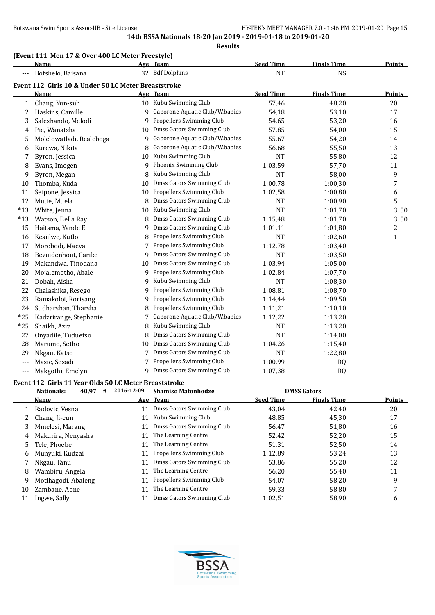#### **Results**

# **(Event 111 Men 17 & Over 400 LC Meter Freestyle)**

|                | <b>Name</b>                                         |    | Age Team                         | <b>Seed Time</b> | <b>Finals Time</b> | <b>Points</b>  |
|----------------|-----------------------------------------------------|----|----------------------------------|------------------|--------------------|----------------|
|                | Botshelo, Baisana                                   |    | 32 Bdf Dolphins                  | <b>NT</b>        | <b>NS</b>          |                |
|                | Event 112 Girls 10 & Under 50 LC Meter Breaststroke |    |                                  |                  |                    |                |
|                | Name                                                |    | Age Team                         | <b>Seed Time</b> | <b>Finals Time</b> | <b>Points</b>  |
| 1              | Chang, Yun-suh                                      |    | 10 Kubu Swimming Club            | 57,46            | 48,20              | 20             |
| 2              | Haskins, Camille                                    | 9  | Gaborone Aquatic Club/W.babies   | 54,18            | 53,10              | 17             |
| 3              | Saleshando, Melodi                                  | 9  | Propellers Swimming Club         | 54,65            | 53,20              | 16             |
| 4              | Pie, Wanatsha                                       | 10 | Dmss Gators Swimming Club        | 57,85            | 54,00              | 15             |
| 5              | Molelowatladi, Realeboga                            | 9  | Gaborone Aquatic Club/W.babies   | 55,67            | 54,20              | 14             |
| 6              | Kurewa, Nikita                                      | 8  | Gaborone Aquatic Club/W.babies   | 56,68            | 55,50              | 13             |
| 7              | Byron, Jessica                                      | 10 | Kubu Swimming Club               | <b>NT</b>        | 55,80              | 12             |
| 8              | Evans, Imogen                                       | 9  | Phoenix Swimming Club            | 1:03,59          | 57,70              | 11             |
| 9              | Byron, Megan                                        | 8  | Kubu Swimming Club               | <b>NT</b>        | 58,00              | 9              |
| 10             | Thomba, Kuda                                        | 10 | <b>Dmss Gators Swimming Club</b> | 1:00,78          | 1:00,30            | 7              |
| 11             | Seipone, Jessica                                    | 10 | Propellers Swimming Club         | 1:02,58          | 1:00,80            | 6              |
| 12             | Mutie, Muela                                        | 8  | Dmss Gators Swimming Club        | NT               | 1:00,90            | 5              |
| $*13$          | White, Jenna                                        | 10 | Kubu Swimming Club               | <b>NT</b>        | 1:01,70            | 3.50           |
| $*13$          | Watson, Bella Ray                                   | 8  | Dmss Gators Swimming Club        | 1:15,48          | 1:01,70            | 3.50           |
| 15             | Haitsma, Yande E                                    | 9  | Dmss Gators Swimming Club        | 1:01,11          | 1:01,80            | $\overline{c}$ |
| 16             | Kesiilwe, Kutlo                                     | 8  | Propellers Swimming Club         | <b>NT</b>        | 1:02,60            | $\mathbf 1$    |
| 17             | Morebodi, Maeva                                     |    | Propellers Swimming Club         | 1:12,78          | 1:03,40            |                |
| 18             | Bezuidenhout, Carike                                | 9  | Dmss Gators Swimming Club        | <b>NT</b>        | 1:03,50            |                |
| 19             | Makandwa, Tinodana                                  | 10 | Dmss Gators Swimming Club        | 1:03,94          | 1:05,00            |                |
| 20             | Mojalemotho, Abale                                  | 9  | Propellers Swimming Club         | 1:02,84          | 1:07,70            |                |
| 21             | Dobah, Aisha                                        | 9  | Kubu Swimming Club               | NT               | 1:08,30            |                |
| 22             | Chalashika, Resego                                  | 9  | Propellers Swimming Club         | 1:08,81          | 1:08,70            |                |
| 23             | Ramakoloi, Rorisang                                 | 9  | Propellers Swimming Club         | 1:14,44          | 1:09,50            |                |
| 24             | Sudharshan, Tharsha                                 | 8  | Propellers Swimming Club         | 1:11,21          | 1:10,10            |                |
| $*25$          | Kadzrirange, Stephanie                              | 7  | Gaborone Aquatic Club/W.babies   | 1:12,22          | 1:13,20            |                |
| $*25$          | Shaikh, Azra                                        | 8  | Kubu Swimming Club               | <b>NT</b>        | 1:13,20            |                |
| 27             | Onyadile, Tuduetso                                  | 8  | Dmss Gators Swimming Club        | <b>NT</b>        | 1:14,00            |                |
| 28             | Marumo, Setho                                       | 10 | Dmss Gators Swimming Club        | 1:04,26          | 1:15,40            |                |
| 29             | Nkgau, Katso                                        | 7  | Dmss Gators Swimming Club        | NT               | 1:22,80            |                |
| $\overline{a}$ | Masie, Sesadi                                       | 7  | Propellers Swimming Club         | 1:00,99          | DQ                 |                |
| $---$          | Makgothi, Emelyn                                    | 9  | Dmss Gators Swimming Club        | 1:07,38          | <b>DQ</b>          |                |

# **Event 112 Girls 11 Year Olds 50 LC Meter Breaststroke**

|    | 40,97<br>Nationals:<br># | 2016-12-09 | <b>Shamiso Matonhodze</b>       |                  | <b>DMSS Gators</b> |               |
|----|--------------------------|------------|---------------------------------|------------------|--------------------|---------------|
|    | Name                     |            | Age Team                        | <b>Seed Time</b> | <b>Finals Time</b> | <b>Points</b> |
|    | Radovic, Vesna           | 11         | Dmss Gators Swimming Club       | 43,04            | 42.40              | 20            |
|    | Chang, Ji-eun            | 11         | Kubu Swimming Club              | 48,85            | 45,30              | 17            |
|    | Mmelesi, Marang          | 11         | Dmss Gators Swimming Club       | 56,47            | 51,80              | 16            |
| 4  | Makurira, Nenyasha       | 11         | The Learning Centre             | 52,42            | 52,20              | 15            |
| 5. | Tele, Phoebe             | 11         | The Learning Centre             | 51,31            | 52,50              | 14            |
| 6  | Munyuki, Kudzai          | 11         | Propellers Swimming Club        | 1:12.89          | 53,24              | 13            |
|    | Nkgau, Tanu              | 11         | Dmss Gators Swimming Club       | 53,86            | 55,20              | 12            |
| 8  | Wambiru, Angela          | 11         | The Learning Centre             | 56.20            | 55,40              | 11            |
| 9  | Motlhagodi, Abaleng      | 11         | <b>Propellers Swimming Club</b> | 54,07            | 58,20              | 9             |
| 10 | Zambane, Aone            | 11         | The Learning Centre             | 59,33            | 58,80              | 7             |
|    | Ingwe, Sally             | 11         | Dmss Gators Swimming Club       | 1:02,51          | 58,90              | 6             |

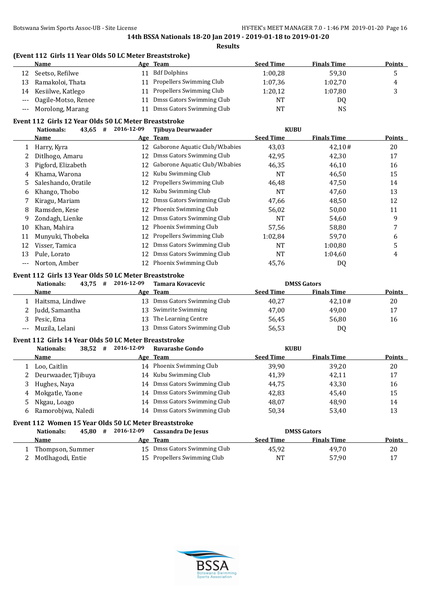# **(Event 112 Girls 11 Year Olds 50 LC Meter Breaststroke)**

|    | Name                    |    | Age Team                     | <b>Seed Time</b> | <b>Finals Time</b> | <b>Points</b> |
|----|-------------------------|----|------------------------------|------------------|--------------------|---------------|
| 12 | Seetso, Refilwe         | 11 | Bdf Dolphins                 | 1:00.28          | 59,30              |               |
| 13 | Ramakoloi, Thata        |    | 11 Propellers Swimming Club  | 1:07,36          | 1:02,70            | 4             |
| 14 | Kesiilwe, Katlego       |    | 11 Propellers Swimming Club  | 1:20,12          | 1:07,80            |               |
|    | --- Oagile-Motso, Renee |    | Dmss Gators Swimming Club    | <b>NT</b>        | DQ                 |               |
|    | --- Morolong, Marang    |    | 11 Dmss Gators Swimming Club | <b>NT</b>        | <b>NS</b>          |               |

#### **Event 112 Girls 12 Year Olds 50 LC Meter Breaststroke**

|     | 43,65<br><b>Nationals:</b><br># | 2016-12-09 | Tjibuya Deurwaader             | <b>KUBU</b>      |                    |               |
|-----|---------------------------------|------------|--------------------------------|------------------|--------------------|---------------|
|     | Name                            |            | Age Team                       | <b>Seed Time</b> | <b>Finals Time</b> | <b>Points</b> |
|     | Harry, Kyra                     | 12         | Gaborone Aquatic Club/W.babies | 43,03            | 42,10#             | 20            |
|     | Ditlhogo, Amaru                 | 12         | Dmss Gators Swimming Club      | 42,95            | 42,30              | 17            |
| 3   | Pigford, Elizabeth              | 12         | Gaborone Aquatic Club/W.babies | 46,35            | 46,10              | 16            |
| 4   | Khama, Warona                   | 12         | Kubu Swimming Club             | NT               | 46,50              | 15            |
| 5.  | Saleshando, Oratile             | 12         | Propellers Swimming Club       | 46,48            | 47,50              | 14            |
| 6   | Khango, Thobo                   | 12         | Kubu Swimming Club             | <b>NT</b>        | 47,60              | 13            |
|     | Kiragu, Mariam                  | 12         | Dmss Gators Swimming Club      | 47,66            | 48,50              | 12            |
| 8   | Ramsden, Kese                   | 12         | Phoenix Swimming Club          | 56,02            | 50,00              | 11            |
| 9   | Zondagh, Lienke                 | 12         | Dmss Gators Swimming Club      | NT               | 54,60              | 9             |
| 10  | Khan, Mahira                    | 12         | Phoenix Swimming Club          | 57,56            | 58,80              |               |
| 11  | Munyuki, Thobeka                | 12         | Propellers Swimming Club       | 1:02,84          | 59,70              | 6             |
| 12  | Visser, Tamica                  | 12         | Dmss Gators Swimming Club      | <b>NT</b>        | 1:00,80            | 5             |
| 13  | Pule, Lorato                    | 12         | Dmss Gators Swimming Club      | NT               | 1:04.60            | 4             |
| --- | Norton, Amber                   | 12         | Phoenix Swimming Club          | 45,76            | DQ                 |               |

#### **Event 112 Girls 13 Year Olds 50 LC Meter Breaststroke**

|     | 43.75<br>Nationals: | # | 2016-12-09 | Tamara Kovacevic          |                  | <b>DMSS Gators</b> |               |
|-----|---------------------|---|------------|---------------------------|------------------|--------------------|---------------|
|     | Name                |   |            | Age Team                  | <b>Seed Time</b> | <b>Finals Time</b> | <b>Points</b> |
|     | Haitsma, Lindiwe    |   | 13.        | Dmss Gators Swimming Club | 40,27            | 42.10#             | 20            |
|     | Judd, Samantha      |   |            | 13 Swimrite Swimming      | 47,00            | 49,00              | 17            |
|     | Pesic, Ema          |   | 13         | The Learning Centre       | 56,45            | 56,80              | 16            |
| --- | Muzila, Lelani      |   | 13.        | Dmss Gators Swimming Club | 56,53            | DQ                 |               |

#### **Event 112 Girls 14 Year Olds 50 LC Meter Breaststroke**

|    | 38,52<br>Nationals:                                                  | 2016-12-09<br># | Ruvarashe Gondo           | <b>KUBU</b>      |                    |               |
|----|----------------------------------------------------------------------|-----------------|---------------------------|------------------|--------------------|---------------|
|    | Name                                                                 |                 | Age Team                  | <b>Seed Time</b> | <b>Finals Time</b> | <b>Points</b> |
|    | Loo, Caitlin                                                         |                 | 14 Phoenix Swimming Club  | 39.90            | 39.20              | 20            |
|    | 2 Deurwaader, Tjibuya                                                | 14              | Kubu Swimming Club        | 41,39            | 42,11              | 17            |
|    | 3 Hughes, Naya                                                       | 14              | Dmss Gators Swimming Club | 44.75            | 43,30              | 16            |
| 4  | Mokgatle, Yaone                                                      | 14              | Dmss Gators Swimming Club | 42,83            | 45,40              | 15            |
|    | 5 Nkgau, Loago                                                       | 14              | Dmss Gators Swimming Club | 48,07            | 48,90              | 14            |
| 6. | Ramorobjwa, Naledi                                                   | 14              | Dmss Gators Swimming Club | 50,34            | 53,40              | 13            |
| -  | $\rightarrow$ $\rightarrow$ $\rightarrow$ $\rightarrow$<br>. 1.0 1.7 | $\sim$ $\sim$   | $\blacksquare$            |                  |                    |               |

# **Event 112 Women 15 Year Olds 50 LC Meter Breaststroke**

| Nationals:<br>45.80                     | 2016-12-09<br># | Cassandra De Jesus                                          |                  | <b>DMSS Gators</b> |        |
|-----------------------------------------|-----------------|-------------------------------------------------------------|------------------|--------------------|--------|
| Name                                    |                 | Age Team                                                    | <b>Seed Time</b> | <b>Finals Time</b> | Points |
| Thompson, Summer<br>2 Motlhagodi, Entie |                 | 15 Dmss Gators Swimming Club<br>15 Propellers Swimming Club | 45,92<br>NT      | 49.70<br>57,90     | 20     |

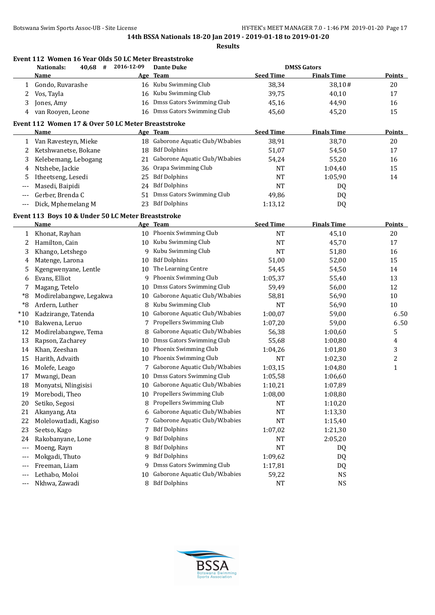| Event 112 Women 16 Year Olds 50 LC Meter Breaststroke<br>#<br>2016-12-09<br><b>Nationals:</b><br>40,68 |                                                    |    | <b>Dante Duke</b>                 | <b>DMSS Gators</b> |                    |                |
|--------------------------------------------------------------------------------------------------------|----------------------------------------------------|----|-----------------------------------|--------------------|--------------------|----------------|
|                                                                                                        | <b>Name</b>                                        |    | Age Team                          | <b>Seed Time</b>   | <b>Finals Time</b> | <b>Points</b>  |
| 1                                                                                                      | Gondo, Ruvarashe                                   |    | 16 Kubu Swimming Club             | 38,34              | 38,10#             | 20             |
| 2                                                                                                      | Vos, Tayla                                         | 16 | Kubu Swimming Club                | 39,75              | 40,10              | 17             |
| 3                                                                                                      | Jones, Amy                                         | 16 | Dmss Gators Swimming Club         | 45,16              | 44,90              | 16             |
| 4                                                                                                      | van Rooyen, Leone                                  |    | 16 Dmss Gators Swimming Club      | 45,60              | 45,20              | 15             |
|                                                                                                        | Event 112 Women 17 & Over 50 LC Meter Breaststroke |    |                                   |                    |                    |                |
|                                                                                                        | Name                                               |    | Age Team                          | <b>Seed Time</b>   | <b>Finals Time</b> | <b>Points</b>  |
|                                                                                                        | 1 Van Ravesteyn, Mieke                             |    | 18 Gaborone Aquatic Club/W.babies | 38,91              | 38,70              | 20             |
| 2                                                                                                      | Ketshwanetse, Bokane                               | 18 | <b>Bdf Dolphins</b>               | 51,07              | 54,50              | 17             |
| 3                                                                                                      | Kelebemang, Lebogang                               | 21 | Gaborone Aquatic Club/W.babies    | 54,24              | 55,20              | 16             |
|                                                                                                        | Ntshebe, Jackie                                    | 36 | Orapa Swimming Club               | <b>NT</b>          |                    | 15             |
| 4                                                                                                      |                                                    |    | <b>Bdf Dolphins</b>               |                    | 1:04,40            |                |
| 5                                                                                                      | Itheetseng, Lesedi                                 | 25 |                                   | <b>NT</b>          | 1:05,90            | 14             |
| ---                                                                                                    | Masedi, Baipidi                                    | 24 | <b>Bdf Dolphins</b>               | <b>NT</b>          | DQ                 |                |
| ---                                                                                                    | Gerber, Brenda C                                   | 51 | Dmss Gators Swimming Club         | 49,86              | DQ                 |                |
| $---$                                                                                                  | Dick, Mphemelang M                                 | 23 | <b>Bdf Dolphins</b>               | 1:13,12            | DQ                 |                |
|                                                                                                        | Event 113 Boys 10 & Under 50 LC Meter Breaststroke |    |                                   |                    |                    |                |
|                                                                                                        | Name                                               |    | Age Team                          | <b>Seed Time</b>   | <b>Finals Time</b> | <b>Points</b>  |
| 1                                                                                                      | Khonat, Rayhan                                     |    | 10 Phoenix Swimming Club          | <b>NT</b>          | 45,10              | 20             |
| 2                                                                                                      | Hamilton, Cain                                     |    | 10 Kubu Swimming Club             | <b>NT</b>          | 45,70              | 17             |
| 3                                                                                                      | Khango, Letshego                                   | 9  | Kubu Swimming Club                | <b>NT</b>          | 51,80              | 16             |
| 4                                                                                                      | Matenge, Larona                                    | 10 | <b>Bdf Dolphins</b>               | 51,00              | 52,00              | 15             |
| 5                                                                                                      | Kgengwenyane, Lentle                               | 10 | The Learning Centre               | 54,45              | 54,50              | 14             |
| 6                                                                                                      | Evans, Elliot                                      | 9  | Phoenix Swimming Club             | 1:05,37            | 55,40              | 13             |
| 7                                                                                                      | Magang, Tetelo                                     | 10 | Dmss Gators Swimming Club         | 59,49              | 56,00              | 12             |
| *8                                                                                                     | Modirelabangwe, Legakwa                            | 10 | Gaborone Aquatic Club/W.babies    | 58,81              | 56,90              | 10             |
| $*8$                                                                                                   | Ardern, Luther                                     | 8  | Kubu Swimming Club                | <b>NT</b>          | 56,90              | 10             |
| $*10$                                                                                                  | Kadzirange, Tatenda                                | 10 | Gaborone Aquatic Club/W.babies    | 1:00,07            | 59,00              | 6.50           |
| $*10$                                                                                                  | Bakwena, Leruo                                     |    | Propellers Swimming Club          | 1:07,20            | 59,00              | 6.50           |
| 12                                                                                                     | Modirelabangwe, Tema                               | 8  | Gaborone Aquatic Club/W.babies    | 56,38              | 1:00,60            | 5              |
| 13                                                                                                     | Rapson, Zacharey                                   | 10 | Dmss Gators Swimming Club         | 55,68              | 1:00,80            | 4              |
| 14                                                                                                     | Khan, Zeeshan                                      | 10 | Phoenix Swimming Club             | 1:04,26            | 1:01,80            | 3              |
| 15                                                                                                     | Harith, Advaith                                    | 10 | Phoenix Swimming Club             | NT                 | 1:02,30            | $\overline{c}$ |
| 16                                                                                                     | Molefe, Leago                                      |    | Gaborone Aquatic Club/W.babies    | 1:03,15            | 1:04,80            | $\mathbf{1}$   |
| 17                                                                                                     | Mwangi, Dean                                       |    | 10 Dmss Gators Swimming Club      | 1:05,58            | 1:06,60            |                |
| 18                                                                                                     | Monyatsi, Nlingisisi                               | 10 | Gaborone Aquatic Club/W.babies    | 1:10,21            | 1:07,89            |                |
| 19                                                                                                     | Morebodi, Theo                                     | 10 | Propellers Swimming Club          | 1:08,00            | 1:08,80            |                |
| 20                                                                                                     | Setiko, Segosi                                     | 8  | Propellers Swimming Club          | NT                 | 1:10,20            |                |
| 21                                                                                                     | Akanyang, Ata                                      | 6  | Gaborone Aquatic Club/W.babies    | NT                 | 1:13,30            |                |
|                                                                                                        |                                                    |    | Gaborone Aquatic Club/W.babies    |                    | 1:15,40            |                |
| 22                                                                                                     | Molelowatladi, Kagiso                              | 7  | <b>Bdf Dolphins</b>               | <b>NT</b>          |                    |                |
| 23                                                                                                     | Seetso, Kago                                       | 7  |                                   | 1:07,02            | 1:21,30            |                |
| 24                                                                                                     | Rakobanyane, Lone                                  | 9  | <b>Bdf Dolphins</b>               | NT                 | 2:05,20            |                |
| $---$                                                                                                  | Moeng, Rayn                                        | 8  | <b>Bdf Dolphins</b>               | <b>NT</b>          | DQ                 |                |
| ---                                                                                                    | Mokgadi, Thuto                                     | 9  | <b>Bdf Dolphins</b>               | 1:09,62            | DQ                 |                |
| ---                                                                                                    | Freeman, Liam                                      | 9  | Dmss Gators Swimming Club         | 1:17,81            | DQ                 |                |
| ---                                                                                                    | Lethabo, Moloi                                     | 10 | Gaborone Aquatic Club/W.babies    | 59,22              | NS                 |                |
| ---                                                                                                    | Nkhwa, Zawadi                                      | 8  | <b>Bdf Dolphins</b>               | <b>NT</b>          | <b>NS</b>          |                |

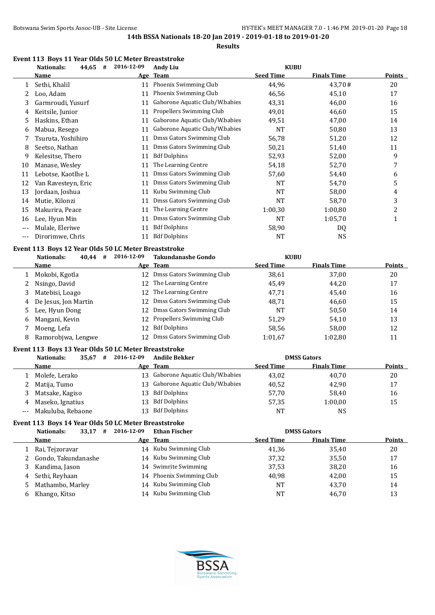**Results**

#### **Event 113 Boys 11 Year Olds 50 LC Meter Breaststroke**

|       | #<br>Nationals:<br>44,65                             | 2016-12-09 | <b>Andy Liu</b>                | <b>KUBU</b>      |                    |               |
|-------|------------------------------------------------------|------------|--------------------------------|------------------|--------------------|---------------|
|       | Name                                                 | <u>Age</u> | <b>Team</b>                    | <b>Seed Time</b> | <b>Finals Time</b> | <b>Points</b> |
| 1     | Sethi, Khalil                                        | 11         | Phoenix Swimming Club          | 44.96            | 43.70#             | 20            |
| 2     | Loo. Adam                                            | 11         | Phoenix Swimming Club          | 46.56            | 45,10              | 17            |
| 3     | Garmroudi, Yusurf                                    | 11         | Gaborone Aquatic Club/W.babies | 43,31            | 46,00              | 16            |
| 4     | Keitsile, Junior                                     | 11         | Propellers Swimming Club       | 49,01            | 46,60              | 15            |
| 5     | Haskins, Ethan                                       | 11         | Gaborone Aquatic Club/W.babies | 49,51            | 47,00              | 14            |
| 6     | Mabua, Resego                                        | 11         | Gaborone Aquatic Club/W.babies | <b>NT</b>        | 50,80              | 13            |
|       | Tsuruta, Yoshihiro                                   | 11         | Dmss Gators Swimming Club      | 56,78            | 51,20              | 12            |
| 8     | Seetso, Nathan                                       | 11         | Dmss Gators Swimming Club      | 50,21            | 51,40              | 11            |
| 9     | Kelesitse, Thero                                     | 11         | <b>Bdf Dolphins</b>            | 52,93            | 52,00              | 9             |
| 10    | Manase, Wesley                                       | 11         | The Learning Centre            | 54,18            | 52,70              | 7             |
| 11    | Lebotse, Kaotlhe L                                   | 11         | Dmss Gators Swimming Club      | 57,60            | 54,40              | 6             |
| 12    | Van Ravesteyn, Eric                                  | 11         | Dmss Gators Swimming Club      | NT               | 54,70              | 5             |
| 13    | Jordaan, Joshua                                      | 11         | Kubu Swimming Club             | NT               | 58,00              | 4             |
| 14    | Mutie, Kilonzi                                       | 11         | Dmss Gators Swimming Club      | <b>NT</b>        | 58,70              | 3             |
| 15    | Makurira, Peace                                      | 11         | The Learning Centre            | 1:00,30          | 1:00,80            | 2             |
| 16    | Lee, Hyun Min                                        | 11         | Dmss Gators Swimming Club      | <b>NT</b>        | 1:05,70            | 1             |
| $---$ | Mulale, Eleriwe                                      | 11         | <b>Bdf Dolphins</b>            | 58,90            | DQ                 |               |
| $---$ | Dirorimwe, Chris                                     | 11         | <b>Bdf Dolphins</b>            | NT               | <b>NS</b>          |               |
|       | Event 113 Boys 12 Year Olds 50 LC Meter Breaststroke |            |                                |                  |                    |               |
|       | <b>Nationals:</b><br>40.44#                          | 2016-12-09 | <b>Takundanashe Gondo</b>      | <b>KUBU</b>      |                    |               |
|       | <b>Name</b>                                          |            | Age Team                       | <b>Seed Time</b> | <b>Finals Time</b> | <b>Points</b> |
| 1     | Mokobi, Kgotla                                       | 12         | Dmss Gators Swimming Club      | 38,61            | 37,00              | 20            |
|       | Nsingo, David                                        | 12         | The Learning Centre            | 45,49            | 44,20              | 17            |
| 3     | Matebisi, Loago                                      | 12         | The Learning Centre            | 47,71            | 45,40              | 16            |
| 4     | De Jesus, Jon Martin                                 | 12         | Dmss Gators Swimming Club      | 48,71            | 46,60              | 15            |

5 Lee, Hyun Dong 12 Dmss Gators Swimming Club 14 NT 50,50 14 6 Mangani, Kevin 12 Propellers Swimming Club 51,29 54,10 54,10 7 Moeng, Lefa 12 Bdf Dolphins 58,56 58,00 12 8 Ramorobjwa, Lengwe 12 Dmss Gators Swimming Club 1:01,67 1:02,80 11

# **Event 113 Boys 13 Year Olds 50 LC Meter Breaststroke**

|     | 35,67<br>Nationals:<br># | 2016-12-09 | <b>Andile Bekker</b>              |                  | <b>DMSS Gators</b> |               |
|-----|--------------------------|------------|-----------------------------------|------------------|--------------------|---------------|
|     | Name                     |            | Age Team                          | <b>Seed Time</b> | <b>Finals Time</b> | <b>Points</b> |
|     | Molefe, Lerako           |            | 13 Gaborone Aquatic Club/W.babies | 43,02            | 40.70              | 20            |
|     | 2 Matija, Tumo           |            | 13 Gaborone Aquatic Club/W.babies | 40,52            | 42,90              | 17            |
| 3   | Matsake, Kagiso          | 13.        | <b>Bdf Dolphins</b>               | 57.70            | 58.40              | 16            |
|     | 4 Maseko, Ignatius       | 13.        | <b>Bdf Dolphins</b>               | 57,35            | 1:00.00            | 15            |
| --- | Makuluba, Rebaone        | 13.        | <b>Bdf Dolphins</b>               | NT               | NS                 |               |

#### **Event 113 Boys 14 Year Olds 50 LC Meter Breaststroke**

| 33,17<br>Nationals:<br># | 2016-12-09 | <b>Ethan Fischer</b> |                                                                                                                                                            |                    |                    |
|--------------------------|------------|----------------------|------------------------------------------------------------------------------------------------------------------------------------------------------------|--------------------|--------------------|
| Name                     |            |                      | <b>Seed Time</b>                                                                                                                                           | <b>Finals Time</b> | <b>Points</b>      |
| Rai, Tejzoravar          | 14         |                      | 41,36                                                                                                                                                      | 35,40              | 20                 |
| Gondo, Takundanashe      |            |                      | 37,32                                                                                                                                                      | 35,50              | 17                 |
| Kandima, Jason           |            |                      | 37,53                                                                                                                                                      | 38,20              | 16                 |
| Sethi, Reyhaan           |            |                      | 40,98                                                                                                                                                      | 42.00              | 15                 |
| Mathambo, Marley         | 14         |                      | NT                                                                                                                                                         | 43.70              | 14                 |
| Khango, Kitso            |            |                      | NΤ                                                                                                                                                         | 46.70              | 13                 |
|                          | 4<br>5.    |                      | Age Team<br>Kubu Swimming Club<br>14 Kubu Swimming Club<br>14 Swimrite Swimming<br>14 Phoenix Swimming Club<br>Kubu Swimming Club<br>14 Kubu Swimming Club |                    | <b>DMSS Gators</b> |

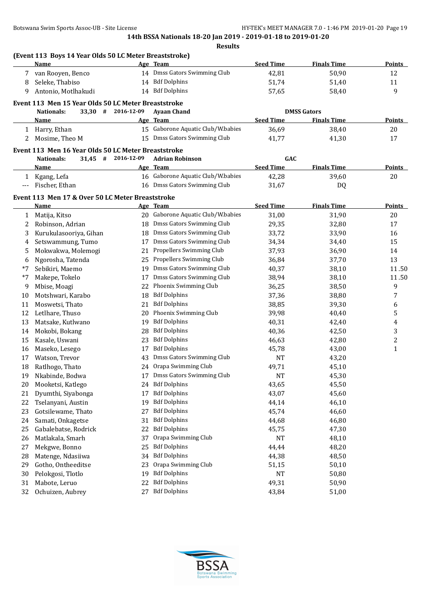|     | (Event 113 Boys 14 Year Olds 50 LC Meter Breaststroke) |    |                                          |                  |                    |               |
|-----|--------------------------------------------------------|----|------------------------------------------|------------------|--------------------|---------------|
|     | <b>Name</b>                                            |    | Age Team<br>14 Dmss Gators Swimming Club | <b>Seed Time</b> | <b>Finals Time</b> | <b>Points</b> |
|     | 7 van Rooyen, Benco                                    |    | 14 Bdf Dolphins                          | 42,81            | 50,90              | 12            |
| 8   | Seleke, Thabiso                                        |    |                                          | 51,74            | 51,40              | 11            |
| 9   | Antonio, Motlhakudi                                    |    | 14 Bdf Dolphins                          | 57,65            | 58,40              | 9             |
|     | Event 113 Men 15 Year Olds 50 LC Meter Breaststroke    |    |                                          |                  |                    |               |
|     | 33,30 # 2016-12-09<br><b>Nationals:</b>                |    | <b>Ayaan Chand</b>                       |                  | <b>DMSS Gators</b> |               |
|     | Name                                                   |    | Age Team                                 | <b>Seed Time</b> | <b>Finals Time</b> | <b>Points</b> |
|     | 1 Harry, Ethan                                         |    | 15 Gaborone Aquatic Club/W.babies        | 36,69            | 38,40              | 20            |
| 2   | Mosime, Theo M                                         |    | 15 Dmss Gators Swimming Club             | 41,77            | 41,30              | 17            |
|     | Event 113 Men 16 Year Olds 50 LC Meter Breaststroke    |    |                                          |                  |                    |               |
|     | 31,45 # 2016-12-09<br><b>Nationals:</b>                |    | <b>Adrian Robinson</b>                   | <b>GAC</b>       |                    |               |
|     | <u>Name</u>                                            |    | Age Team                                 | <b>Seed Time</b> | <b>Finals Time</b> | <b>Points</b> |
| 1   | Kgang, Lefa                                            |    | 16 Gaborone Aquatic Club/W.babies        | 42,28            | 39,60              | 20            |
| --- | Fischer, Ethan                                         |    | 16 Dmss Gators Swimming Club             | 31,67            | DQ                 |               |
|     | Event 113 Men 17 & Over 50 LC Meter Breaststroke       |    |                                          |                  |                    |               |
|     | Name                                                   |    | Age Team                                 | <b>Seed Time</b> | <b>Finals Time</b> | <b>Points</b> |
| 1   | Matija, Kitso                                          |    | 20 Gaborone Aquatic Club/W.babies        | 31,00            | 31,90              | 20            |
| 2   | Robinson, Adrian                                       | 18 | Dmss Gators Swimming Club                | 29,35            | 32,80              | 17            |
| 3   | Kurukulasooriya, Gihan                                 | 18 | Dmss Gators Swimming Club                | 33,72            | 33,90              | 16            |
| 4   | Setswammung, Tumo                                      | 17 | Dmss Gators Swimming Club                | 34,34            | 34,40              | 15            |
| 5   | Mokwakwa, Molemogi                                     | 21 | Propellers Swimming Club                 | 37,93            | 36,90              | 14            |
| 6   | Ngorosha, Tatenda                                      | 25 | Propellers Swimming Club                 | 36,84            | 37,70              | 13            |
| *7  | Sebikiri, Maemo                                        | 19 | Dmss Gators Swimming Club                | 40,37            | 38,10              | 11.50         |
| *7  | Makepe, Tokelo                                         | 17 | Dmss Gators Swimming Club                | 38,94            | 38,10              | 11.50         |
| 9   | Mbise, Moagi                                           | 22 | Phoenix Swimming Club                    | 36,25            | 38,50              | 9             |
| 10  | Motshwari, Karabo                                      | 18 | <b>Bdf Dolphins</b>                      | 37,36            | 38,80              | 7             |
| 11  | Moswetsi, Thato                                        | 21 | <b>Bdf Dolphins</b>                      | 38,85            | 39,30              | 6             |
| 12  | Letlhare, Thuso                                        | 20 | Phoenix Swimming Club                    | 39,98            | 40,40              | 5             |
| 13  | Matsake, Kutlwano                                      | 19 | <b>Bdf Dolphins</b>                      | 40,31            | 42,40              | 4             |
| 14  | Mokobi, Bokang                                         | 28 | <b>Bdf Dolphins</b>                      | 40,36            | 42,50              | 3             |
| 15  | Kasale, Uswani                                         | 23 | <b>Bdf Dolphins</b>                      | 46,63            | 42,80              | 2             |
| 16  | Maseko, Lesego                                         | 17 | <b>Bdf Dolphins</b>                      | 45,78            | 43,00              | 1             |
| 17  | Watson, Trevor                                         | 43 | Dmss Gators Swimming Club                | <b>NT</b>        | 43,20              |               |
| 18  | Ratlhogo, Thato                                        |    | 24 Orapa Swimming Club                   | 49,71            | 45,10              |               |
|     | 19 Nkabinde, Bodwa                                     |    | 17 Dmss Gators Swimming Club             | <b>NT</b>        | 45,30              |               |
| 20  | Mooketsi, Katlego                                      |    | 24 Bdf Dolphins                          | 43,65            | 45,50              |               |
| 21  | Dyumthi, Siyabonga                                     | 17 | <b>Bdf Dolphins</b>                      | 43,07            | 45,60              |               |
| 22  | Tselanyani, Austin                                     | 19 | <b>Bdf Dolphins</b>                      | 44,14            | 46,10              |               |
| 23  | Gotsilewame, Thato                                     | 27 | <b>Bdf Dolphins</b>                      | 45,74            | 46,60              |               |
| 24  | Samati, Onkagetse                                      | 31 | <b>Bdf Dolphins</b>                      | 44,68            | 46,80              |               |
| 25  | Gabalebatse, Rodrick                                   | 22 | <b>Bdf Dolphins</b>                      | 45,75            | 47,30              |               |
| 26  | Matlakala, Smarh                                       | 37 | Orapa Swimming Club                      | <b>NT</b>        | 48,10              |               |
| 27  | Mekgwe, Bonno                                          | 25 | <b>Bdf Dolphins</b>                      | 44,44            | 48,20              |               |
| 28  | Matenge, Ndasiiwa                                      | 34 | <b>Bdf Dolphins</b>                      | 44,38            | 48,50              |               |
| 29  | Gotho, Ontheeditse                                     | 23 | Orapa Swimming Club                      | 51,15            | 50,10              |               |
| 30  | Pelokgosi, Tlotlo                                      | 19 | <b>Bdf Dolphins</b>                      | NT               | 50,80              |               |
| 31  | Mabote, Leruo                                          | 22 | <b>Bdf Dolphins</b>                      | 49,31            | 50,90              |               |
| 32  | Ochuizen, Aubrey                                       | 27 | <b>Bdf Dolphins</b>                      | 43,84            | 51,00              |               |

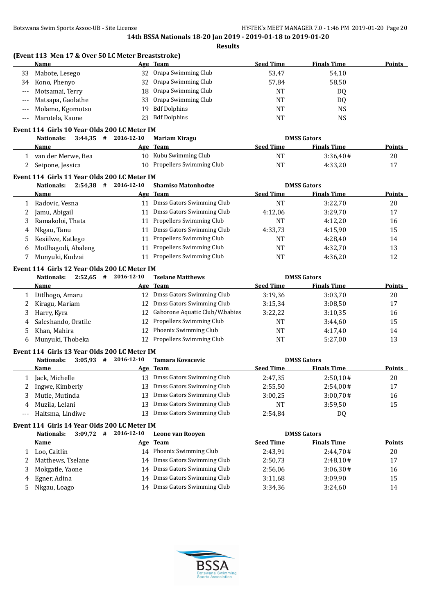**(Event 113 Men 17 & Over 50 LC Meter Breaststroke)**

|                   | <b>Name</b>                                  |                        | Age Team                                                  | <b>Seed Time</b> | <b>Finals Time</b> | <b>Points</b> |
|-------------------|----------------------------------------------|------------------------|-----------------------------------------------------------|------------------|--------------------|---------------|
| 33                | Mabote, Lesego                               |                        | 32 Orapa Swimming Club                                    | 53,47            | 54,10              |               |
| 34                | Kono, Phenyo                                 | 32                     | Orapa Swimming Club                                       | 57,84            | 58,50              |               |
| $---$             | Motsamai, Terry                              | 18                     | Orapa Swimming Club                                       | <b>NT</b>        | DQ                 |               |
| $---$             | Matsapa, Gaolathe                            | 33                     | Orapa Swimming Club                                       | <b>NT</b>        | DQ                 |               |
| $---$             | Molamo, Kgomotso                             | 19                     | <b>Bdf Dolphins</b>                                       | <b>NT</b>        | <b>NS</b>          |               |
| $---$             | Marotela, Kaone                              | 23                     | <b>Bdf Dolphins</b>                                       | <b>NT</b>        | <b>NS</b>          |               |
|                   |                                              |                        |                                                           |                  |                    |               |
|                   | Event 114 Girls 10 Year Olds 200 LC Meter IM |                        |                                                           |                  |                    |               |
|                   | Nationals:                                   | $3:44,35$ # 2016-12-10 | <b>Mariam Kiragu</b>                                      |                  | <b>DMSS Gators</b> |               |
|                   | Name                                         |                        | Age Team                                                  | <b>Seed Time</b> | <b>Finals Time</b> | <b>Points</b> |
|                   | 1 van der Merwe, Bea                         |                        | 10 Kubu Swimming Club                                     | <b>NT</b>        | 3:36,40#           | 20            |
| 2                 | Seipone, Jessica                             |                        | 10 Propellers Swimming Club                               | <b>NT</b>        | 4:33,20            | 17            |
|                   | Event 114 Girls 11 Year Olds 200 LC Meter IM |                        |                                                           |                  |                    |               |
|                   | <b>Nationals:</b>                            | $2:54,38$ # 2016-12-10 | <b>Shamiso Matonhodze</b>                                 |                  | <b>DMSS Gators</b> |               |
|                   | Name                                         |                        | Age Team                                                  | <b>Seed Time</b> | <b>Finals Time</b> | <b>Points</b> |
| 1                 | Radovic, Vesna                               |                        | 11 Dmss Gators Swimming Club                              | <b>NT</b>        | 3:22,70            | 20            |
| 2                 | Jamu, Abigail                                |                        | 11 Dmss Gators Swimming Club                              | 4:12,06          | 3:29,70            | 17            |
| 3                 | Ramakoloi, Thata                             |                        | 11 Propellers Swimming Club                               | NT               | 4:12,20            | 16            |
| 4                 | Nkgau, Tanu                                  |                        | 11 Dmss Gators Swimming Club                              | 4:33,73          | 4:15,90            | 15            |
| 5                 | Kesiilwe, Katlego                            | 11                     | Propellers Swimming Club                                  | NT               | 4:28,40            | 14            |
| 6                 | Motlhagodi, Abaleng                          | 11                     | Propellers Swimming Club                                  | <b>NT</b>        | 4:32,70            | 13            |
| 7                 | Munyuki, Kudzai                              |                        | 11 Propellers Swimming Club                               | <b>NT</b>        | 4:36,20            | 12            |
|                   |                                              |                        |                                                           |                  |                    |               |
|                   | Event 114 Girls 12 Year Olds 200 LC Meter IM |                        |                                                           |                  |                    |               |
|                   | Nationals:                                   | $2:52,65$ # 2016-12-10 | <b>Tselane Matthews</b>                                   |                  | <b>DMSS Gators</b> |               |
|                   | Name                                         |                        | Age Team                                                  | <b>Seed Time</b> | <b>Finals Time</b> | <b>Points</b> |
| 1                 | Ditlhogo, Amaru                              |                        | 12 Dmss Gators Swimming Club                              | 3:19,36          | 3:03,70            | 20            |
| 2                 | Kiragu, Mariam                               | 12                     | Dmss Gators Swimming Club                                 | 3:15,34          | 3:08,50            | 17            |
| 3                 | Harry, Kyra                                  | 12                     | Gaborone Aquatic Club/W.babies                            | 3:22,22          | 3:10,35            | 16            |
| 4                 | Saleshando, Oratile                          | 12                     | Propellers Swimming Club                                  | NT               | 3:44,60            | 15            |
| 5                 | Khan, Mahira                                 |                        | 12 Phoenix Swimming Club                                  | NT               | 4:17,40            | 14            |
| 6                 | Munyuki, Thobeka                             |                        | 12 Propellers Swimming Club                               | <b>NT</b>        | 5:27,00            | 13            |
|                   | Event 114 Girls 13 Year Olds 200 LC Meter IM |                        |                                                           |                  |                    |               |
|                   | <b>Nationals:</b>                            | $3:05,93$ # 2016-12-10 | <b>Tamara Kovacevic</b>                                   |                  | <b>DMSS Gators</b> |               |
|                   | Name                                         |                        | Age Team                                                  | <b>Seed Time</b> | <b>Finals Time</b> | <b>Points</b> |
|                   | Jack, Michelle                               |                        | 13 Dmss Gators Swimming Club                              | 2:47,35          | 2:50,10#           | 20            |
| 2                 | Ingwe, Kimberly                              |                        | 13 Dmss Gators Swimming Club                              | 2:55,50          | 2:54,00#           | 17            |
|                   | Mutie, Mutinda                               | 13                     | Dmss Gators Swimming Club                                 | 3:00,25          | 3:00,70#           | 16            |
| 4                 | Muzila, Lelani                               | 13                     | Dmss Gators Swimming Club                                 | NT               | 3:59,50            | 15            |
| $\qquad \qquad -$ | Haitsma, Lindiwe                             | 13                     | Dmss Gators Swimming Club                                 | 2:54,84          | DQ                 |               |
|                   |                                              |                        |                                                           |                  |                    |               |
|                   | Event 114 Girls 14 Year Olds 200 LC Meter IM |                        |                                                           |                  |                    |               |
|                   | <b>Nationals:</b><br>$3:09,72$ #             | 2016-12-10             | Leone van Rooyen                                          |                  | <b>DMSS Gators</b> |               |
|                   | <b>Name</b>                                  |                        | Age Team                                                  | <b>Seed Time</b> | <b>Finals Time</b> | <b>Points</b> |
| $\mathbf{1}$      | Loo, Caitlin                                 |                        | 14 Phoenix Swimming Club                                  | 2:43,91          | 2:44,70#           | 20            |
| 2                 | Matthews, Tselane                            | 14                     | Dmss Gators Swimming Club                                 | 2:50,73          | 2:48,10#           | 17            |
| 3                 | Mokgatle, Yaone                              | 14                     | Dmss Gators Swimming Club                                 | 2:56,06          | 3:06,30#           | 16            |
| 4                 |                                              |                        |                                                           |                  |                    |               |
|                   | Egner, Adina<br>Nkgau, Loago                 | 14                     | Dmss Gators Swimming Club<br>14 Dmss Gators Swimming Club | 3:11,68          | 3:09,90            | 15            |

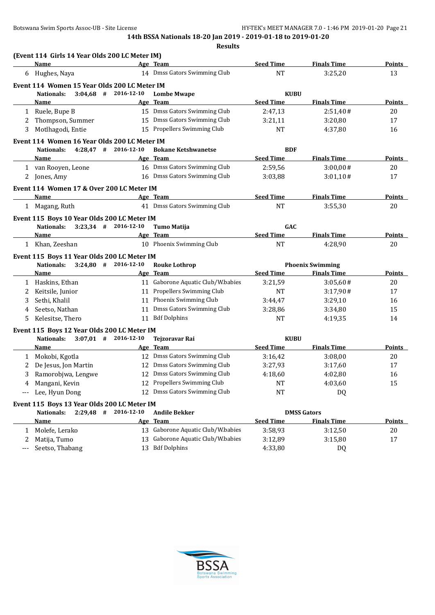|   | (Event 114 Girls 14 Year Olds 200 LC Meter IM)             |            |                                   |                  |                                          |               |
|---|------------------------------------------------------------|------------|-----------------------------------|------------------|------------------------------------------|---------------|
|   | Name                                                       |            | Age Team                          | <b>Seed Time</b> | <b>Finals Time</b>                       | <b>Points</b> |
|   | 6 Hughes, Naya                                             |            | 14 Dmss Gators Swimming Club      | <b>NT</b>        | 3:25,20                                  | 13            |
|   | Event 114 Women 15 Year Olds 200 LC Meter IM               |            |                                   |                  |                                          |               |
|   | $3:04,68$ # 2016-12-10<br><b>Nationals:</b>                |            | <b>Lombe Mwape</b>                | <b>KUBU</b>      |                                          |               |
|   | Name                                                       |            | Age Team                          | <b>Seed Time</b> | <b>Finals Time</b>                       | <b>Points</b> |
| 1 | Ruele, Bupe B                                              |            | 15 Dmss Gators Swimming Club      | 2:47,13          | 2:51,40#                                 | 20            |
| 2 | Thompson, Summer                                           |            | 15 Dmss Gators Swimming Club      | 3:21,11          | 3:20,80                                  | 17            |
| 3 | Motlhagodi, Entie                                          |            | 15 Propellers Swimming Club       | <b>NT</b>        | 4:37,80                                  | 16            |
|   | Event 114 Women 16 Year Olds 200 LC Meter IM               |            |                                   |                  |                                          |               |
|   | $4:28,47$ # 2016-12-10<br>Nationals:                       |            | <b>Bokane Ketshwanetse</b>        | <b>BDF</b>       |                                          |               |
|   | <b>Name</b>                                                |            | Age Team                          | <b>Seed Time</b> | <b>Finals Time</b>                       | Points        |
|   | 1 van Rooyen, Leone                                        |            | 16 Dmss Gators Swimming Club      | 2:59,56          | 3:00,00#                                 | 20            |
| 2 | Jones, Amy                                                 |            | 16 Dmss Gators Swimming Club      | 3:03.88          | 3:01,10#                                 | 17            |
|   | Event 114 Women 17 & Over 200 LC Meter IM                  |            |                                   |                  |                                          |               |
|   | Name                                                       |            | Age Team                          | <b>Seed Time</b> | <b>Finals Time</b>                       | <b>Points</b> |
|   | 1 Magang, Ruth                                             |            | 41 Dmss Gators Swimming Club      | <b>NT</b>        | 3:55,30                                  | 20            |
|   | Event 115 Boys 10 Year Olds 200 LC Meter IM                |            |                                   |                  |                                          |               |
|   | $3:23,34$ # 2016-12-10<br>Nationals:                       |            | <b>Tumo Matija</b>                | GAC              |                                          |               |
|   | Name                                                       |            | Age Team                          | <b>Seed Time</b> | <b>Finals Time</b>                       | Points        |
|   | 1 Khan, Zeeshan                                            |            | 10 Phoenix Swimming Club          | <b>NT</b>        | 4:28,90                                  | 20            |
|   | Event 115 Boys 11 Year Olds 200 LC Meter IM                |            |                                   |                  |                                          |               |
|   | $3:24,80$ # 2016-12-10<br><b>Nationals:</b>                |            | <b>Rouke Lothrop</b>              |                  | <b>Phoenix Swimming</b>                  |               |
|   | Name                                                       |            | Age Team                          | <b>Seed Time</b> | <b>Finals Time</b>                       | <b>Points</b> |
|   | 1 Haskins, Ethan                                           |            | 11 Gaborone Aquatic Club/W.babies | 3:21,59          | 3:05,60#                                 | 20            |
| 2 | Keitsile, Junior                                           |            | 11 Propellers Swimming Club       | <b>NT</b>        | 3:17,90#                                 | 17            |
| 3 | Sethi, Khalil                                              |            | 11 Phoenix Swimming Club          | 3:44,47          | 3:29,10                                  | 16            |
| 4 | Seetso, Nathan                                             | 11         | Dmss Gators Swimming Club         | 3:28,86          | 3:34,80                                  | 15            |
| 5 | Kelesitse, Thero                                           |            | 11 Bdf Dolphins                   | <b>NT</b>        | 4:19,35                                  | 14            |
|   | Event 115 Boys 12 Year Olds 200 LC Meter IM                |            |                                   |                  |                                          |               |
|   | $3:07,01$ # 2016-12-10<br>Nationals:                       |            | <b>Tejzoravar Rai</b>             | <b>KUBU</b>      |                                          |               |
|   | Name                                                       |            | Age Team                          | <b>Seed Time</b> | <b>Finals Time</b>                       | Points        |
| 1 | Mokobi, Kgotla                                             |            | 12 Dmss Gators Swimming Club      | 3:16,42          | 3:08,00                                  | 20            |
| 2 | De Jesus, Jon Martin                                       |            | 12 Dmss Gators Swimming Club      | 3:27,93          | 3:17,60                                  | 17            |
| 3 | Ramorobjwa, Lengwe                                         |            | 12 Dmss Gators Swimming Club      | 4:18,60          | 4:02,80                                  | 16            |
|   | Mangani, Kevin                                             |            | 12 Propellers Swimming Club       | NT               | 4:03,60                                  | 15            |
|   | Lee, Hyun Dong                                             |            | 12 Dmss Gators Swimming Club      | <b>NT</b>        | DQ                                       |               |
|   |                                                            |            |                                   |                  |                                          |               |
|   | Event 115 Boys 13 Year Olds 200 LC Meter IM<br>$2:29,48$ # | 2016-12-10 |                                   |                  |                                          |               |
|   | <b>Nationals:</b><br>Name                                  |            | <b>Andile Bekker</b><br>Age Team  | <b>Seed Time</b> | <b>DMSS Gators</b><br><b>Finals Time</b> | <b>Points</b> |
|   | Molefe, Lerako                                             |            | 13 Gaborone Aquatic Club/W.babies | 3:58,93          |                                          | 20            |
| 1 |                                                            |            | Gaborone Aquatic Club/W.babies    |                  | 3:12,50                                  |               |
|   | Matija, Tumo                                               | 13         |                                   | 3:12,89          | 3:15,80                                  | 17            |
|   | Seetso, Thabang                                            |            | 13 Bdf Dolphins                   | 4:33,80          | DQ                                       |               |
|   |                                                            |            |                                   |                  |                                          |               |

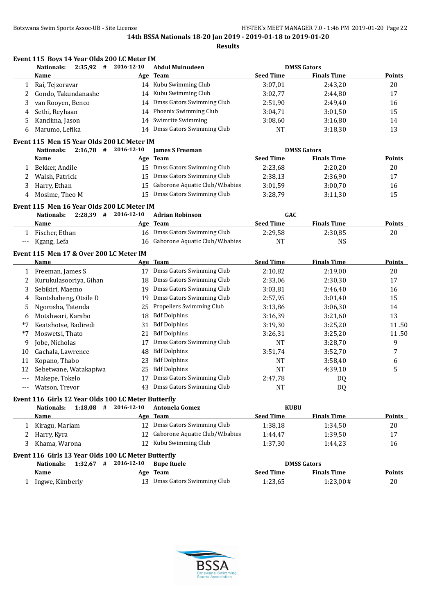|              | $2:35,92$ # 2016-12-10<br><b>Nationals:</b>         |    | <b>Abdul Muinudeen</b>         |                  | <b>DMSS Gators</b> |               |
|--------------|-----------------------------------------------------|----|--------------------------------|------------------|--------------------|---------------|
|              | Name                                                |    | Age Team                       | <b>Seed Time</b> | <b>Finals Time</b> | <b>Points</b> |
| 1            | Rai, Tejzoravar                                     |    | 14 Kubu Swimming Club          | 3:07,01          | 2:43,20            | 20            |
| 2            | Gondo, Takundanashe                                 | 14 | Kubu Swimming Club             | 3:02,77          | 2:44,80            | 17            |
| 3            | van Rooyen, Benco                                   | 14 | Dmss Gators Swimming Club      | 2:51,90          | 2:49,40            | 16            |
| 4            | Sethi, Reyhaan                                      | 14 | Phoenix Swimming Club          | 3:04,71          | 3:01,50            | 15            |
| 5            | Kandima, Jason                                      | 14 | Swimrite Swimming              | 3:08,60          | 3:16,80            | 14            |
| 6            | Marumo, Lefika                                      | 14 | Dmss Gators Swimming Club      | <b>NT</b>        | 3:18,30            | 13            |
|              | Event 115 Men 15 Year Olds 200 LC Meter IM          |    |                                |                  |                    |               |
|              | $2:16,78$ # 2016-12-10<br><b>Nationals:</b>         |    | <b>James S Freeman</b>         |                  | <b>DMSS Gators</b> |               |
|              | Name                                                |    | Age Team                       | <b>Seed Time</b> | <b>Finals Time</b> | Points        |
| 1            | Bekker, Andile                                      |    | 15 Dmss Gators Swimming Club   | 2:23,68          | 2:20,20            | 20            |
| 2            | Walsh, Patrick                                      | 15 | Dmss Gators Swimming Club      | 2:38,13          | 2:36,90            | 17            |
| 3            | Harry, Ethan                                        | 15 | Gaborone Aquatic Club/W.babies | 3:01,59          | 3:00,70            | 16            |
| 4            | Mosime, Theo M                                      | 15 | Dmss Gators Swimming Club      | 3:28,79          | 3:11,30            | 15            |
|              | Event 115 Men 16 Year Olds 200 LC Meter IM          |    |                                |                  |                    |               |
|              | $2:28,39$ # 2016-12-10<br><b>Nationals:</b>         |    | <b>Adrian Robinson</b>         | GAC              |                    |               |
|              | <u>Name</u>                                         |    | Age Team                       | <b>Seed Time</b> | <b>Finals Time</b> | <b>Points</b> |
| 1            | Fischer, Ethan                                      |    | 16 Dmss Gators Swimming Club   | 2:29,58          | 2:30,85            | 20            |
| ---          | Kgang, Lefa                                         | 16 | Gaborone Aquatic Club/W.babies | NT               | <b>NS</b>          |               |
|              | Event 115 Men 17 & Over 200 LC Meter IM             |    |                                |                  |                    |               |
|              | Name                                                |    | Age Team                       | <b>Seed Time</b> | <b>Finals Time</b> | <b>Points</b> |
| $\mathbf{1}$ | Freeman, James S                                    |    | 17 Dmss Gators Swimming Club   | 2:10,82          | 2:19,00            | 20            |
| 2            | Kurukulasooriya, Gihan                              | 18 | Dmss Gators Swimming Club      | 2:33,06          | 2:30,30            | 17            |
| 3            | Sebikiri, Maemo                                     | 19 | Dmss Gators Swimming Club      | 3:03,81          | 2:46,40            | 16            |
| 4            | Rantshabeng, Otsile D                               | 19 | Dmss Gators Swimming Club      | 2:57,95          | 3:01,40            | 15            |
| 5            | Ngorosha, Tatenda                                   | 25 | Propellers Swimming Club       | 3:13,86          | 3:06,30            | 14            |
| 6            | Motshwari, Karabo                                   | 18 | <b>Bdf Dolphins</b>            | 3:16,39          | 3:21,60            | 13            |
| *7           | Keatshotse, Badiredi                                | 31 | <b>Bdf Dolphins</b>            | 3:19,30          | 3:25,20            | 11.50         |
| *7           | Moswetsi, Thato                                     | 21 | <b>Bdf Dolphins</b>            | 3:26,31          | 3:25,20            | 11.50         |
| 9            | Jobe, Nicholas                                      | 17 | Dmss Gators Swimming Club      | NT               | 3:28,70            | 9             |
| 10           | Gachala, Lawrence                                   | 48 | <b>Bdf Dolphins</b>            | 3:51,74          | 3:52,70            | 7             |
| 11           | Kopano, Thabo                                       | 23 | <b>Bdf Dolphins</b>            | NT               | 3:58,40            | 6             |
| 12           | Sebetwane, Watakapiwa                               | 25 | <b>Bdf Dolphins</b>            | <b>NT</b>        | 4:39,10            | 5             |
| ---          | Makepe, Tokelo                                      | 17 | Dmss Gators Swimming Club      | 2:47,78          | DQ                 |               |
|              | Watson, Trevor                                      |    | 43 Dmss Gators Swimming Club   | NT               | DQ                 |               |
|              | Event 116 Girls 12 Year Olds 100 LC Meter Butterfly |    |                                |                  |                    |               |
|              | Nationals:<br>$1:18,08$ # 2016-12-10                |    | <b>Antonela Gomez</b>          | <b>KUBU</b>      |                    |               |
|              | <b>Name</b>                                         |    | Age Team                       | <b>Seed Time</b> | <b>Finals Time</b> | <b>Points</b> |
|              | Kiragu, Mariam                                      |    | 12 Dmss Gators Swimming Club   | 1:38,18          | 1:34,50            | 20            |
| 2            | Harry, Kyra                                         | 12 | Gaborone Aquatic Club/W.babies | 1:44,47          | 1:39,50            | 17            |
| 3            | Khama, Warona                                       |    | 12 Kubu Swimming Club          | 1:37,30          | 1:44,23            | 16            |
|              | Event 116 Girls 13 Year Olds 100 LC Meter Butterfly |    |                                |                  |                    |               |
|              | $1:32,67$ # 2016-12-10<br><b>Nationals:</b>         |    | <b>Bupe Ruele</b>              |                  | <b>DMSS Gators</b> |               |
|              | Name                                                |    | Age Team                       | <b>Seed Time</b> | <b>Finals Time</b> | <b>Points</b> |
| $\mathbf{1}$ | Ingwe, Kimberly                                     |    | 13 Dmss Gators Swimming Club   | 1:23,65          | 1:23,00#           | 20            |

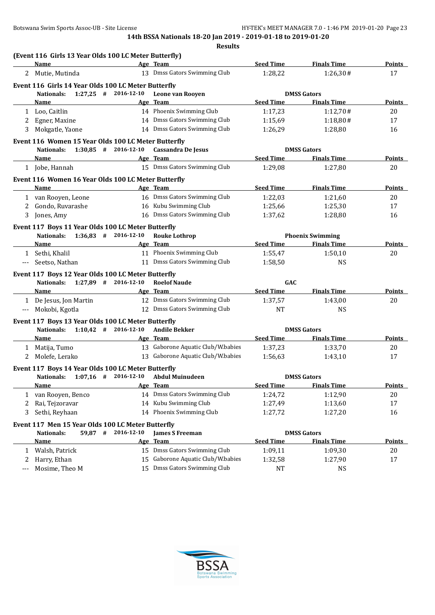|     | (Event 116 Girls 13 Year Olds 100 LC Meter Butterfly)<br><b>Name</b> |            | Age Team                          | <b>Seed Time</b> | <b>Finals Time</b>      | <b>Points</b> |
|-----|----------------------------------------------------------------------|------------|-----------------------------------|------------------|-------------------------|---------------|
|     | 2 Mutie, Mutinda                                                     |            | 13 Dmss Gators Swimming Club      | 1:28,22          | 1:26,30#                | 17            |
|     | Event 116 Girls 14 Year Olds 100 LC Meter Butterfly                  |            |                                   |                  |                         |               |
|     | $1:27,25$ # 2016-12-10<br><b>Nationals:</b>                          |            | Leone van Rooyen                  |                  | <b>DMSS Gators</b>      |               |
|     | Name                                                                 |            | Age Team                          | <b>Seed Time</b> | <b>Finals Time</b>      | <b>Points</b> |
|     | 1 Loo, Caitlin                                                       |            | 14 Phoenix Swimming Club          | 1:17,23          | 1:12,70#                | 20            |
| 2   | Egner, Maxine                                                        |            | 14 Dmss Gators Swimming Club      | 1:15,69          | 1:18,80#                | 17            |
| 3   | Mokgatle, Yaone                                                      |            | 14 Dmss Gators Swimming Club      | 1:26,29          | 1:28,80                 | 16            |
|     | Event 116 Women 15 Year Olds 100 LC Meter Butterfly                  |            |                                   |                  |                         |               |
|     | Nationals: 1:30,85 # 2016-12-10                                      |            | Cassandra De Jesus                |                  | <b>DMSS Gators</b>      |               |
|     | Name                                                                 |            | Age Team                          | <b>Seed Time</b> | <b>Finals Time</b>      | Points        |
|     | 1 Jobe, Hannah                                                       |            | 15 Dmss Gators Swimming Club      | 1:29,08          | 1:27,80                 | 20            |
|     | Event 116 Women 16 Year Olds 100 LC Meter Butterfly                  |            |                                   |                  |                         |               |
|     | Name                                                                 |            | Age Team                          | <b>Seed Time</b> | <b>Finals Time</b>      | <b>Points</b> |
|     | 1 van Rooyen, Leone                                                  |            | 16 Dmss Gators Swimming Club      | 1:22,03          | 1:21,60                 | 20            |
| 2   | Gondo, Ruvarashe                                                     |            | 16 Kubu Swimming Club             | 1:25,66          | 1:25,30                 | 17            |
| 3   | Jones, Amy                                                           |            | 16 Dmss Gators Swimming Club      | 1:37,62          | 1:28,80                 | 16            |
|     | Event 117 Boys 11 Year Olds 100 LC Meter Butterfly                   |            |                                   |                  |                         |               |
|     | Nationals: 1:36,83 # 2016-12-10                                      |            | <b>Rouke Lothrop</b>              |                  | <b>Phoenix Swimming</b> |               |
|     | Name                                                                 |            | Age Team                          | <b>Seed Time</b> | <b>Finals Time</b>      | Points        |
|     | 1 Sethi, Khalil                                                      |            | 11 Phoenix Swimming Club          | 1:55,47          | 1:50,10                 | 20            |
| --- | Seetso, Nathan                                                       |            | 11 Dmss Gators Swimming Club      | 1:58,50          | NS                      |               |
|     | Event 117 Boys 12 Year Olds 100 LC Meter Butterfly                   |            |                                   |                  |                         |               |
|     | Nationals: 1:27,89 # 2016-12-10                                      |            | <b>Roelof Naude</b>               | GAC              |                         |               |
|     | Name                                                                 |            | Age Team                          | <b>Seed Time</b> | <b>Finals Time</b>      | <b>Points</b> |
|     | 1 De Jesus, Jon Martin                                               |            | 12 Dmss Gators Swimming Club      | 1:37,57          | 1:43,00                 | 20            |
| --- | Mokobi, Kgotla                                                       |            | 12 Dmss Gators Swimming Club      | <b>NT</b>        | <b>NS</b>               |               |
|     | Event 117 Boys 13 Year Olds 100 LC Meter Butterfly                   |            |                                   |                  |                         |               |
|     | $1:10,42$ # 2016-12-10<br><b>Nationals:</b>                          |            | <b>Andile Bekker</b>              |                  | <b>DMSS Gators</b>      |               |
|     | Name                                                                 |            | Age Team                          | <b>Seed Time</b> | <b>Finals Time</b>      | Points        |
| 1   | Matija, Tumo                                                         |            | 13 Gaborone Aquatic Club/W.babies | 1:37,23          | 1:33,70                 | 20            |
| 2   | Molefe, Lerako                                                       |            | 13 Gaborone Aquatic Club/W.babies | 1:56,63          | 1:43,10                 | 17            |
|     | Event 117 Boys 14 Year Olds 100 LC Meter Butterfly                   |            |                                   |                  |                         |               |
|     | $1:07,16$ # 2016-12-10<br><b>Nationals:</b>                          |            | <b>Abdul Muinudeen</b>            |                  | <b>DMSS Gators</b>      |               |
|     | <b>Name</b>                                                          |            | Age Team                          | <b>Seed Time</b> | <b>Finals Time</b>      | <b>Points</b> |
|     | 1 van Rooyen, Benco                                                  |            | 14 Dmss Gators Swimming Club      | 1:24,72          | 1:12,90                 | 20            |
| 2   | Rai, Tejzoravar                                                      |            | 14 Kubu Swimming Club             | 1:27,49          | 1:13,60                 | 17            |
| 3   | Sethi, Reyhaan                                                       |            | 14 Phoenix Swimming Club          | 1:27,72          | 1:27,20                 | 16            |
|     | Event 117 Men 15 Year Olds 100 LC Meter Butterfly                    |            |                                   |                  |                         |               |
|     | <b>Nationals:</b><br>59,87 #                                         | 2016-12-10 | <b>James S Freeman</b>            |                  | <b>DMSS Gators</b>      |               |
|     | <b>Name</b>                                                          |            | Age Team                          | <b>Seed Time</b> | <b>Finals Time</b>      | <b>Points</b> |
| 1   | Walsh, Patrick                                                       |            | 15 Dmss Gators Swimming Club      | 1:09,11          | 1:09,30                 | $20\,$        |
| 2   | Harry, Ethan                                                         |            | 15 Gaborone Aquatic Club/W.babies | 1:32,58          | 1:27,90                 | 17            |
| --- | Mosime, Theo M                                                       |            | 15 Dmss Gators Swimming Club      | NT               | NS                      |               |

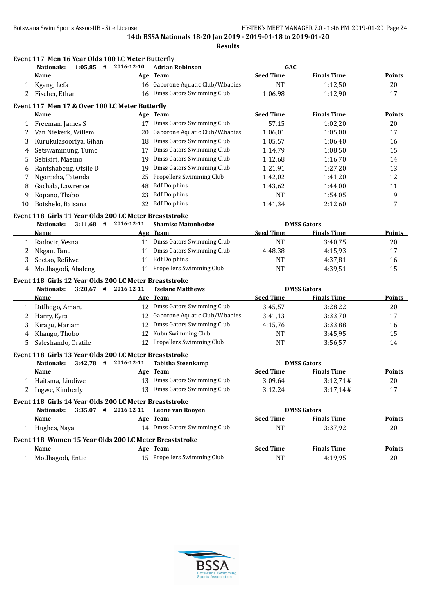**Event 117 Men 16 Year Olds 100 LC Meter Butterfly**

**14th BSSA Nationals 18-20 Jan 2019 - 2019-01-18 to 2019-01-20**

|    | Nationals:                                                           | $1:05,85$ # 2016-12-10 | <b>Adrian Robinson</b>            | GAC                |                    |                  |
|----|----------------------------------------------------------------------|------------------------|-----------------------------------|--------------------|--------------------|------------------|
|    | Name                                                                 |                        | Age Team                          | <b>Seed Time</b>   | <b>Finals Time</b> | <b>Points</b>    |
| 1  | Kgang, Lefa                                                          |                        | 16 Gaborone Aquatic Club/W.babies | <b>NT</b>          | 1:12,50            | 20               |
| 2  | Fischer, Ethan                                                       |                        | 16 Dmss Gators Swimming Club      | 1:06,98            | 1:12,90            | 17               |
|    | Event 117 Men 17 & Over 100 LC Meter Butterfly                       |                        |                                   |                    |                    |                  |
|    | Name                                                                 |                        | Age Team                          | <b>Seed Time</b>   | <b>Finals Time</b> | Points           |
| 1  | Freeman, James S                                                     |                        | 17 Dmss Gators Swimming Club      | 57,15              | 1:02,20            | 20               |
| 2  | Van Niekerk, Willem                                                  | 20                     | Gaborone Aquatic Club/W.babies    | 1:06,01            | 1:05,00            | 17               |
| 3  | Kurukulasooriya, Gihan                                               | 18                     | Dmss Gators Swimming Club         | 1:05,57            | 1:06,40            | 16               |
| 4  | Setswammung, Tumo                                                    |                        | 17 Dmss Gators Swimming Club      | 1:14,79            | 1:08,50            | 15               |
| 5  | Sebikiri, Maemo                                                      | 19                     | Dmss Gators Swimming Club         | 1:12,68            | 1:16,70            | 14               |
| 6  | Rantshabeng, Otsile D                                                | 19                     | Dmss Gators Swimming Club         | 1:21,91            | 1:27,20            | 13               |
| 7  | Ngorosha, Tatenda                                                    | 25                     | Propellers Swimming Club          | 1:42,02            | 1:41,20            | 12               |
| 8  | Gachala, Lawrence                                                    | 48                     | <b>Bdf Dolphins</b>               | 1:43,62            | 1:44,00            | 11               |
| 9  | Kopano, Thabo                                                        | 23                     | <b>Bdf Dolphins</b>               | NT                 | 1:54,05            | 9                |
| 10 | Botshelo, Baisana                                                    | 32                     | <b>Bdf Dolphins</b>               | 1:41,34            | 2:12,60            | $\boldsymbol{7}$ |
|    | Event 118 Girls 11 Year Olds 200 LC Meter Breaststroke               |                        |                                   |                    |                    |                  |
|    | <b>Nationals:</b>                                                    | $3:11.68$ # 2016-12-11 | <b>Shamiso Matonhodze</b>         |                    | <b>DMSS Gators</b> |                  |
|    | Name                                                                 |                        | Age Team                          | <b>Seed Time</b>   | <b>Finals Time</b> | <b>Points</b>    |
| 1  | Radovic, Vesna                                                       |                        | 11 Dmss Gators Swimming Club      | <b>NT</b>          | 3:40,75            | 20               |
| 2  | Nkgau, Tanu                                                          | 11                     | Dmss Gators Swimming Club         | 4:48,38            | 4:15,93            | 17               |
| 3  | Seetso, Refilwe                                                      | 11                     | <b>Bdf Dolphins</b>               | NT                 | 4:37,81            | 16               |
| 4  | Motlhagodi, Abaleng                                                  |                        | 11 Propellers Swimming Club       | <b>NT</b>          | 4:39,51            | 15               |
|    | Event 118 Girls 12 Year Olds 200 LC Meter Breaststroke               |                        |                                   |                    |                    |                  |
|    | Nationals:                                                           | $3:20,67$ # 2016-12-11 | <b>Tselane Matthews</b>           | <b>DMSS Gators</b> |                    |                  |
|    | Name                                                                 |                        | Age Team                          | <b>Seed Time</b>   | <b>Finals Time</b> | <b>Points</b>    |
| 1  | Ditlhogo, Amaru                                                      |                        | 12 Dmss Gators Swimming Club      | 3:45,57            | 3:28,22            | 20               |
| 2  | Harry, Kyra                                                          |                        | 12 Gaborone Aquatic Club/W.babies | 3:41,13            | 3:33,70            | 17               |
| 3  | Kiragu, Mariam                                                       |                        | 12 Dmss Gators Swimming Club      | 4:15,76            | 3:33,88            | 16               |
| 4  | Khango, Thobo                                                        |                        | 12 Kubu Swimming Club             | NT                 | 3:45,95            | 15               |
| 5  | Saleshando, Oratile                                                  |                        | 12 Propellers Swimming Club       | NT                 | 3:56,57            | 14               |
|    | Event 118 Girls 13 Year Olds 200 LC Meter Breaststroke               |                        |                                   |                    |                    |                  |
|    | <b>Nationals:</b>                                                    | $3:42.78$ # 2016-12-11 | <b>Tabitha Steenkamp</b>          |                    | <b>DMSS Gators</b> |                  |
|    | Name                                                                 |                        | Age Team                          | <b>Seed Time</b>   | <b>Finals Time</b> | <b>Points</b>    |
| 1  | Haitsma, Lindiwe                                                     |                        | 13 Dmss Gators Swimming Club      | 3:09,64            | 3:12,71#           | 20               |
| 2  | Ingwe, Kimberly                                                      |                        | 13 Dmss Gators Swimming Club      | 3:12,24            | 3:17,14#           | 17               |
|    |                                                                      |                        |                                   |                    |                    |                  |
|    | Event 118 Girls 14 Year Olds 200 LC Meter Breaststroke<br>Nationals: | $3:35,07$ # 2016-12-11 | Leone van Rooyen                  |                    | <b>DMSS Gators</b> |                  |
|    | Name                                                                 |                        | Age Team                          | <b>Seed Time</b>   | <b>Finals Time</b> | <b>Points</b>    |
|    | 1 Hughes, Naya                                                       |                        | 14 Dmss Gators Swimming Club      | <b>NT</b>          | 3:37,92            | 20               |
|    |                                                                      |                        |                                   |                    |                    |                  |
|    | Event 118 Women 15 Year Olds 200 LC Meter Breaststroke               |                        |                                   |                    |                    |                  |
|    | Name                                                                 |                        | Age Team                          | <b>Seed Time</b>   | <b>Finals Time</b> | <b>Points</b>    |
|    | 1 Motlhagodi, Entie                                                  |                        | 15 Propellers Swimming Club       | <b>NT</b>          | 4:19,95            | 20               |

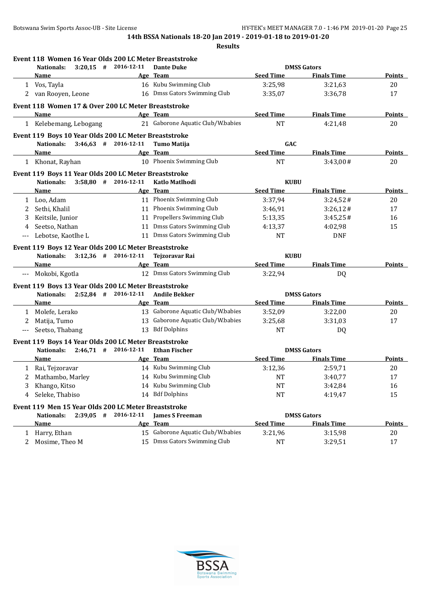|       |                                                       |                        | Event 118 Women 16 Year Olds 200 LC Meter Breaststroke |                  |                    |               |
|-------|-------------------------------------------------------|------------------------|--------------------------------------------------------|------------------|--------------------|---------------|
|       | Nationals:                                            | $3:20,15$ # 2016-12-11 | <b>Dante Duke</b>                                      |                  | <b>DMSS Gators</b> |               |
|       | Name                                                  |                        | Age Team                                               | <b>Seed Time</b> | <b>Finals Time</b> | <b>Points</b> |
|       | 1 Vos, Tayla                                          |                        | 16 Kubu Swimming Club                                  | 3:25,98          | 3:21,63            | 20            |
|       | 2 van Rooyen, Leone                                   |                        | 16 Dmss Gators Swimming Club                           | 3:35,07          | 3:36,78            | 17            |
|       | Event 118 Women 17 & Over 200 LC Meter Breaststroke   |                        |                                                        |                  |                    |               |
|       | Name                                                  |                        | Age Team                                               | <b>Seed Time</b> | <b>Finals Time</b> | Points        |
|       | 1 Kelebemang, Lebogang                                |                        | 21 Gaborone Aquatic Club/W.babies                      | <b>NT</b>        | 4:21,48            | 20            |
|       | Event 119 Boys 10 Year Olds 200 LC Meter Breaststroke |                        |                                                        |                  |                    |               |
|       | <b>Nationals:</b>                                     | $3:46,63$ # 2016-12-11 | <b>Tumo Matija</b>                                     | GAC              |                    |               |
|       | Name                                                  |                        | Age Team                                               | <b>Seed Time</b> | <b>Finals Time</b> | Points        |
|       | 1 Khonat, Rayhan                                      |                        | 10 Phoenix Swimming Club                               | <b>NT</b>        | 3:43,00#           | 20            |
|       | Event 119 Boys 11 Year Olds 200 LC Meter Breaststroke |                        |                                                        |                  |                    |               |
|       | $3:58.80$ #<br>Nationals:                             | 2016-12-11             | Katlo Matlhodi                                         | <b>KUBU</b>      |                    |               |
|       | Name                                                  |                        | Age Team                                               | <b>Seed Time</b> | <b>Finals Time</b> | <b>Points</b> |
|       | 1 Loo, Adam                                           |                        | 11 Phoenix Swimming Club                               | 3:37,94          | 3:24,52#           | 20            |
| 2     | Sethi, Khalil                                         |                        | 11 Phoenix Swimming Club                               | 3:46,91          | 3:26,12#           | 17            |
| 3     | Keitsile, Junior                                      |                        | 11 Propellers Swimming Club                            | 5:13,35          | 3:45,25#           | 16            |
| 4     | Seetso, Nathan                                        |                        | 11 Dmss Gators Swimming Club                           | 4:13,37          | 4:02,98            | 15            |
| $---$ | Lebotse, Kaotlhe L                                    |                        | 11 Dmss Gators Swimming Club                           | <b>NT</b>        | <b>DNF</b>         |               |
|       | Event 119 Boys 12 Year Olds 200 LC Meter Breaststroke |                        |                                                        |                  |                    |               |
|       | Nationals:                                            | $3:12.36$ # 2016-12-11 | <b>Tejzoravar Rai</b>                                  | <b>KUBU</b>      |                    |               |
|       | Name                                                  |                        | Age Team                                               | <b>Seed Time</b> | <b>Finals Time</b> | <b>Points</b> |
| ---   | Mokobi, Kgotla                                        |                        | 12 Dmss Gators Swimming Club                           | 3:22,94          | DQ                 |               |
|       | Event 119 Boys 13 Year Olds 200 LC Meter Breaststroke |                        |                                                        |                  |                    |               |
|       | <b>Nationals:</b>                                     | $2:52,84$ # 2016-12-11 | <b>Andile Bekker</b>                                   |                  | <b>DMSS Gators</b> |               |
|       | Name                                                  |                        | Age Team                                               | <b>Seed Time</b> | <b>Finals Time</b> | Points        |
| 1     | Molefe, Lerako                                        |                        | 13 Gaborone Aquatic Club/W.babies                      | 3:52,09          | 3:22,00            | 20            |
| 2     | Matija, Tumo                                          |                        | 13 Gaborone Aquatic Club/W.babies                      | 3:25,68          | 3:31,03            | 17            |
| $---$ | Seetso, Thabang                                       |                        | 13 Bdf Dolphins                                        | <b>NT</b>        | DQ                 |               |
|       | Event 119 Boys 14 Year Olds 200 LC Meter Breaststroke |                        |                                                        |                  |                    |               |
|       | Nationals:                                            | $2:46,71$ # 2016-12-11 | <b>Ethan Fischer</b>                                   |                  | <b>DMSS Gators</b> |               |
|       | Name                                                  |                        | Age Team                                               | <b>Seed Time</b> | <b>Finals Time</b> | Points        |
| 1     | Rai, Tejzoravar                                       |                        | 14 Kubu Swimming Club                                  | 3:12,36          | 2:59,71            | 20            |
| 2     | Mathambo, Marley                                      |                        | 14 Kubu Swimming Club                                  | NT               | 3:40,77            | 17            |
|       | Khango, Kitso                                         |                        | 14 Kubu Swimming Club                                  | <b>NT</b>        | 3:42,84            | 16            |
|       | Seleke, Thabiso                                       |                        | 14 Bdf Dolphins                                        | <b>NT</b>        | 4:19,47            | 15            |
|       | Event 119 Men 15 Year Olds 200 LC Meter Breaststroke  |                        |                                                        |                  |                    |               |
|       | <b>Nationals:</b><br>$2:39,05$ #                      | 2016-12-11             | <b>James S Freeman</b>                                 |                  | <b>DMSS Gators</b> |               |
|       | <b>Name</b>                                           | Age                    | Team                                                   | <b>Seed Time</b> | <b>Finals Time</b> | <b>Points</b> |
| 1     | Harry, Ethan                                          |                        | 15 Gaborone Aquatic Club/W.babies                      | 3:21,96          | 3:15,98            | 20            |
| 2     | Mosime, Theo M                                        | 15                     | Dmss Gators Swimming Club                              | NT               | 3:29,51            | 17            |
|       |                                                       |                        |                                                        |                  |                    |               |

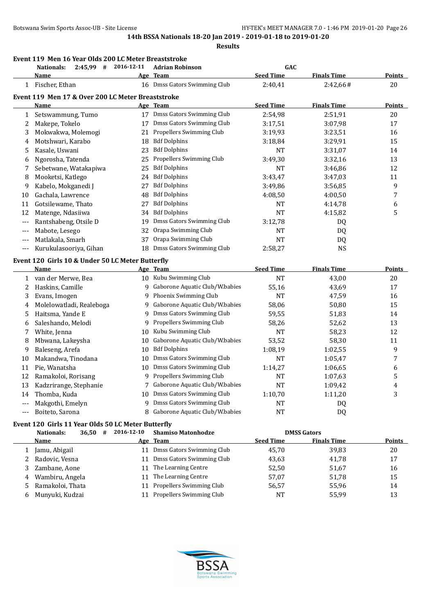**Results**

#### **Event 119 Men 16 Year Olds 200 LC Meter Breaststroke**

|                | 2:45,99 # 2016-12-11<br><b>Nationals:</b>         |     | <b>Adrian Robinson</b>           | GAC              |                    |                  |
|----------------|---------------------------------------------------|-----|----------------------------------|------------------|--------------------|------------------|
|                | Name                                              | Age | <b>Team</b>                      | <b>Seed Time</b> | <b>Finals Time</b> | Points           |
|                | 1 Fischer, Ethan                                  |     | 16 Dmss Gators Swimming Club     | 2:40,41          | 2:42,66#           | 20               |
|                | Event 119 Men 17 & Over 200 LC Meter Breaststroke |     |                                  |                  |                    |                  |
|                | Name                                              |     | Age Team                         | <b>Seed Time</b> | <b>Finals Time</b> | <b>Points</b>    |
| $\mathbf{1}$   | Setswammung, Tumo                                 |     | 17 Dmss Gators Swimming Club     | 2:54,98          | 2:51,91            | 20               |
| 2              | Makepe, Tokelo                                    |     | 17 Dmss Gators Swimming Club     | 3:17,51          | 3:07,98            | 17               |
| 3              | Mokwakwa, Molemogi                                | 21  | Propellers Swimming Club         | 3:19,93          | 3:23,51            | 16               |
| 4              | Motshwari, Karabo                                 | 18  | <b>Bdf Dolphins</b>              | 3:18,84          | 3:29,91            | 15               |
| 5              | Kasale, Uswani                                    | 23  | <b>Bdf Dolphins</b>              | <b>NT</b>        | 3:31,07            | 14               |
| 6              | Ngorosha, Tatenda                                 | 25  | Propellers Swimming Club         | 3:49,30          | 3:32,16            | 13               |
| 7              | Sebetwane, Watakapiwa                             | 25  | <b>Bdf Dolphins</b>              | <b>NT</b>        | 3:46,86            | 12               |
| 8              | Mooketsi, Katlego                                 | 24  | <b>Bdf Dolphins</b>              | 3:43,47          | 3:47,03            | 11               |
| 9              | Kabelo, Mokganedi J                               | 27  | <b>Bdf Dolphins</b>              | 3:49,86          | 3:56,85            | 9                |
| 10             | Gachala, Lawrence                                 | 48  | <b>Bdf Dolphins</b>              | 4:08,50          | 4:00,50            | $\boldsymbol{7}$ |
| 11             | Gotsilewame, Thato                                | 27  | <b>Bdf Dolphins</b>              | <b>NT</b>        | 4:14,78            | 6                |
| 12             | Matenge, Ndasiiwa                                 | 34  | <b>Bdf Dolphins</b>              | <b>NT</b>        | 4:15,82            | 5                |
| $- - -$        | Rantshabeng, Otsile D                             | 19  | Dmss Gators Swimming Club        | 3:12,78          | DQ                 |                  |
| $---$          | Mabote, Lesego                                    | 32  | Orapa Swimming Club              | <b>NT</b>        | <b>DQ</b>          |                  |
| ---            | Matlakala, Smarh                                  | 37  | Orapa Swimming Club              | <b>NT</b>        | DQ                 |                  |
| $---$          | Kurukulasooriya, Gihan                            | 18  | Dmss Gators Swimming Club        | 2:58,27          | <b>NS</b>          |                  |
|                | Event 120 Girls 10 & Under 50 LC Meter Butterfly  |     |                                  |                  |                    |                  |
|                | Name                                              |     | Age Team                         | <b>Seed Time</b> | <b>Finals Time</b> | <b>Points</b>    |
| 1              | van der Merwe, Bea                                |     | 10 Kubu Swimming Club            | <b>NT</b>        | 43,00              | 20               |
| 2              | Haskins, Camille                                  |     | 9 Gaborone Aquatic Club/W.babies | 55,16            | 43,69              | 17               |
| 3              | Evans, Imogen                                     | 9   | Phoenix Swimming Club            | <b>NT</b>        | 47,59              | 16               |
| 4              | Molelowatladi, Realeboga                          | 9   | Gaborone Aquatic Club/W.babies   | 58,06            | 50,80              | 15               |
| 5              | Haitsma, Yande E                                  | 9   | Dmss Gators Swimming Club        | 59,55            | 51,83              | 14               |
| 6              | Saleshando, Melodi                                | 9   | Propellers Swimming Club         | 58,26            | 52,62              | 13               |
| 7              | White, Jenna                                      | 10  | Kubu Swimming Club               | NT               | 58,23              | 12               |
| 8              | Mbwana, Lakeysha                                  | 10  | Gaborone Aquatic Club/W.babies   | 53,52            | 58,30              | 11               |
| 9              | Baleseng, Arefa                                   | 10  | <b>Bdf Dolphins</b>              | 1:08,19          | 1:02,55            | 9                |
| 10             | Makandwa, Tinodana                                | 10  | Dmss Gators Swimming Club        | <b>NT</b>        | 1:05,47            | $\boldsymbol{7}$ |
| 11             | Pie, Wanatsha                                     | 10  | Dmss Gators Swimming Club        | 1:14,27          | 1:06,65            | 6                |
| 12             | Ramakoloi, Rorisang                               |     | 9 Propellers Swimming Club       | <b>NT</b>        | 1:07,63            | 5                |
| 13             | Kadzrirange, Stephanie                            |     | Gaborone Aquatic Club/W.babies   | <b>NT</b>        | 1:09,42            | 4                |
| 14             | Thomba, Kuda                                      | 10  | Dmss Gators Swimming Club        | 1:10,70          | 1:11,20            | 3                |
| $- - -$        | Makgothi, Emelyn                                  | 9   | Dmss Gators Swimming Club        | <b>NT</b>        | DQ                 |                  |
| $\overline{a}$ | Boiteto, Sarona                                   | 8   | Gaborone Aquatic Club/W.babies   | <b>NT</b>        | D <sub>Q</sub>     |                  |

# **Event 120 Girls 11 Year Olds 50 LC Meter Butterfly**

| 36,50<br>Nationals:<br># | 2016-12-10 | <b>Shamiso Matonhodze</b> |                  | <b>DMSS Gators</b> |               |
|--------------------------|------------|---------------------------|------------------|--------------------|---------------|
| Name                     |            | Age Team                  | <b>Seed Time</b> | <b>Finals Time</b> | <b>Points</b> |
| Jamu, Abigail            | 11         | Dmss Gators Swimming Club | 45.70            | 39.83              | 20            |
| 2 Radovic, Vesna         |            | Dmss Gators Swimming Club | 43,63            | 41.78              | 17            |
| Zambane, Aone            | 11         | The Learning Centre       | 52,50            | 51,67              | 16            |
| Wambiru, Angela<br>4     | 11         | The Learning Centre       | 57,07            | 51,78              | 15            |
| Ramakoloi, Thata<br>.ל   | 11         | Propellers Swimming Club  | 56,57            | 55,96              | 14            |
| Munyuki, Kudzai<br>6     | 11         | Propellers Swimming Club  | <b>NT</b>        | 55,99              | 13            |
|                          |            |                           |                  |                    |               |

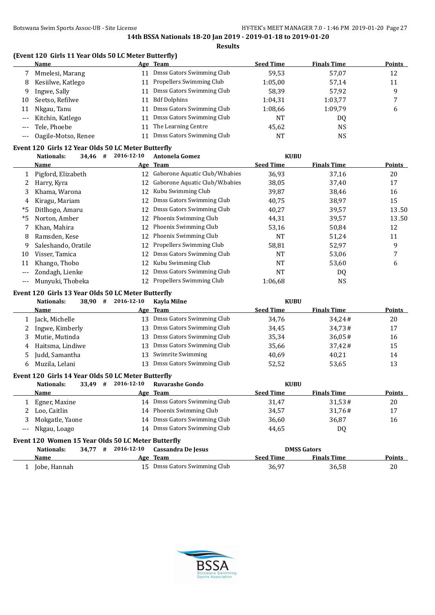**Results**

# **(Event 120 Girls 11 Year Olds 50 LC Meter Butterfly)**

|       | <b>Name</b>         | Age Team                     | <b>Seed Time</b> | <b>Finals Time</b> | <b>Points</b> |
|-------|---------------------|------------------------------|------------------|--------------------|---------------|
|       | Mmelesi, Marang     | 11 Dmss Gators Swimming Club | 59.53            | 57.07              | 12            |
| 8     | Kesiilwe, Katlego   | 11 Propellers Swimming Club  | 1:05,00          | 57,14              | 11            |
| 9     | Ingwe, Sally        | Dmss Gators Swimming Club    | 58.39            | 57.92              | 9             |
| 10    | Seetso, Refilwe     | <b>Bdf Dolphins</b>          | 1:04,31          | 1:03,77            |               |
| 11    | Nkgau, Tanu         | Dmss Gators Swimming Club    | 1:08,66          | 1:09.79            | b             |
| $---$ | Kitchin, Katlego    | Dmss Gators Swimming Club    | NT               | DQ                 |               |
|       | Tele, Phoebe        | The Learning Centre          | 45,62            | NS                 |               |
|       | Oagile-Motso, Renee | Dmss Gators Swimming Club    | NT               | <b>NS</b>          |               |

# **Event 120 Girls 12 Year Olds 50 LC Meter Butterfly**

|       | 34,46<br>#<br>Nationals: | 2016-12-10 | <b>Antonela Gomez</b>           | <b>KUBU</b>      |                    |               |
|-------|--------------------------|------------|---------------------------------|------------------|--------------------|---------------|
|       | Name                     |            | Age Team                        | <b>Seed Time</b> | <b>Finals Time</b> | <b>Points</b> |
|       | Pigford, Elizabeth       | 12         | Gaborone Aquatic Club/W.babies  | 36,93            | 37,16              | 20            |
|       | Harry, Kyra              | 12         | Gaborone Aquatic Club/W.babies  | 38,05            | 37,40              | 17            |
| 3     | Khama, Warona            | 12         | Kubu Swimming Club              | 39,87            | 38,46              | 16            |
| 4     | Kiragu, Mariam           | 12         | Dmss Gators Swimming Club       | 40,75            | 38,97              | 15            |
| *5    | Ditlhogo, Amaru          | 12         | Dmss Gators Swimming Club       | 40,27            | 39,57              | 13.50         |
| *5    | Norton, Amber            | 12         | Phoenix Swimming Club           | 44,31            | 39,57              | 13.50         |
|       | Khan, Mahira             | 12         | Phoenix Swimming Club           | 53,16            | 50,84              | 12            |
| 8     | Ramsden, Kese            | 12         | Phoenix Swimming Club           | NT               | 51,24              | 11            |
| 9     | Saleshando, Oratile      | 12         | <b>Propellers Swimming Club</b> | 58,81            | 52,97              | 9             |
| 10    | Visser, Tamica           | 12         | Dmss Gators Swimming Club       | NT               | 53,06              |               |
| 11    | Khango, Thobo            | 12         | Kubu Swimming Club              | NT               | 53,60              | 6             |
| $---$ | Zondagh, Lienke          | 12         | Dmss Gators Swimming Club       | <b>NT</b>        | DQ                 |               |
| $---$ | Munyuki, Thobeka         | 12         | Propellers Swimming Club        | 1:06.68          | <b>NS</b>          |               |

#### **Event 120 Girls 13 Year Olds 50 LC Meter Butterfly**

|   | 38,90<br>Nationals:<br># | 2016-12-10 | Kavla Milne               | <b>KUBU</b>      |                    |               |
|---|--------------------------|------------|---------------------------|------------------|--------------------|---------------|
|   | Name                     |            | Age Team                  | <b>Seed Time</b> | <b>Finals Time</b> | <b>Points</b> |
|   | Jack, Michelle           | 13.        | Dmss Gators Swimming Club | 34.76            | 34.24#             | 20            |
|   | Ingwe, Kimberly          | 13.        | Dmss Gators Swimming Club | 34,45            | 34,73#             | 17            |
|   | Mutie, Mutinda           | 13.        | Dmss Gators Swimming Club | 35,34            | 36.05#             | 16            |
|   | 4 Haitsma, Lindiwe       | 13.        | Dmss Gators Swimming Club | 35,66            | $37.42 \#$         | 15            |
|   | 5 Judd, Samantha         | 13         | Swimrite Swimming         | 40,69            | 40,21              | 14            |
| 6 | Muzila, Lelani           | 13         | Dmss Gators Swimming Club | 52,52            | 53,65              | 13            |

# **Event 120 Girls 14 Year Olds 50 LC Meter Butterfly**

| 33.49<br>Nationals:<br># | 2016-12-10 | <b>Ruvarashe Gondo</b>       | <b>KUBU</b>      |                    |               |
|--------------------------|------------|------------------------------|------------------|--------------------|---------------|
| Name                     |            | Age Team                     | <b>Seed Time</b> | <b>Finals Time</b> | <b>Points</b> |
| Egner, Maxine            |            | 14 Dmss Gators Swimming Club | 31,47            | 31,53#             | 20            |
| 2 Loo, Caitlin           |            | 14 Phoenix Swimming Club     | 34,57            | 31.76#             | 17            |
| Mokgatle, Yaone          | 14         | Dmss Gators Swimming Club    | 36,60            | 36,87              | 16            |
| --- Nkgau, Loago         |            | 14 Dmss Gators Swimming Club | 44,65            | DQ                 |               |

#### **Event 120 Women 15 Year Olds 50 LC Meter Butterfly**

| Nationals:   |  | 34.77 # 2016-12-10 Cassandra De Jesus |                  | <b>DMSS Gators</b> |               |
|--------------|--|---------------------------------------|------------------|--------------------|---------------|
| Name         |  | Age Team                              | <b>Seed Time</b> | <b>Finals Time</b> | <b>Points</b> |
| Jobe, Hannah |  | 15 Dmss Gators Swimming Club          | 36,97            | 36,58              | 20            |

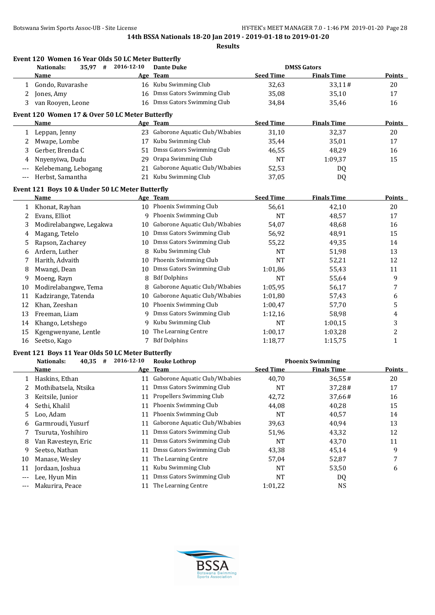|              | Event 120 Women 16 Year Olds 50 LC Meter Butterfly<br>$35,97$ #<br><b>Nationals:</b> | 2016-12-10 | <b>Dante Duke</b>                 |                  | <b>DMSS Gators</b>      |                |
|--------------|--------------------------------------------------------------------------------------|------------|-----------------------------------|------------------|-------------------------|----------------|
|              | Name                                                                                 |            | Age Team                          | <b>Seed Time</b> | <b>Finals Time</b>      | <b>Points</b>  |
| $\mathbf{1}$ | Gondo, Ruvarashe                                                                     |            | 16 Kubu Swimming Club             | 32,63            | 33,11#                  | 20             |
| 2            | Jones, Amy                                                                           |            | 16 Dmss Gators Swimming Club      | 35,08            | 35,10                   | 17             |
| 3            | van Rooyen, Leone                                                                    |            | 16 Dmss Gators Swimming Club      | 34,84            | 35,46                   | 16             |
|              | Event 120 Women 17 & Over 50 LC Meter Butterfly                                      |            |                                   |                  |                         |                |
|              | <b>Name</b>                                                                          |            | Age Team                          | <b>Seed Time</b> | <b>Finals Time</b>      | <b>Points</b>  |
| 1            | Leppan, Jenny                                                                        |            | 23 Gaborone Aquatic Club/W.babies | 31,10            | 32,37                   | 20             |
| 2            | Mwape, Lombe                                                                         | 17         | Kubu Swimming Club                | 35,44            | 35,01                   | 17             |
| 3            | Gerber, Brenda C                                                                     | 51         | Dmss Gators Swimming Club         | 46,55            | 48,29                   | 16             |
| 4            | Nnyenyiwa, Dudu                                                                      |            | 29 Orapa Swimming Club            | NT               | 1:09,37                 | 15             |
| $---$        | Kelebemang, Lebogang                                                                 | 21         | Gaborone Aquatic Club/W.babies    | 52,53            | DQ                      |                |
| $- - -$      | Herbst, Samantha                                                                     | 21         | Kubu Swimming Club                | 37,05            | DQ                      |                |
|              | Event 121 Boys 10 & Under 50 LC Meter Butterfly                                      |            |                                   |                  |                         |                |
|              | Name                                                                                 |            | Age Team                          | <b>Seed Time</b> | <b>Finals Time</b>      | <b>Points</b>  |
| $\mathbf{1}$ | Khonat, Rayhan                                                                       |            | 10 Phoenix Swimming Club          | 56,61            | 42,10                   | 20             |
| 2            | Evans, Elliot                                                                        |            | 9 Phoenix Swimming Club           | <b>NT</b>        | 48,57                   | 17             |
| 3            | Modirelabangwe, Legakwa                                                              |            | 10 Gaborone Aquatic Club/W.babies | 54,07            | 48,68                   | 16             |
| 4            | Magang, Tetelo                                                                       | 10         | Dmss Gators Swimming Club         | 56,92            | 48,91                   | 15             |
| 5            | Rapson, Zacharey                                                                     | 10         | Dmss Gators Swimming Club         | 55,22            | 49,35                   | 14             |
| 6            | Ardern, Luther                                                                       | 8          | Kubu Swimming Club                | NT               | 51,98                   | 13             |
| 7            | Harith, Advaith                                                                      | 10         | Phoenix Swimming Club             | <b>NT</b>        | 52,21                   | 12             |
| 8            | Mwangi, Dean                                                                         | 10         | Dmss Gators Swimming Club         | 1:01,86          | 55,43                   | 11             |
| 9            | Moeng, Rayn                                                                          | 8          | <b>Bdf Dolphins</b>               | <b>NT</b>        | 55,64                   | 9              |
| 10           | Modirelabangwe, Tema                                                                 | 8          | Gaborone Aquatic Club/W.babies    | 1:05,95          | 56,17                   | 7              |
| 11           | Kadzirange, Tatenda                                                                  | 10         | Gaborone Aquatic Club/W.babies    | 1:01,80          | 57,43                   | 6              |
| 12           | Khan, Zeeshan                                                                        | 10         | Phoenix Swimming Club             | 1:00,47          | 57,70                   | 5              |
| 13           | Freeman, Liam                                                                        | 9          | Dmss Gators Swimming Club         | 1:12,16          | 58,98                   | 4              |
| 14           | Khango, Letshego                                                                     | 9          | Kubu Swimming Club                | <b>NT</b>        | 1:00,15                 | 3              |
| 15           | Kgengwenyane, Lentle                                                                 | 10         | The Learning Centre               | 1:00,17          | 1:03,28                 | $\overline{c}$ |
| 16           | Seetso, Kago                                                                         |            | 7 Bdf Dolphins                    | 1:18,77          | 1:15,75                 | $\mathbf{1}$   |
|              | Event 121 Boys 11 Year Olds 50 LC Meter Butterfly                                    |            |                                   |                  |                         |                |
|              | Nationals:<br>$40,35$ #                                                              | 2016-12-10 | <b>Rouke Lothrop</b>              |                  | <b>Phoenix Swimming</b> |                |
|              | Name                                                                                 |            | Age Team                          | <b>Seed Time</b> | <b>Finals Time</b>      | <b>Points</b>  |
|              | 1 Haskins, Ethan                                                                     |            | 11 Gaborone Aquatic Club/W.babies | 40,70            | 36,55#                  | 20             |
| 2            | Mothibatsela, Ntsika                                                                 | 11         | Dmss Gators Swimming Club         | NT               | 37,28#                  | 17             |
| 3            | Keitsile, Junior                                                                     | 11         | Propellers Swimming Club          | 42,72            | 37,66#                  | 16             |
| 4            | Sethi, Khalil                                                                        | 11         | Phoenix Swimming Club             | 44,08            | 40,28                   | 15             |
| 5            | Loo, Adam                                                                            | 11         | Phoenix Swimming Club             | NT               | 40,57                   | 14             |
| 6            | Garmroudi, Yusurf                                                                    | 11         | Gaborone Aquatic Club/W.babies    | 39,63            | 40,94                   | 13             |
| 7            | Tsuruta, Yoshihiro                                                                   | 11         | Dmss Gators Swimming Club         | 51,96            | 43,32                   | 12             |
| 8            | Van Ravesteyn, Eric                                                                  | 11         | Dmss Gators Swimming Club         | NT               | 43,70                   | 11             |
| 9            | Seetso, Nathan                                                                       | 11         | Dmss Gators Swimming Club         | 43,38            | 45,14                   | 9              |
| 10           | Manase, Wesley                                                                       | 11         | The Learning Centre               | 57,04            | 52,87                   | 7              |
| 11           | Jordaan, Joshua                                                                      | 11         | Kubu Swimming Club                | NT               | 53,50                   | 6              |
| $---$        | Lee, Hyun Min                                                                        | 11         | <b>Dmss Gators Swimming Club</b>  | NT               | DQ                      |                |
| $---$        | Makurira, Peace                                                                      | 11         | The Learning Centre               | 1:01,22          | <b>NS</b>               |                |

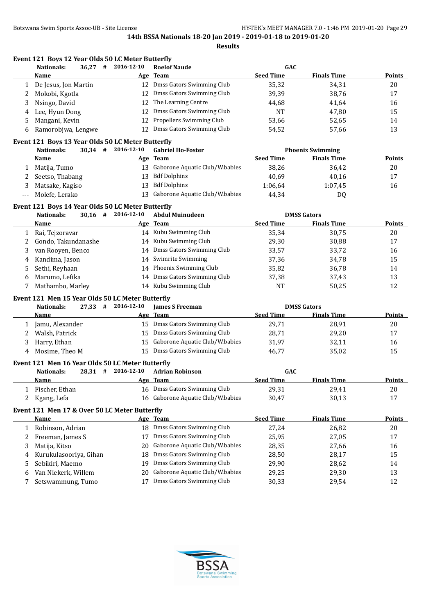|              | Event 121 Boys 12 Year Olds 50 LC Meter Butterfly |            |                                   |                  |                         |               |
|--------------|---------------------------------------------------|------------|-----------------------------------|------------------|-------------------------|---------------|
|              | <b>Nationals:</b><br>36,27<br>#                   | 2016-12-10 | <b>Roelof Naude</b>               | GAC              |                         |               |
|              | Name                                              |            | Age Team                          | <b>Seed Time</b> | <b>Finals Time</b>      | <b>Points</b> |
| $\mathbf{1}$ | De Jesus, Jon Martin                              |            | 12 Dmss Gators Swimming Club      | 35,32            | 34,31                   | 20            |
| 2            | Mokobi, Kgotla                                    | 12         | Dmss Gators Swimming Club         | 39,39            | 38,76                   | 17            |
| 3            | Nsingo, David                                     | 12         | The Learning Centre               | 44,68            | 41,64                   | 16            |
| 4            | Lee, Hyun Dong                                    | 12         | Dmss Gators Swimming Club         | <b>NT</b>        | 47,80                   | 15            |
| 5            | Mangani, Kevin                                    | 12         | Propellers Swimming Club          | 53,66            | 52,65                   | 14            |
| 6            | Ramorobjwa, Lengwe                                | 12         | Dmss Gators Swimming Club         | 54,52            | 57,66                   | 13            |
|              | Event 121 Boys 13 Year Olds 50 LC Meter Butterfly |            |                                   |                  |                         |               |
|              | $30,34$ #<br><b>Nationals:</b>                    | 2016-12-10 | <b>Gabriel Ho-Foster</b>          |                  | <b>Phoenix Swimming</b> |               |
|              | Name                                              |            | Age Team                          | <b>Seed Time</b> | <b>Finals Time</b>      | <b>Points</b> |
|              | 1 Matija, Tumo                                    |            | 13 Gaborone Aquatic Club/W.babies | 38,26            | 36,42                   | 20            |
| 2            | Seetso, Thabang                                   |            | 13 Bdf Dolphins                   | 40,69            | 40,16                   | 17            |
| 3            | Matsake, Kagiso                                   | 13         | <b>Bdf Dolphins</b>               | 1:06,64          | 1:07,45                 | 16            |
|              | Molefe, Lerako                                    | 13         | Gaborone Aquatic Club/W.babies    | 44,34            |                         |               |
| $---$        |                                                   |            |                                   |                  | DQ                      |               |
|              | Event 121 Boys 14 Year Olds 50 LC Meter Butterfly |            |                                   |                  |                         |               |
|              | $30,16$ #<br><b>Nationals:</b>                    | 2016-12-10 | <b>Abdul Muinudeen</b>            |                  | <b>DMSS Gators</b>      |               |
|              | Name                                              |            | Age Team                          | <b>Seed Time</b> | <b>Finals Time</b>      | <b>Points</b> |
| 1            | Rai, Tejzoravar                                   |            | 14 Kubu Swimming Club             | 35,34            | 30,75                   | 20            |
| 2            | Gondo, Takundanashe                               |            | 14 Kubu Swimming Club             | 29,30            | 30,88                   | 17            |
| 3            | van Rooyen, Benco                                 |            | 14 Dmss Gators Swimming Club      | 33,57            | 33,72                   | 16            |
| 4            | Kandima, Jason                                    | 14         | Swimrite Swimming                 | 37,36            | 34,78                   | 15            |
| 5            | Sethi, Reyhaan                                    |            | 14 Phoenix Swimming Club          | 35,82            | 36,78                   | 14            |
| 6            | Marumo, Lefika                                    | 14         | Dmss Gators Swimming Club         | 37,38            | 37,43                   | 13            |
| 7            | Mathambo, Marley                                  |            | 14 Kubu Swimming Club             | <b>NT</b>        | 50,25                   | 12            |
|              | Event 121 Men 15 Year Olds 50 LC Meter Butterfly  |            |                                   |                  |                         |               |
|              | <b>Nationals:</b><br>$27,33$ #                    | 2016-12-10 | <b>James S Freeman</b>            |                  | <b>DMSS Gators</b>      |               |
|              | Name                                              |            | Age Team                          | <b>Seed Time</b> | <b>Finals Time</b>      | <b>Points</b> |
| 1            | Jamu, Alexander                                   |            | 15 Dmss Gators Swimming Club      | 29,71            | 28,91                   | 20            |
| 2            | Walsh, Patrick                                    |            | 15 Dmss Gators Swimming Club      | 28,71            | 29,20                   | 17            |
| 3            | Harry, Ethan                                      | 15         | Gaborone Aquatic Club/W.babies    | 31,97            | 32,11                   | 16            |
| 4            | Mosime, Theo M                                    |            | 15 Dmss Gators Swimming Club      | 46,77            | 35,02                   | 15            |
|              |                                                   |            |                                   |                  |                         |               |
|              | Event 121 Men 16 Year Olds 50 LC Meter Butterfly  |            |                                   |                  |                         |               |
|              | <b>Nationals:</b><br>$28,31$ #                    | 2016-12-10 | <b>Adrian Robinson</b>            | GAC              |                         |               |
|              | <u>Name</u>                                       |            | Age Team                          | <b>Seed Time</b> | <b>Finals Time</b>      | <b>Points</b> |
| 1            | Fischer, Ethan                                    |            | 16 Dmss Gators Swimming Club      | 29,31            | 29,41                   | 20            |
| 2            | Kgang, Lefa                                       |            | 16 Gaborone Aquatic Club/W.babies | 30,47            | 30,13                   | 17            |
|              | Event 121 Men 17 & Over 50 LC Meter Butterfly     |            |                                   |                  |                         |               |
|              | <b>Name</b>                                       |            | Age Team                          | <b>Seed Time</b> | <b>Finals Time</b>      | <b>Points</b> |
| 1            | Robinson, Adrian                                  | 18         | Dmss Gators Swimming Club         | 27,24            | 26,82                   | 20            |
| 2            | Freeman, James S                                  | 17         | Dmss Gators Swimming Club         | 25,95            | 27,05                   | 17            |
| 3            | Matija, Kitso                                     | 20         | Gaborone Aquatic Club/W.babies    | 28,35            | 27,66                   | 16            |
| 4            | Kurukulasooriya, Gihan                            | 18         | Dmss Gators Swimming Club         | 28,50            | 28,17                   | 15            |
| 5            | Sebikiri, Maemo                                   | 19         | Dmss Gators Swimming Club         | 29,90            | 28,62                   | 14            |
| 6            | Van Niekerk, Willem                               | 20         | Gaborone Aquatic Club/W.babies    | 29,25            | 29,30                   | 13            |
| 7            | Setswammung, Tumo                                 | 17         | Dmss Gators Swimming Club         | 30,33            | 29,54                   | 12            |
|              |                                                   |            |                                   |                  |                         |               |

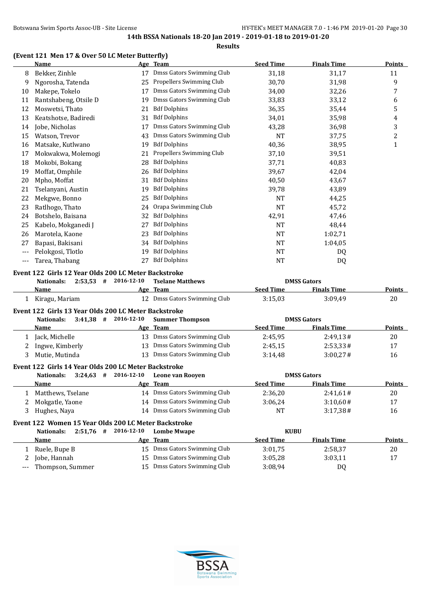**Results**

# **(Event 121 Men 17 & Over 50 LC Meter Butterfly)**

|       | <b>Name</b>                                          |    | Age Team                      | <b>Seed Time</b>      | <b>Finals Time</b> | <b>Points</b> |
|-------|------------------------------------------------------|----|-------------------------------|-----------------------|--------------------|---------------|
| 8     | Bekker, Zinhle                                       |    | Dmss Gators Swimming Club     | 31,18                 | 31,17              | 11            |
| 9     | Ngorosha, Tatenda                                    | 25 | Propellers Swimming Club      | 30,70                 | 31,98              | 9             |
| 10    | Makepe, Tokelo                                       | 17 | Dmss Gators Swimming Club     | 34,00                 | 32,26              | 7             |
| 11    | Rantshabeng, Otsile D                                | 19 | Dmss Gators Swimming Club     | 33,83                 | 33,12              | 6             |
| 12    | Moswetsi, Thato                                      | 21 | <b>Bdf Dolphins</b>           | 36,35                 | 35,44              | 5             |
| 13    | Keatshotse, Badiredi                                 | 31 | <b>Bdf Dolphins</b>           | 34,01                 | 35,98              | 4             |
| 14    | Jobe, Nicholas                                       | 17 | Dmss Gators Swimming Club     | 43,28                 | 36,98              | $\sqrt{3}$    |
| 15    | Watson, Trevor                                       | 43 | Dmss Gators Swimming Club     | <b>NT</b>             | 37,75              | $\sqrt{2}$    |
| 16    | Matsake, Kutlwano                                    | 19 | <b>Bdf Dolphins</b>           | 40,36                 | 38,95              | 1             |
| 17    | Mokwakwa, Molemogi                                   | 21 | Propellers Swimming Club      | 37,10                 | 39,51              |               |
| 18    | Mokobi, Bokang                                       | 28 | <b>Bdf Dolphins</b>           | 37,71                 | 40,83              |               |
| 19    | Moffat, Omphile                                      | 26 | <b>Bdf Dolphins</b>           | 39,67                 | 42,04              |               |
| 20    | Mpho, Moffat                                         | 31 | <b>Bdf Dolphins</b>           | 40,50                 | 43,67              |               |
| 21    | Tselanyani, Austin                                   | 19 | <b>Bdf Dolphins</b>           | 39,78                 | 43,89              |               |
| 22    | Mekgwe, Bonno                                        | 25 | <b>Bdf Dolphins</b>           | <b>NT</b>             | 44,25              |               |
| 23    | Ratlhogo, Thato                                      | 24 | Orapa Swimming Club           | <b>NT</b>             | 45,72              |               |
| 24    | Botshelo, Baisana                                    | 32 | <b>Bdf Dolphins</b>           | 42,91                 | 47,46              |               |
| 25    | Kabelo, Mokganedi J                                  | 27 | <b>Bdf Dolphins</b>           | <b>NT</b>             | 48,44              |               |
| 26    | Marotela, Kaone                                      | 23 | <b>Bdf Dolphins</b>           | <b>NT</b>             | 1:02,71            |               |
| 27    | Bapasi, Bakisani                                     | 34 | <b>Bdf Dolphins</b>           | <b>NT</b>             | 1:04,05            |               |
| ---   | Pelokgosi, Tlotlo                                    | 19 | <b>Bdf Dolphins</b>           | <b>NT</b>             | D <sub>0</sub>     |               |
| $---$ | Tarea, Thabang                                       | 27 | <b>Bdf Dolphins</b>           | <b>NT</b>             | DQ                 |               |
|       | Event 122 Girls 12 Year Olds 200 LC Meter Backstroke |    |                               |                       |                    |               |
|       | $2:53,53$ # 2016-12-10<br><b>Nationals:</b>          |    | <b>Tselane Matthews</b>       |                       | <b>DMSS Gators</b> |               |
|       | Name                                                 |    | Age Team                      | <b>Seed Time</b>      | <b>Finals Time</b> | Points        |
| 1     | Kiragu, Mariam                                       |    | 12 Dmss Gators Swimming Club  | 3:15,03               | 3:09,49            | 20            |
|       | Event 122 Girls 13 Year Olds 200 LC Meter Backstroke |    |                               |                       |                    |               |
|       | $3:41,38$ # 2016-12-10<br><b>Nationals:</b>          |    | <b>Summer Thompson</b>        |                       | <b>DMSS Gators</b> |               |
|       | Name                                                 |    | Age Team                      | <b>Seed Time</b>      | <b>Finals Time</b> | Points        |
|       | $1 \quad$ Lagle Mighella                             |    | 12 Dmcc Cators Curimming Club | $2.15 \text{ }\Omega$ | $7.1017 \mu$       | 20            |

# 1 Jack, Michelle 13 Dmss Gators Swimming Club 2:45,95 2:49,13# 20 2 Ingwe, Kimberly 13 Dmss Gators Swimming Club 2:45,15 2:53,33 # 17 3 Mutie, Mutinda 13 Dmss Gators Swimming Club 3:14,48 3:00,27# 16 **Event 122 Girls 14 Year Olds 200 LC Meter Backstroke**

|  | 3:24.63<br>Nationals:<br># | 2016-12-10 | Leone van Rooven             |                  | <b>DMSS Gators</b> |               |
|--|----------------------------|------------|------------------------------|------------------|--------------------|---------------|
|  | <b>Name</b>                |            | Age Team                     | <b>Seed Time</b> | <b>Finals Time</b> | <b>Points</b> |
|  | Matthews, Tselane          |            | 14 Dmss Gators Swimming Club | 2:36.20          | 2:41.61#           | 20            |
|  | Mokgatle, Yaone            |            | 14 Dmss Gators Swimming Club | 3:06.24          | 3:10.60#           | 17            |
|  | Hughes, Nava               | 14         | Dmss Gators Swimming Club    | <b>NT</b>        | 3:17.38#           | 16            |
|  |                            |            |                              |                  |                    |               |

# **Event 122 Women 15 Year Olds 200 LC Meter Backstroke**

| 2:51.76<br>Nationals:<br># | 2016-12-10 | <b>Lombe Mwape</b>           | <b>KUBU</b>      |                    |               |
|----------------------------|------------|------------------------------|------------------|--------------------|---------------|
| Name                       |            | Age Team                     | <b>Seed Time</b> | <b>Finals Time</b> | <b>Points</b> |
| Ruele, Bupe B              |            | 15 Dmss Gators Swimming Club | 3:01.75          | 2:58.37            | 20            |
| Jobe, Hannah               |            | 15 Dmss Gators Swimming Club | 3:05.28          | 3:03,11            | 17            |
| --- Thompson, Summer       |            | 15 Dmss Gators Swimming Club | 3:08.94          | D <sub>0</sub>     |               |

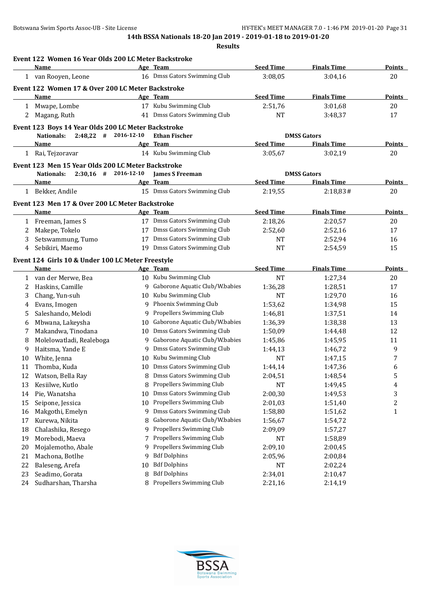|    | Event 122 Women 16 Year Olds 200 LC Meter Backstroke |     |                                   |                  |                    |                  |
|----|------------------------------------------------------|-----|-----------------------------------|------------------|--------------------|------------------|
|    | Name                                                 |     | Age Team                          | <b>Seed Time</b> | <b>Finals Time</b> | Points           |
|    | 1 van Rooyen, Leone                                  |     | 16 Dmss Gators Swimming Club      | 3:08,05          | 3:04,16            | 20               |
|    | Event 122 Women 17 & Over 200 LC Meter Backstroke    |     |                                   |                  |                    |                  |
|    | Name                                                 |     | Age Team                          | <b>Seed Time</b> | <b>Finals Time</b> | <b>Points</b>    |
|    | 1 Mwape, Lombe                                       |     | 17 Kubu Swimming Club             | 2:51,76          | 3:01,68            | $20\,$           |
| 2  | Magang, Ruth                                         |     | 41 Dmss Gators Swimming Club      | NT               | 3:48,37            | 17               |
|    | Event 123 Boys 14 Year Olds 200 LC Meter Backstroke  |     |                                   |                  |                    |                  |
|    | $2:48,22$ # 2016-12-10<br>Nationals:                 |     | <b>Ethan Fischer</b>              |                  | <b>DMSS Gators</b> |                  |
|    | Name                                                 |     | Age Team<br>14 Kubu Swimming Club | <b>Seed Time</b> | <b>Finals Time</b> | Points           |
|    | 1 Rai, Tejzoravar                                    |     |                                   | 3:05,67          | 3:02,19            | 20               |
|    | Event 123 Men 15 Year Olds 200 LC Meter Backstroke   |     |                                   |                  |                    |                  |
|    | $2:30,16$ # 2016-12-10<br><b>Nationals:</b>          |     | <b>James S Freeman</b>            |                  | <b>DMSS Gators</b> |                  |
|    | Name                                                 |     | Age Team                          | <b>Seed Time</b> | <b>Finals Time</b> | <b>Points</b>    |
|    | 1 Bekker, Andile                                     |     | 15 Dmss Gators Swimming Club      | 2:19,55          | 2:18,83#           | 20               |
|    | Event 123 Men 17 & Over 200 LC Meter Backstroke      |     |                                   |                  |                    |                  |
|    | Name                                                 |     | Age Team                          | <b>Seed Time</b> | <b>Finals Time</b> | Points           |
| 1  | Freeman, James S                                     |     | 17 Dmss Gators Swimming Club      | 2:18,26          | 2:20,57            | 20               |
| 2  | Makepe, Tokelo                                       |     | 17 Dmss Gators Swimming Club      | 2:52,60          | 2:52,16            | 17               |
| 3  | Setswammung, Tumo                                    |     | 17 Dmss Gators Swimming Club      | NT               | 2:52,94            | 16               |
| 4  | Sebikiri, Maemo                                      |     | 19 Dmss Gators Swimming Club      | <b>NT</b>        | 2:54.59            | 15               |
|    | Event 124 Girls 10 & Under 100 LC Meter Freestyle    |     |                                   |                  |                    |                  |
|    | Name                                                 |     | Age Team                          | <b>Seed Time</b> | <b>Finals Time</b> | Points           |
| 1  | van der Merwe, Bea                                   |     | 10 Kubu Swimming Club             | NT               | 1:27,34            | 20               |
| 2  | Haskins, Camille                                     | 9   | Gaborone Aquatic Club/W.babies    | 1:36,28          | 1:28,51            | 17               |
| 3  | Chang, Yun-suh                                       | 10  | Kubu Swimming Club                | <b>NT</b>        | 1:29,70            | 16               |
| 4  | Evans, Imogen                                        |     | 9 Phoenix Swimming Club           | 1:53,62          | 1:34,98            | 15               |
| 5  | Saleshando, Melodi                                   | 9   | Propellers Swimming Club          | 1:46,81          | 1:37,51            | 14               |
| 6  | Mbwana, Lakeysha                                     | 10  | Gaborone Aquatic Club/W.babies    | 1:36,39          | 1:38,38            | 13               |
|    | Makandwa, Tinodana                                   | 10  | Dmss Gators Swimming Club         | 1:50,09          | 1:44,48            | 12               |
| 8  | Molelowatladi, Realeboga                             | 9   | Gaborone Aquatic Club/W.babies    | 1:45,86          | 1:45,95            | 11               |
| 9  | Haitsma, Yande E                                     | 9   | Dmss Gators Swimming Club         | 1:44,13          | 1:46,72            | 9                |
| 10 | White, Jenna                                         | 10  | Kubu Swimming Club                | NT               | 1:47,15            | 7                |
| 11 | Thomba, Kuda                                         | 10. | Dmss Gators Swimming Club         | 1:44,14          | 1:47,36            | 6                |
| 12 | Watson, Bella Ray                                    |     | 8 Dmss Gators Swimming Club       | 2:04,51          | 1:48,54            | 5                |
| 13 | Kesiilwe, Kutlo                                      | 8   | Propellers Swimming Club          | <b>NT</b>        | 1:49,45            | 4                |
| 14 | Pie, Wanatsha                                        | 10  | Dmss Gators Swimming Club         | 2:00,30          | 1:49,53            | 3                |
| 15 | Seipone, Jessica                                     | 10  | Propellers Swimming Club          | 2:01,03          | 1:51,40            | $\boldsymbol{2}$ |
| 16 | Makgothi, Emelyn                                     | 9   | Dmss Gators Swimming Club         | 1:58,80          | 1:51,62            | $\mathbf{1}$     |
| 17 | Kurewa, Nikita                                       | 8   | Gaborone Aquatic Club/W.babies    | 1:56,67          | 1:54,72            |                  |
| 18 | Chalashika, Resego                                   | 9   | Propellers Swimming Club          | 2:09,09          | 1:57,27            |                  |
| 19 | Morebodi, Maeva                                      | 7   | Propellers Swimming Club          | NT               | 1:58,89            |                  |
| 20 | Mojalemotho, Abale                                   | 9   | Propellers Swimming Club          | 2:09,10          | 2:00,45            |                  |
| 21 | Machona, Botlhe                                      | 9   | <b>Bdf Dolphins</b>               | 2:05,96          | 2:00,84            |                  |
| 22 | Baleseng, Arefa                                      | 10  | <b>Bdf Dolphins</b>               | NT               | 2:02,24            |                  |
| 23 | Seadimo, Gorata                                      | 8   | <b>Bdf Dolphins</b>               | 2:34,01          | 2:10,47            |                  |
| 24 | Sudharshan, Tharsha                                  | 8   | Propellers Swimming Club          | 2:21,16          | 2:14,19            |                  |

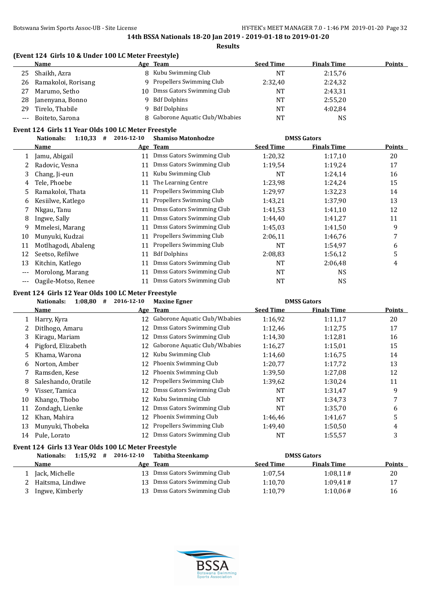#### **(Event 124 Girls 10 & Under 100 LC Meter Freestyle)**

|       | Name                |     | Age Team                       | <b>Seed Time</b> | <b>Finals Time</b> | <b>Points</b> |
|-------|---------------------|-----|--------------------------------|------------------|--------------------|---------------|
| 25    | Shaikh, Azra        |     | 8 Kubu Swimming Club           | NT               | 2:15,76            |               |
| 26    | Ramakoloi, Rorisang |     | 9 Propellers Swimming Club     | 2:32,40          | 2:24,32            |               |
| 27    | Marumo, Setho       | 10. | Dmss Gators Swimming Club      | NT               | 2:43,31            |               |
| 28    | Janenyana, Bonno    |     | <b>Bdf Dolphins</b>            | NT               | 2:55,20            |               |
| 29    | Tirelo, Thabile     |     | Bdf Dolphins                   | NT               | 4:02.84            |               |
| $---$ | Boiteto, Sarona     |     | Gaborone Aquatic Club/W.babies | NΤ               | NS                 |               |

#### **Event 124 Girls 11 Year Olds 100 LC Meter Freestyle**

|       | 1:10,33<br>#<br><b>Nationals:</b> | 2016-12-10 | <b>Shamiso Matonhodze</b> |                  | <b>DMSS Gators</b> |               |
|-------|-----------------------------------|------------|---------------------------|------------------|--------------------|---------------|
|       | Name                              |            | Age Team                  | <b>Seed Time</b> | <b>Finals Time</b> | <b>Points</b> |
|       | Jamu, Abigail                     | 11         | Dmss Gators Swimming Club | 1:20,32          | 1:17,10            | 20            |
|       | Radovic, Vesna                    | 11         | Dmss Gators Swimming Club | 1:19,54          | 1:19,24            | 17            |
| 3     | Chang, Ji-eun                     | 11         | Kubu Swimming Club        | NT               | 1:24,14            | 16            |
| 4     | Tele, Phoebe                      | 11         | The Learning Centre       | 1:23,98          | 1:24,24            | 15            |
| 5     | Ramakoloi, Thata                  | 11         | Propellers Swimming Club  | 1:29,97          | 1:32,23            | 14            |
| 6     | Kesiilwe, Katlego                 | 11         | Propellers Swimming Club  | 1:43,21          | 1:37,90            | 13            |
|       | Nkgau, Tanu                       | 11         | Dmss Gators Swimming Club | 1:41,53          | 1:41,10            | 12            |
| 8     | Ingwe, Sally                      | 11         | Dmss Gators Swimming Club | 1:44,40          | 1:41,27            | 11            |
| 9     | Mmelesi, Marang                   | 11         | Dmss Gators Swimming Club | 1:45,03          | 1:41,50            | 9             |
| 10    | Munyuki, Kudzai                   | 11         | Propellers Swimming Club  | 2:06,11          | 1:46,76            | 7             |
| 11    | Motlhagodi, Abaleng               | 11         | Propellers Swimming Club  | NT               | 1:54,97            | 6             |
| 12    | Seetso, Refilwe                   | 11         | <b>Bdf Dolphins</b>       | 2:08,83          | 1:56,12            | 5             |
| 13    | Kitchin, Katlego                  | 11         | Dmss Gators Swimming Club | NT               | 2:06,48            | 4             |
| $---$ | Morolong, Marang                  |            | Dmss Gators Swimming Club | NT               | <b>NS</b>          |               |
| ---   | Oagile-Motso, Renee               |            | Dmss Gators Swimming Club | NT               | <b>NS</b>          |               |

#### **Event 124 Girls 12 Year Olds 100 LC Meter Freestyle**

|    | 1:08,80<br><b>Nationals:</b><br># | 2016-12-10 | <b>Maxine Egner</b>             |           | <b>DMSS Gators</b> |        |
|----|-----------------------------------|------------|---------------------------------|-----------|--------------------|--------|
|    | Name                              |            | Age Team                        | Seed Time | <b>Finals Time</b> | Points |
|    | Harry, Kyra                       | 12         | Gaborone Aquatic Club/W.babies  | 1:16,92   | 1:11,17            | 20     |
|    | Ditlhogo, Amaru                   | 12         | Dmss Gators Swimming Club       | 1:12,46   | 1:12,75            | 17     |
| 3  | Kiragu, Mariam                    | 12         | Dmss Gators Swimming Club       | 1:14,30   | 1:12,81            | 16     |
| 4  | Pigford, Elizabeth                | 12         | Gaborone Aquatic Club/W.babies  | 1:16,27   | 1:15,01            | 15     |
| 5  | Khama, Warona                     | 12         | Kubu Swimming Club              | 1:14,60   | 1:16,75            | 14     |
| 6  | Norton, Amber                     | 12         | Phoenix Swimming Club           | 1:20,77   | 1:17,72            | 13     |
|    | Ramsden, Kese                     | 12         | Phoenix Swimming Club           | 1:39,50   | 1:27,08            | 12     |
| 8  | Saleshando, Oratile               | 12         | <b>Propellers Swimming Club</b> | 1:39,62   | 1:30,24            | 11     |
| 9  | Visser, Tamica                    | 12         | Dmss Gators Swimming Club       | NT        | 1:31,47            | 9      |
| 10 | Khango, Thobo                     | 12         | Kubu Swimming Club              | NT        | 1:34,73            |        |
| 11 | Zondagh, Lienke                   | 12         | Dmss Gators Swimming Club       | NT        | 1:35,70            | 6      |
| 12 | Khan, Mahira                      | 12         | Phoenix Swimming Club           | 1:46,46   | 1:41,67            | 5      |
| 13 | Munyuki, Thobeka                  | 12         | <b>Propellers Swimming Club</b> | 1:49,40   | 1:50,50            | 4      |
| 14 | Pule, Lorato                      | 12.        | Dmss Gators Swimming Club       | NT        | 1:55,57            | 3      |

# **Event 124 Girls 13 Year Olds 100 LC Meter Freestyle**

| 1:15.92<br>Nationals:<br># | 2016-12-10 | Tabitha Steenkamp            |                  | <b>DMSS Gators</b> |               |
|----------------------------|------------|------------------------------|------------------|--------------------|---------------|
| Name                       |            | Age Team                     | <b>Seed Time</b> | <b>Finals Time</b> | <b>Points</b> |
| Jack, Michelle             |            | 13 Dmss Gators Swimming Club | 1:07.54          | 1:08.11#           | 20            |
| Haitsma, Lindiwe           |            | 13 Dmss Gators Swimming Club | 1:10.70          | 1:09.41#           | 17            |
| Ingwe, Kimberly            |            | 13 Dmss Gators Swimming Club | 1:10.79          | 1:10.06#           | 16            |

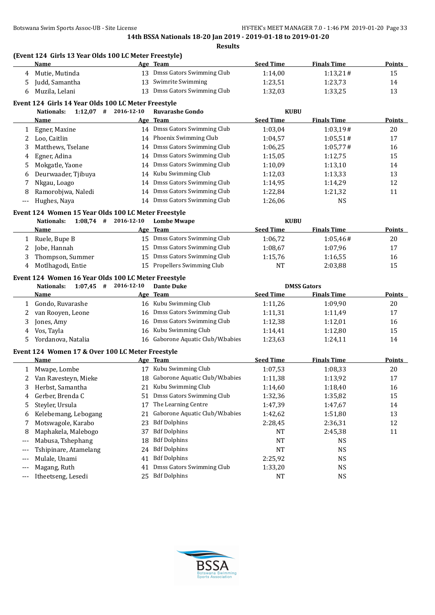**(Event 124 Girls 13 Year Olds 100 LC Meter Freestyle)**

|     | Name                                                |            | Age Team                          | <b>Seed Time</b>                | <b>Finals Time</b> | <b>Points</b> |
|-----|-----------------------------------------------------|------------|-----------------------------------|---------------------------------|--------------------|---------------|
| 4   | Mutie, Mutinda                                      |            | 13 Dmss Gators Swimming Club      | 1:14,00                         | 1:13,21#           | 15            |
| 5   | Judd, Samantha                                      |            | 13 Swimrite Swimming              | 1:23,51                         | 1:23,73            | 14            |
| 6   | Muzila, Lelani                                      |            | 13 Dmss Gators Swimming Club      | 1:32,03                         | 1:33,25            | 13            |
|     | Event 124 Girls 14 Year Olds 100 LC Meter Freestyle |            |                                   |                                 |                    |               |
|     | $1:12,07$ # 2016-12-10<br><b>Nationals:</b>         |            | <b>Ruvarashe Gondo</b>            | <b>KUBU</b>                     |                    |               |
|     | Name                                                |            | <u>Age Team</u>                   | <b>Seed Time</b>                | <b>Finals Time</b> | <b>Points</b> |
| 1   | Egner, Maxine                                       |            | 14 Dmss Gators Swimming Club      | 1:03,04                         | 1:03,19#           | 20            |
| 2   | Loo, Caitlin                                        |            | 14 Phoenix Swimming Club          | 1:04,57                         | 1:05,51#           | 17            |
| 3   | Matthews, Tselane                                   |            | 14 Dmss Gators Swimming Club      | 1:06,25                         | 1:05,77#           | 16            |
| 4   | Egner, Adina                                        |            | 14 Dmss Gators Swimming Club      | 1:15,05                         | 1:12,75            | 15            |
| 5   | Mokgatle, Yaone                                     |            | 14 Dmss Gators Swimming Club      | 1:10,09                         | 1:13,10            | 14            |
| 6   | Deurwaader, Tjibuya                                 |            | 14 Kubu Swimming Club             | 1:12,03                         | 1:13,33            | 13            |
| 7   | Nkgau, Loago                                        |            | 14 Dmss Gators Swimming Club      | 1:14,95                         | 1:14,29            | 12            |
| 8   | Ramorobjwa, Naledi                                  |            | 14 Dmss Gators Swimming Club      | 1:22,84                         | 1:21,32            | 11            |
| --- | Hughes, Naya                                        |            | 14 Dmss Gators Swimming Club      | 1:26,06                         | <b>NS</b>          |               |
|     |                                                     |            |                                   |                                 |                    |               |
|     | Event 124 Women 15 Year Olds 100 LC Meter Freestyle |            |                                   |                                 |                    |               |
|     | $1:08,74$ #<br><b>Nationals:</b><br>Name            | 2016-12-10 | <b>Lombe Mwape</b><br>Age Team    | <b>KUBU</b><br><b>Seed Time</b> | <b>Finals Time</b> | <b>Points</b> |
|     |                                                     |            | 15 Dmss Gators Swimming Club      |                                 |                    |               |
| 1   | Ruele, Bupe B                                       |            | 15 Dmss Gators Swimming Club      | 1:06,72                         | 1:05,46#           | 20            |
|     | Jobe, Hannah                                        |            |                                   | 1:08,67                         | 1:07,96<br>1:16,55 | 17<br>16      |
| 2   |                                                     |            |                                   |                                 |                    |               |
| 3   | Thompson, Summer                                    |            | 15 Dmss Gators Swimming Club      | 1:15,76                         |                    |               |
| 4   | Motlhagodi, Entie                                   |            | 15 Propellers Swimming Club       | NT                              | 2:03,88            | 15            |
|     | Event 124 Women 16 Year Olds 100 LC Meter Freestyle |            |                                   |                                 |                    |               |
|     | $1:07,45$ # 2016-12-10<br><b>Nationals:</b>         |            | <b>Dante Duke</b>                 |                                 | <b>DMSS Gators</b> |               |
|     | <u>Name</u>                                         |            | Age Team                          | <b>Seed Time</b>                | <b>Finals Time</b> | <b>Points</b> |
| 1   | Gondo, Ruvarashe                                    |            | 16 Kubu Swimming Club             | 1:11,26                         | 1:09,90            | 20            |
| 2   | van Rooyen, Leone                                   |            | 16 Dmss Gators Swimming Club      | 1:11,31                         | 1:11,49            | 17            |
| 3   | Jones, Amy                                          | 16         | Dmss Gators Swimming Club         | 1:12,38                         | 1:12,01            | 16            |
| 4   | Vos, Tayla                                          | 16         | Kubu Swimming Club                | 1:14,41                         | 1:12,80            | 15            |
| 5   | Yordanova, Natalia                                  |            | 16 Gaborone Aquatic Club/W.babies | 1:23,63                         | 1:24,11            | 14            |
|     | Event 124 Women 17 & Over 100 LC Meter Freestyle    |            |                                   |                                 |                    |               |
|     | Name                                                |            | Age Team                          | <b>Seed Time</b>                | <b>Finals Time</b> | <b>Points</b> |
| 1   | Mwape, Lombe                                        |            | 17 Kubu Swimming Club             | 1:07,53                         | 1:08,33            | 20            |
| 2   | Van Ravesteyn, Mieke                                |            | 18 Gaborone Aquatic Club/W.babies | 1:11,38                         | 1:13,92            | 17            |
| 3   | Herbst, Samantha                                    |            | 21 Kubu Swimming Club             | 1:14,60                         | 1:18,40            | 16            |
| 4   | Gerber, Brenda C                                    | 51         | Dmss Gators Swimming Club         | 1:32,36                         | 1:35,82            | 15            |
| 5   | Steyler, Ursula                                     | 17         | The Learning Centre               | 1:47,39                         | 1:47,67            | 14            |
| 6   | Kelebemang, Lebogang                                | 21         | Gaborone Aquatic Club/W.babies    | 1:42,62                         | 1:51,80            | 13            |
|     | Motswagole, Karabo                                  | 23         | <b>Bdf Dolphins</b>               | 2:28,45                         | 2:36,31            | 12            |
| 8   | Maphakela, Malebogo                                 | 37         | <b>Bdf Dolphins</b>               | NT                              | 2:45,38            | 11            |
| --- | Mabusa, Tshephang                                   | 18         | <b>Bdf Dolphins</b>               | NT                              | NS                 |               |
| --- | Tshipinare, Atamelang                               | 24         | <b>Bdf Dolphins</b>               | NT                              | <b>NS</b>          |               |
| --- | Mulale, Unami                                       | 41         | <b>Bdf Dolphins</b>               | 2:25,92                         | <b>NS</b>          |               |
| --- | Magang, Ruth                                        | 41         | Dmss Gators Swimming Club         | 1:33,20                         | NS                 |               |

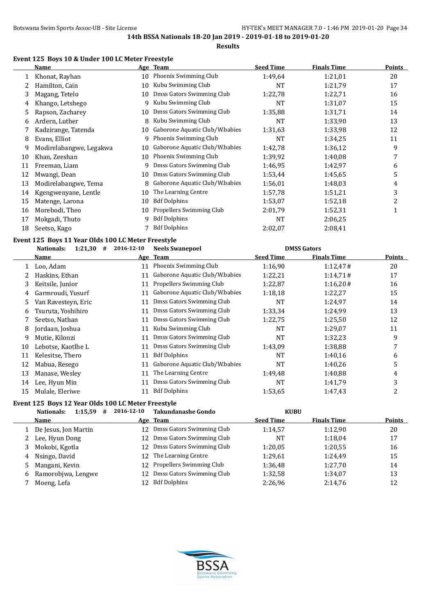# **Results**

# **Event 125 Boys 10 & Under 100 LC Meter Freestyle**

|    | Name                                               | Age        | <b>Team</b>                    | <b>Seed Time</b> | <b>Finals Time</b> | Points |
|----|----------------------------------------------------|------------|--------------------------------|------------------|--------------------|--------|
| 1  | Khonat, Rayhan                                     | 10         | Phoenix Swimming Club          | 1:49,64          | 1:21,01            | 20     |
|    | Hamilton, Cain                                     | 10         | Kubu Swimming Club             | NT               | 1:21,79            | 17     |
| 3  | Magang, Tetelo                                     | 10         | Dmss Gators Swimming Club      | 1:22,78          | 1:22,71            | 16     |
| 4  | Khango, Letshego                                   | 9          | Kubu Swimming Club             | <b>NT</b>        | 1:31,07            | 15     |
| 5  | Rapson, Zacharey                                   | 10         | Dmss Gators Swimming Club      | 1:35,88          | 1:31,71            | 14     |
| 6  | Ardern, Luther                                     | 8          | Kubu Swimming Club             | NT               | 1:33,90            | 13     |
|    | Kadzirange, Tatenda                                | 10         | Gaborone Aquatic Club/W.babies | 1:31,63          | 1:33,98            | 12     |
| 8  | Evans, Elliot                                      | 9          | Phoenix Swimming Club          | NT               | 1:34,25            | 11     |
| 9  | Modirelabangwe, Legakwa                            | 10         | Gaborone Aquatic Club/W.babies | 1:42,78          | 1:36,12            | 9      |
| 10 | Khan, Zeeshan                                      | 10         | Phoenix Swimming Club          | 1:39,92          | 1:40.08            | 7      |
| 11 | Freeman, Liam                                      | 9          | Dmss Gators Swimming Club      | 1:46,95          | 1:42,97            | 6      |
| 12 | Mwangi, Dean                                       | 10         | Dmss Gators Swimming Club      | 1:53,44          | 1:45.65            | 5      |
| 13 | Modirelabangwe, Tema                               | 8          | Gaborone Aquatic Club/W.babies | 1:56,01          | 1:48,03            | 4      |
| 14 | Kgengwenyane, Lentle                               | 10         | The Learning Centre            | 1:57,78          | 1:51,21            | 3      |
| 15 | Matenge, Larona                                    | 10         | <b>Bdf Dolphins</b>            | 1:53,07          | 1:52,18            | 2      |
| 16 | Morebodi, Theo                                     | 10         | Propellers Swimming Club       | 2:01.79          | 1:52,31            | 1      |
| 17 | Mokgadi, Thuto                                     | 9          | <b>Bdf Dolphins</b>            | NT               | 2:06,25            |        |
| 18 | Seetso, Kago                                       |            | <b>Bdf Dolphins</b>            | 2:02,07          | 2:08,41            |        |
|    | Event 125 Boys 11 Year Olds 100 LC Meter Freestyle |            |                                |                  |                    |        |
|    | #<br><b>Nationals:</b><br>1:21,30                  | 2016-12-10 | <b>Neels Swanepoel</b>         |                  | <b>DMSS Gators</b> |        |
|    | Name                                               |            | Age Team                       | <b>Seed Time</b> | <b>Finals Time</b> | Points |

|    | Name                |    | Age Team                       | <b>Seed Time</b> | <b>Finals Time</b> | <b>Points</b> |
|----|---------------------|----|--------------------------------|------------------|--------------------|---------------|
|    | Loo, Adam           | 11 | Phoenix Swimming Club          | 1:16,90          | 1:12,47#           | 20            |
|    | Haskins, Ethan      | 11 | Gaborone Aquatic Club/W.babies | 1:22,21          | 1:14,71#           | 17            |
| 3  | Keitsile, Junior    | 11 | Propellers Swimming Club       | 1:22,87          | 1:16,20#           | 16            |
| 4  | Garmroudi, Yusurf   | 11 | Gaborone Aquatic Club/W.babies | 1:18,18          | 1:22,27            | 15            |
| 5. | Van Ravesteyn, Eric | 11 | Dmss Gators Swimming Club      | NT               | 1:24,97            | 14            |
| 6  | Tsuruta, Yoshihiro  | 11 | Dmss Gators Swimming Club      | 1:33,34          | 1:24,99            | 13            |
|    | Seetso, Nathan      | 11 | Dmss Gators Swimming Club      | 1:22,75          | 1:25,50            | 12            |
| 8  | Jordaan, Joshua     | 11 | Kubu Swimming Club             | <b>NT</b>        | 1:29,07            | 11            |
| 9  | Mutie, Kilonzi      | 11 | Dmss Gators Swimming Club      | <b>NT</b>        | 1:32,23            | 9             |
| 10 | Lebotse, Kaotlhe L  | 11 | Dmss Gators Swimming Club      | 1:43.09          | 1:38,88            | 7             |
| 11 | Kelesitse, Thero    | 11 | <b>Bdf Dolphins</b>            | <b>NT</b>        | 1:40,16            | 6             |
| 12 | Mabua, Resego       | 11 | Gaborone Aquatic Club/W.babies | NT               | 1:40,26            | 5             |
| 13 | Manase, Wesley      | 11 | The Learning Centre            | 1:49,48          | 1:40,88            | 4             |
| 14 | Lee, Hyun Min       | 11 | Dmss Gators Swimming Club      | NT               | 1:41,79            | 3             |
| 15 | Mulale, Eleriwe     | 11 | <b>Bdf Dolphins</b>            | 1:53.65          | 1:47,43            | 2             |

# **Event 125 Boys 12 Year Olds 100 LC Meter Freestyle**

|    | 1:15,59<br>Nationals:<br># | 2016-12-10      | Takundanashe Gondo        | <b>KUBU</b>      |                    |               |
|----|----------------------------|-----------------|---------------------------|------------------|--------------------|---------------|
|    | <b>Name</b>                |                 | Age Team                  | <b>Seed Time</b> | <b>Finals Time</b> | <b>Points</b> |
|    | De Jesus, Jon Martin       | 12 <sup>1</sup> | Dmss Gators Swimming Club | 1:14,57          | 1:12.90            | 20            |
| 2  | Lee, Hyun Dong             |                 | Dmss Gators Swimming Club | NT               | 1:18.04            | 17            |
| 3  | Mokobi, Kgotla             | 12 <sup>1</sup> | Dmss Gators Swimming Club | 1:20.05          | 1:20.55            | 16            |
| 4  | Nsingo, David              |                 | 12 The Learning Centre    | 1:29,61          | 1:24.49            | 15            |
| 5. | Mangani, Kevin             | 12 <sup>1</sup> | Propellers Swimming Club  | 1:36,48          | 1:27.70            | 14            |
| 6  | Ramorobjwa, Lengwe         |                 | Dmss Gators Swimming Club | 1:32,58          | 1:34,07            | 13            |
|    | Moeng, Lefa                | 12              | <b>Bdf Dolphins</b>       | 2:26.96          | 2:14,76            | 12            |

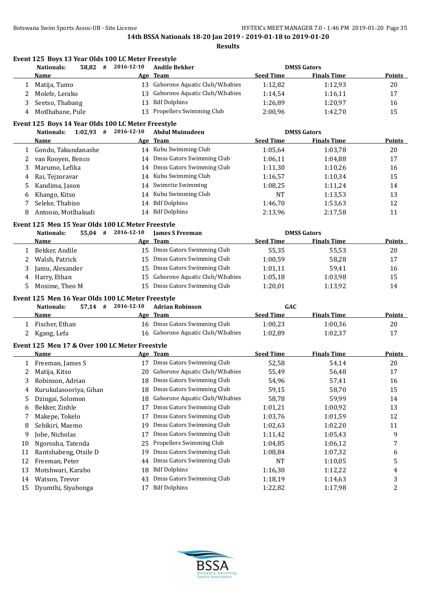**Event 125 Boys 13 Year Olds 100 LC Meter Freestyle**

**14th BSSA Nationals 18-20 Jan 2019 - 2019-01-18 to 2019-01-20**

|    | <b>Nationals:</b><br>58,82<br>#                    | 2016-12-10         | <b>Andile Bekker</b>              |                  | <b>DMSS Gators</b> |               |
|----|----------------------------------------------------|--------------------|-----------------------------------|------------------|--------------------|---------------|
|    | Name                                               |                    | Age Team                          | <b>Seed Time</b> | <b>Finals Time</b> | Points        |
| 1  | Matija, Tumo                                       |                    | 13 Gaborone Aquatic Club/W.babies | 1:12,82          | 1:12,93            | 20            |
| 2  | Molefe, Lerako                                     | 13                 | Gaborone Aquatic Club/W.babies    | 1:14,54          | 1:16,11            | 17            |
| 3  | Seetso, Thabang                                    | 13                 | <b>Bdf Dolphins</b>               | 1:26,89          | 1:20,97            | 16            |
| 4  | Motlhabane, Pule                                   | 13                 | Propellers Swimming Club          | 2:00,96          | 1:42,70            | 15            |
|    | Event 125 Boys 14 Year Olds 100 LC Meter Freestyle |                    |                                   |                  |                    |               |
|    | $1:02,93$ #<br><b>Nationals:</b>                   | 2016-12-10         | <b>Abdul Muinudeen</b>            |                  | <b>DMSS Gators</b> |               |
|    | Name                                               |                    | Age Team                          | <b>Seed Time</b> | <b>Finals Time</b> | <b>Points</b> |
| 1  | Gondo, Takundanashe                                |                    | 14 Kubu Swimming Club             | 1:05,64          | 1:03,78            | 20            |
| 2  | van Rooyen, Benco                                  |                    | 14 Dmss Gators Swimming Club      | 1:06,11          | 1:04,88            | 17            |
| 3  | Marumo, Lefika                                     | 14                 | Dmss Gators Swimming Club         | 1:11,30          | 1:10,26            | 16            |
| 4  | Rai, Tejzoravar                                    |                    | 14 Kubu Swimming Club             | 1:16,57          | 1:10,34            | 15            |
| 5  | Kandima, Jason                                     | 14                 | Swimrite Swimming                 | 1:08,25          | 1:11,24            | 14            |
| 6  | Khango, Kitso                                      |                    | 14 Kubu Swimming Club             | <b>NT</b>        | 1:13,53            | 13            |
| 7  | Seleke, Thabiso                                    |                    | 14 Bdf Dolphins                   | 1:46,70          | 1:53,63            | 12            |
| 8  | Antonio, Motlhakudi                                |                    | 14 Bdf Dolphins                   | 2:13,96          | 2:17,58            | 11            |
|    |                                                    |                    |                                   |                  |                    |               |
|    | Event 125 Men 15 Year Olds 100 LC Meter Freestyle  |                    |                                   |                  |                    |               |
|    | $55,04$ #<br><b>Nationals:</b>                     | 2016-12-10         | <b>James S Freeman</b>            |                  | <b>DMSS Gators</b> |               |
|    | Name                                               |                    | Age Team                          | <b>Seed Time</b> | <b>Finals Time</b> | <b>Points</b> |
| 1  | Bekker, Andile                                     |                    | 15 Dmss Gators Swimming Club      | 55,35            | 55,53              | 20            |
| 2  | Walsh, Patrick                                     |                    | 15 Dmss Gators Swimming Club      | 1:00,59          | 58,28              | 17            |
| 3  | Jamu, Alexander                                    |                    | 15 Dmss Gators Swimming Club      | 1:01,11          | 59,41              | 16            |
| 4  | Harry, Ethan                                       | 15                 | Gaborone Aquatic Club/W.babies    | 1:05,18          | 1:03,98            | 15            |
| 5  | Mosime, Theo M                                     |                    | 15 Dmss Gators Swimming Club      | 1:20,01          | 1:13,92            | 14            |
|    | Event 125 Men 16 Year Olds 100 LC Meter Freestyle  |                    |                                   |                  |                    |               |
|    | <b>Nationals:</b>                                  | 57,14 # 2016-12-10 | <b>Adrian Robinson</b>            | GAC              |                    |               |
|    | Name                                               |                    | Age Team                          | <b>Seed Time</b> | <b>Finals Time</b> | <b>Points</b> |
| 1  | Fischer, Ethan                                     |                    | 16 Dmss Gators Swimming Club      | 1:00,23          | 1:00,36            | 20            |
| 2  | Kgang, Lefa                                        |                    | 16 Gaborone Aquatic Club/W.babies | 1:02,89          | 1:02,37            | 17            |
|    | Event 125 Men 17 & Over 100 LC Meter Freestyle     |                    |                                   |                  |                    |               |
|    | <b>Name</b>                                        |                    | Age Team                          | <b>Seed Time</b> | <b>Finals Time</b> | <b>Points</b> |
| 1  | Freeman, James S                                   |                    | 17 Dmss Gators Swimming Club      | 52,58            | 54,14              | 20            |
| 2  | Matija, Kitso                                      |                    | 20 Gaborone Aquatic Club/W.babies | 55,49            | 56,48              | 17            |
| 3  | Robinson, Adrian                                   | 18                 | Dmss Gators Swimming Club         | 54,96            | 57,41              | 16            |
| 4  | Kurukulasooriya, Gihan                             |                    | 18 Dmss Gators Swimming Club      | 59,15            | 58,70              | 15            |
| 5  | Dzingai, Solomon                                   | 18                 | Gaborone Aquatic Club/W.babies    | 58,78            | 59,99              | 14            |
| 6  | Bekker, Zinhle                                     | 17                 | Dmss Gators Swimming Club         | 1:01,21          | 1:00,92            | 13            |
| 7  | Makepe, Tokelo                                     | 17                 | Dmss Gators Swimming Club         | 1:03,76          | 1:01,59            | 12            |
| 8  | Sebikiri, Maemo                                    | 19                 | Dmss Gators Swimming Club         | 1:02,63          | 1:02,20            | 11            |
| 9  | Jobe, Nicholas                                     | 17                 | Dmss Gators Swimming Club         | 1:11,42          | 1:05,43            | 9             |
| 10 | Ngorosha, Tatenda                                  | 25                 | Propellers Swimming Club          | 1:04,85          | 1:06,12            | 7             |
| 11 | Rantshabeng, Otsile D                              | 19                 | Dmss Gators Swimming Club         | 1:08,84          | 1:07,32            | 6             |
| 12 | Freeman, Peter                                     | 44                 | Dmss Gators Swimming Club         | NT               | 1:10,05            | 5             |
| 13 | Motshwari, Karabo                                  | 18                 | <b>Bdf Dolphins</b>               | 1:16,30          | 1:12,22            | 4             |
| 14 | Watson, Trevor                                     | 43                 | Dmss Gators Swimming Club         | 1:18,19          | 1:14,63            | 3             |
| 15 | Dyumthi, Siyabonga                                 | 17                 | <b>Bdf Dolphins</b>               | 1:22,82          | 1:17,98            | 2             |
|    |                                                    |                    |                                   |                  |                    |               |
|    |                                                    |                    |                                   |                  |                    |               |

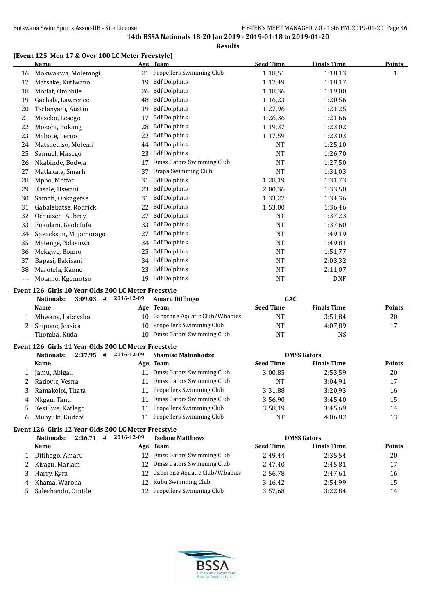# **(Event 125 Men 17 & Over 100 LC Meter Freestyle)**

|     | <b>Name</b>                                         |    | Age Team                  | <b>Seed Time</b> | <b>Finals Time</b> | <b>Points</b> |
|-----|-----------------------------------------------------|----|---------------------------|------------------|--------------------|---------------|
| 16  | Mokwakwa, Molemogi                                  | 21 | Propellers Swimming Club  | 1:18,51          | 1:18,13            | 1             |
| 17  | Matsake, Kutlwano                                   | 19 | <b>Bdf Dolphins</b>       | 1:17,49          | 1:18,17            |               |
| 18  | Moffat, Omphile                                     | 26 | <b>Bdf Dolphins</b>       | 1:18,36          | 1:19,00            |               |
| 19  | Gachala, Lawrence                                   | 48 | <b>Bdf Dolphins</b>       | 1:16,23          | 1:20,56            |               |
| 20  | Tselanyani, Austin                                  | 19 | <b>Bdf Dolphins</b>       | 1:27,96          | 1:21,25            |               |
| 21  | Maseko, Lesego                                      | 17 | <b>Bdf Dolphins</b>       | 1:26,36          | 1:21,66            |               |
| 22  | Mokobi, Bokang                                      | 28 | <b>Bdf Dolphins</b>       | 1:19,37          | 1:23,02            |               |
| 23  | Mabote, Leruo                                       | 22 | <b>Bdf Dolphins</b>       | 1:17.59          | 1:23,03            |               |
| 24  | Matshediso, Molemi                                  | 44 | <b>Bdf Dolphins</b>       | <b>NT</b>        | 1:25,10            |               |
| 25  | Samuel, Masego                                      | 23 | <b>Bdf Dolphins</b>       | <b>NT</b>        | 1:26,70            |               |
| 26  | Nkabinde, Bodwa                                     | 17 | Dmss Gators Swimming Club | <b>NT</b>        | 1:27,50            |               |
| 27  | Matlakala, Smarh                                    | 37 | Orapa Swimming Club       | NT               | 1:31,03            |               |
| 28  | Mpho, Moffat                                        | 31 | <b>Bdf Dolphins</b>       | 1:28,19          | 1:31,73            |               |
| 29  | Kasale, Uswani                                      | 23 | <b>Bdf Dolphins</b>       | 2:00,36          | 1:33,50            |               |
| 30  | Samati, Onkagetse                                   | 31 | <b>Bdf Dolphins</b>       | 1:33,27          | 1:34,36            |               |
| 31  | Gabalebatse, Rodrick                                | 22 | <b>Bdf Dolphins</b>       | 1:53,00          | 1:36,46            |               |
| 32  | Ochuizen, Aubrey                                    | 27 | <b>Bdf Dolphins</b>       | NT               | 1:37,23            |               |
| 33  | Fukulani, Gaolefufa                                 | 33 | <b>Bdf Dolphins</b>       | <b>NT</b>        | 1:37,60            |               |
| 34  | Speackson, Mojamorago                               | 27 | <b>Bdf Dolphins</b>       | <b>NT</b>        | 1:49,19            |               |
| 35  | Matenge, Ndasiiwa                                   | 34 | <b>Bdf Dolphins</b>       | NT               | 1:49,81            |               |
| 36  | Mekgwe, Bonno                                       | 25 | <b>Bdf Dolphins</b>       | <b>NT</b>        | 1:51,77            |               |
| 37  | Bapasi, Bakisani                                    | 34 | <b>Bdf Dolphins</b>       | <b>NT</b>        | 2:03.32            |               |
| 38  | Marotela, Kaone                                     | 23 | <b>Bdf Dolphins</b>       | <b>NT</b>        | 2:11,07            |               |
| --- | Molamo, Kgomotso                                    | 19 | <b>Bdf Dolphins</b>       | NT               | <b>DNF</b>         |               |
|     | Event 126 Girls 10 Year Olds 200 LC Meter Freestyle |    |                           |                  |                    |               |

# **Nationals: 3:09,03 # 2016-12-09 Amaru Ditlhogo GAC Name Age Team Seed Time Finals Time Points** Mbwana, Lakeysha 10 Gaborone Aquatic Club/W.babies NT 3:51,84 20 2 Seipone, Jessica 10 Propellers Swimming Club 17 NT 4:07,89 17 --- Thomba, Kuda 10 Dmss Gators Swimming Club NT NS

#### **Event 126 Girls 11 Year Olds 200 LC Meter Freestyle**

|    | 2:37,95<br>Nationals:<br># | 2016-12-09 | <b>Shamiso Matonhodze</b>   |                  | <b>DMSS Gators</b> |               |
|----|----------------------------|------------|-----------------------------|------------------|--------------------|---------------|
|    | <b>Name</b>                |            | Age Team                    | <b>Seed Time</b> | <b>Finals Time</b> | <b>Points</b> |
|    | Jamu, Abigail              |            | Dmss Gators Swimming Club   | 3:00.85          | 2:53,59            | 20            |
|    | Radovic, Vesna             |            | Dmss Gators Swimming Club   | NT               | 3:04.91            | 17            |
|    | Ramakoloi, Thata           |            | 11 Propellers Swimming Club | 3:31.88          | 3:20.93            | 16            |
| 4  | Nkgau, Tanu                |            | Dmss Gators Swimming Club   | 3:56.90          | 3:45.40            | 15            |
| 5. | Kesiilwe, Katlego          |            | Propellers Swimming Club    | 3:58.19          | 3:45.69            | 14            |
| 6  | Munyuki, Kudzai            |            | Propellers Swimming Club    | <b>NT</b>        | 4:06.82            | 13            |

#### **Event 126 Girls 12 Year Olds 200 LC Meter Freestyle**

|   | $2:36.71$ #<br>Nationals: | 2016-12-09 | <b>Tselane Matthews</b>        |                  | <b>DMSS Gators</b> |               |
|---|---------------------------|------------|--------------------------------|------------------|--------------------|---------------|
|   | <b>Name</b>               |            | Age Team                       | <b>Seed Time</b> | <b>Finals Time</b> | <b>Points</b> |
|   | Ditlhogo, Amaru           |            | 12 Dmss Gators Swimming Club   | 2:49.44          | 2:35.54            | 20            |
| 2 | Kiragu, Mariam            | 12         | Dmss Gators Swimming Club      | 2:47.40          | 2:45.81            | 17            |
|   | Harry, Kyra               | 12.        | Gaborone Aquatic Club/W.babies | 2:56.78          | 2:47.61            | 16            |
| 4 | Khama, Warona             |            | 12 Kubu Swimming Club          | 3:16.42          | 2:54.99            | 15            |
|   | Saleshando, Oratile       |            | 12 Propellers Swimming Club    | 3:57.68          | 3:22.84            | 14            |

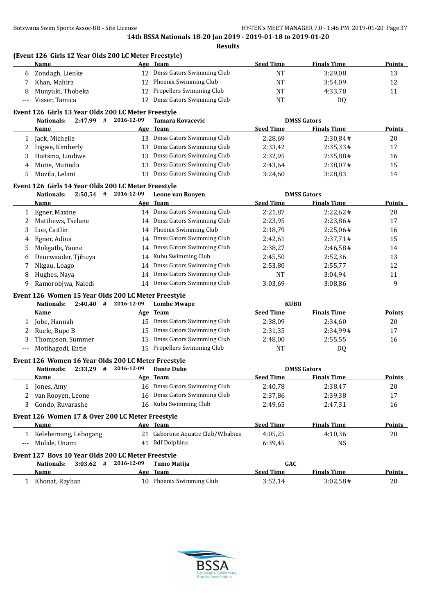|              | (Event 126 Girls 12 Year Olds 200 LC Meter Freestyle)<br><b>Name</b>    |            | Age Team                          | <b>Seed Time</b> | <b>Finals Time</b> | <b>Points</b> |
|--------------|-------------------------------------------------------------------------|------------|-----------------------------------|------------------|--------------------|---------------|
| 6            | Zondagh, Lienke                                                         |            | 12 Dmss Gators Swimming Club      | <b>NT</b>        | 3:29,08            | 13            |
| 7            | Khan, Mahira                                                            |            | 12 Phoenix Swimming Club          | <b>NT</b>        | 3:54,09            | 12            |
| 8            | Munyuki, Thobeka                                                        |            | 12 Propellers Swimming Club       | <b>NT</b>        | 4:33,78            | 11            |
| $---$        | Visser, Tamica                                                          |            | 12 Dmss Gators Swimming Club      | <b>NT</b>        | DQ                 |               |
|              | Event 126 Girls 13 Year Olds 200 LC Meter Freestyle                     |            |                                   |                  |                    |               |
|              | 2:47,99 # 2016-12-09<br>Nationals:                                      |            | Tamara Kovacevic                  |                  | <b>DMSS Gators</b> |               |
|              | <u>Name</u>                                                             |            | Age Team                          | <b>Seed Time</b> | <b>Finals Time</b> | <b>Points</b> |
|              | 1 Jack, Michelle                                                        |            | 13 Dmss Gators Swimming Club      | 2:28,69          | 2:30,84#           | 20            |
| 2            | Ingwe, Kimberly                                                         |            | 13 Dmss Gators Swimming Club      | 2:33,42          | 2:35,33#           | 17            |
| 3            | Haitsma, Lindiwe                                                        |            | 13 Dmss Gators Swimming Club      | 2:32,95          | 2:35,88#           | 16            |
| 4            | Mutie, Mutinda                                                          |            | 13 Dmss Gators Swimming Club      | 2:43,64          | 2:38,07#           | 15            |
| 5            | Muzila, Lelani                                                          |            | 13 Dmss Gators Swimming Club      | 3:24,60          | 3:28,83            | 14            |
|              | Event 126 Girls 14 Year Olds 200 LC Meter Freestyle                     |            |                                   |                  |                    |               |
|              | $2:50,54$ # 2016-12-09<br><b>Nationals:</b>                             |            | Leone van Rooyen                  |                  | <b>DMSS Gators</b> |               |
|              | Name                                                                    |            | Age Team                          | <b>Seed Time</b> | <b>Finals Time</b> | <b>Points</b> |
|              | 1 Egner, Maxine                                                         |            | 14 Dmss Gators Swimming Club      | 2:21,87          | 2:22,62#           | 20            |
| 2            | Matthews, Tselane                                                       |            | 14 Dmss Gators Swimming Club      | 2:23,95          | 2:23,86#           | 17            |
| 3            | Loo, Caitlin                                                            |            | 14 Phoenix Swimming Club          | 2:18,79          | 2:25,06#           | 16            |
| 4            | Egner, Adina                                                            |            | 14 Dmss Gators Swimming Club      | 2:42,61          | 2:37,71#           | 15            |
| 5            | Mokgatle, Yaone                                                         |            | 14 Dmss Gators Swimming Club      | 2:38,27          | 2:46,58#           | 14            |
| 6            | Deurwaader, Tjibuya                                                     |            | 14 Kubu Swimming Club             | 2:45,50          | 2:52,36            | 13            |
| 7            | Nkgau, Loago                                                            |            | 14 Dmss Gators Swimming Club      | 2:53,80          | 2:55,77            | 12            |
| 8            | Hughes, Naya                                                            |            | 14 Dmss Gators Swimming Club      | NT               | 3:04,94            | 11            |
| 9            | Ramorobjwa, Naledi                                                      |            | 14 Dmss Gators Swimming Club      | 3:03,69          | 3:08,86            | 9             |
|              | Event 126 Women 15 Year Olds 200 LC Meter Freestyle                     |            |                                   |                  |                    |               |
|              | $2:40,40$ # 2016-12-09<br><b>Nationals:</b>                             |            | <b>Lombe Mwape</b>                | <b>KUBU</b>      |                    |               |
|              | Name                                                                    |            | <u>Age Team</u>                   | <b>Seed Time</b> | <b>Finals Time</b> | <b>Points</b> |
|              | 1 Jobe, Hannah                                                          |            | 15 Dmss Gators Swimming Club      | 2:38,09          | 2:34,60            | 20            |
| 2            | Ruele, Bupe B                                                           |            | 15 Dmss Gators Swimming Club      | 2:31,35          | 2:34,99#           | 17            |
| 3            | Thompson, Summer                                                        |            | 15 Dmss Gators Swimming Club      | 2:48,00          | 2:55,55            | 16            |
| ---          | Motlhagodi, Entie                                                       |            | 15 Propellers Swimming Club       | <b>NT</b>        | DQ                 |               |
|              | Event 126 Women 16 Year Olds 200 LC Meter Freestyle                     |            |                                   |                  |                    |               |
|              | <b>Nationals:</b><br>$2:33,29$ #                                        | 2016-12-09 | <b>Dante Duke</b>                 |                  | <b>DMSS Gators</b> |               |
|              | <u>Name</u>                                                             |            | Age Team                          | <b>Seed Time</b> | <b>Finals Time</b> | <b>Points</b> |
|              | 1 Jones, Amy                                                            |            | 16 Dmss Gators Swimming Club      | 2:40,78          | 2:38,47            | 20            |
| 2            | van Rooyen, Leone                                                       |            | 16 Dmss Gators Swimming Club      | 2:37,86          | 2:39,38            | 17            |
| 3            | Gondo, Ruvarashe                                                        |            | 16 Kubu Swimming Club             | 2:49,65          | 2:47,31            | 16            |
|              | Event 126 Women 17 & Over 200 LC Meter Freestyle                        |            |                                   |                  |                    |               |
|              | <b>Name</b>                                                             |            | Age Team                          | <b>Seed Time</b> | <b>Finals Time</b> | <b>Points</b> |
|              | 1 Kelebemang, Lebogang                                                  |            | 21 Gaborone Aquatic Club/W.babies | 4:05,25          | 4:10,36            | 20            |
| ---          | Mulale, Unami                                                           |            | 41 Bdf Dolphins                   | 6:39,45          | NS                 |               |
|              |                                                                         |            |                                   |                  |                    |               |
|              | Event 127 Boys 10 Year Olds 200 LC Meter Freestyle<br><b>Nationals:</b> | 2016-12-09 | <b>Tumo Matija</b>                | GAC              |                    |               |
|              | $3:03,62$ #<br><b>Name</b>                                              |            | Age Team                          | <b>Seed Time</b> | <b>Finals Time</b> | <b>Points</b> |
| $\mathbf{1}$ | Khonat, Rayhan                                                          |            | 10 Phoenix Swimming Club          | 3:52,14          | 3:02,58#           | $20\,$        |
|              |                                                                         |            |                                   |                  |                    |               |

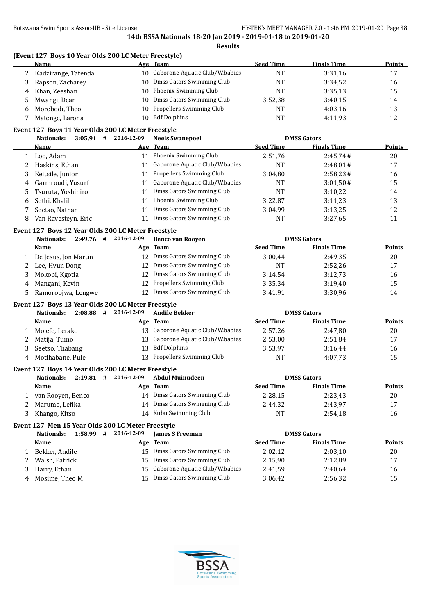**(Event 127 Boys 10 Year Olds 200 LC Meter Freestyle)**

|   | Name                                                                                              |            | Age Team                          | <b>Seed Time</b> | <b>Finals Time</b> | <b>Points</b> |
|---|---------------------------------------------------------------------------------------------------|------------|-----------------------------------|------------------|--------------------|---------------|
| 2 | Kadzirange, Tatenda                                                                               |            | 10 Gaborone Aquatic Club/W.babies | <b>NT</b>        | 3:31,16            | 17            |
| 3 | Rapson, Zacharey                                                                                  | 10         | Dmss Gators Swimming Club         | <b>NT</b>        | 3:34,52            | 16            |
| 4 | Khan, Zeeshan                                                                                     |            | 10 Phoenix Swimming Club          | NT               | 3:35,13            | 15            |
| 5 | Mwangi, Dean                                                                                      | 10         | Dmss Gators Swimming Club         | 3:52,38          | 3:40,15            | 14            |
| 6 | Morebodi, Theo                                                                                    | 10         | Propellers Swimming Club          | NT               | 4:03,16            | 13            |
| 7 | Matenge, Larona                                                                                   | 10         | <b>Bdf Dolphins</b>               | <b>NT</b>        | 4:11,93            | 12            |
|   | Event 127 Boys 11 Year Olds 200 LC Meter Freestyle                                                |            |                                   |                  |                    |               |
|   | $3:05,91$ # 2016-12-09<br><b>Nationals:</b>                                                       |            | <b>Neels Swanepoel</b>            |                  | <b>DMSS Gators</b> |               |
|   | <b>Name</b>                                                                                       |            | Age Team                          | <b>Seed Time</b> | <b>Finals Time</b> | <b>Points</b> |
| 1 | Loo, Adam                                                                                         |            | 11 Phoenix Swimming Club          | 2:51,76          | 2:45,74#           | 20            |
| 2 | Haskins, Ethan                                                                                    |            | 11 Gaborone Aquatic Club/W.babies | <b>NT</b>        | 2:48,01#           | 17            |
| 3 | Keitsile, Junior                                                                                  |            | 11 Propellers Swimming Club       | 3:04,80          | 2:58,23#           | 16            |
| 4 | Garmroudi, Yusurf                                                                                 |            | 11 Gaborone Aquatic Club/W.babies | NT               | 3:01,50#           | 15            |
| 5 | Tsuruta, Yoshihiro                                                                                |            | 11 Dmss Gators Swimming Club      | <b>NT</b>        | 3:10,22            | 14            |
| 6 | Sethi, Khalil                                                                                     |            | 11 Phoenix Swimming Club          | 3:22,87          | 3:11,23            | 13            |
| 7 | Seetso, Nathan                                                                                    |            | 11 Dmss Gators Swimming Club      | 3:04,99          | 3:13,25            | 12            |
| 8 | Van Ravesteyn, Eric                                                                               |            | 11 Dmss Gators Swimming Club      | <b>NT</b>        | 3:27,65            | 11            |
|   | Event 127 Boys 12 Year Olds 200 LC Meter Freestyle                                                |            |                                   |                  |                    |               |
|   | 2:49,76 # 2016-12-09<br><b>Nationals:</b>                                                         |            | <b>Benco van Rooyen</b>           |                  | <b>DMSS Gators</b> |               |
|   | Name                                                                                              |            | Age Team                          | <b>Seed Time</b> | <b>Finals Time</b> | <b>Points</b> |
| 1 | De Jesus, Jon Martin                                                                              |            | 12 Dmss Gators Swimming Club      | 3:00,44          | 2:49,35            | 20            |
| 2 | Lee, Hyun Dong                                                                                    |            | 12 Dmss Gators Swimming Club      | <b>NT</b>        | 2:52,26            | 17            |
| 3 | Mokobi, Kgotla                                                                                    |            | 12 Dmss Gators Swimming Club      | 3:14,54          | 3:12,73            | 16            |
| 4 | Mangani, Kevin                                                                                    |            | 12 Propellers Swimming Club       | 3:35,34          | 3:19,40            | 15            |
| 5 | Ramorobjwa, Lengwe                                                                                |            | 12 Dmss Gators Swimming Club      | 3:41,91          | 3:30,96            | 14            |
|   | Event 127 Boys 13 Year Olds 200 LC Meter Freestyle                                                |            |                                   |                  |                    |               |
|   | $2:08,88$ # 2016-12-09<br><b>Nationals:</b>                                                       |            | <b>Andile Bekker</b>              |                  | <b>DMSS Gators</b> |               |
|   | Name                                                                                              |            | Age Team                          | <b>Seed Time</b> | <b>Finals Time</b> | <b>Points</b> |
| 1 | Molefe, Lerako                                                                                    |            | 13 Gaborone Aquatic Club/W.babies | 2:57,26          | 2:47,80            | 20            |
| 2 | Matija, Tumo                                                                                      |            | 13 Gaborone Aquatic Club/W.babies | 2:53,00          | 2:51,84            | 17            |
| 3 | Seetso, Thabang                                                                                   |            | 13 Bdf Dolphins                   | 3:53,97          | 3:16,44            | 16            |
| 4 | Motlhabane, Pule                                                                                  |            | 13 Propellers Swimming Club       | <b>NT</b>        | 4:07,73            | 15            |
|   |                                                                                                   |            |                                   |                  |                    |               |
|   | Event 127 Boys 14 Year Olds 200 LC Meter Freestyle<br>$2:19.81$ # 2016-12-09<br><b>Nationals:</b> |            | <b>Abdul Muinudeen</b>            |                  | <b>DMSS Gators</b> |               |
|   | <u>Name</u>                                                                                       |            | Age Team                          | <b>Seed Time</b> | <b>Finals Time</b> | <b>Points</b> |
| 1 | van Rooyen, Benco                                                                                 |            | 14 Dmss Gators Swimming Club      | 2:28,15          | 2:23,43            | 20            |
|   | Marumo, Lefika                                                                                    |            | 14 Dmss Gators Swimming Club      |                  |                    |               |
| 2 |                                                                                                   |            | 14 Kubu Swimming Club             | 2:44,32          | 2:43,97            | 17            |
| 3 | Khango, Kitso                                                                                     |            |                                   | NT               | 2:54,18            | 16            |
|   | Event 127 Men 15 Year Olds 200 LC Meter Freestyle                                                 |            |                                   |                  |                    |               |
|   | $1:58,99$ #<br>Nationals:                                                                         | 2016-12-09 | <b>James S Freeman</b>            |                  | <b>DMSS Gators</b> |               |
|   | <u>Name</u>                                                                                       |            | Age Team                          | <b>Seed Time</b> | <b>Finals Time</b> | Points        |
| 1 | Bekker, Andile                                                                                    |            | 15 Dmss Gators Swimming Club      | 2:02,12          | 2:03,10            | 20            |
| 2 | Walsh, Patrick                                                                                    | 15         | Dmss Gators Swimming Club         | 2:15,90          | 2:12,89            | 17            |
| 3 | Harry, Ethan                                                                                      | 15         | Gaborone Aquatic Club/W.babies    | 2:41,59          | 2:40,64            | 16            |
| 4 | Mosime, Theo M                                                                                    | 15         | Dmss Gators Swimming Club         | 3:06,42          | 2:56,32            | 15            |

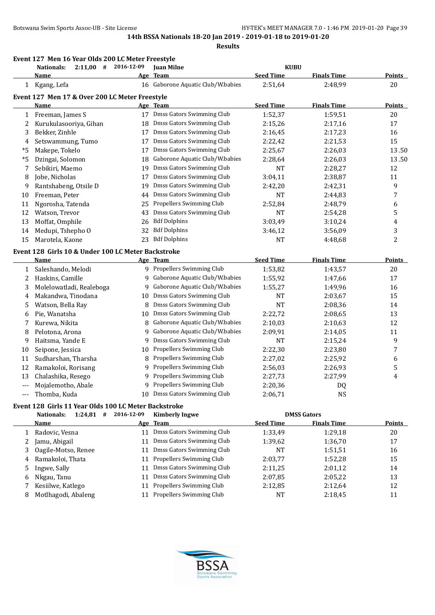|      | Event 127 Men 16 Year Olds 200 LC Meter Freestyle<br>$2:11,00$ #<br><b>Nationals:</b> | 2016-12-09 | <b>Juan Milne</b>                 | <b>KUBU</b>      |                    |                         |
|------|---------------------------------------------------------------------------------------|------------|-----------------------------------|------------------|--------------------|-------------------------|
|      | <u>Name</u>                                                                           |            | Age Team                          | <b>Seed Time</b> | <b>Finals Time</b> | <b>Points</b>           |
|      | 1 Kgang, Lefa                                                                         |            | 16 Gaborone Aquatic Club/W.babies | 2:51,64          | 2:48,99            | 20                      |
|      | Event 127 Men 17 & Over 200 LC Meter Freestyle                                        |            |                                   |                  |                    |                         |
|      | Name                                                                                  |            | Age Team                          | <b>Seed Time</b> | <b>Finals Time</b> | <b>Points</b>           |
| 1    | Freeman, James S                                                                      |            | 17 Dmss Gators Swimming Club      | 1:52,37          | 1:59,51            | 20                      |
| 2    | Kurukulasooriya, Gihan                                                                |            | 18 Dmss Gators Swimming Club      | 2:15,26          | 2:17,16            | 17                      |
| 3    | Bekker, Zinhle                                                                        | 17         | Dmss Gators Swimming Club         | 2:16,45          | 2:17,23            | 16                      |
| 4    | Setswammung, Tumo                                                                     | 17         | Dmss Gators Swimming Club         | 2:22,42          | 2:21,53            | 15                      |
| *5   | Makepe, Tokelo                                                                        | 17         | Dmss Gators Swimming Club         | 2:25,67          | 2:26,03            | 13.50                   |
| $*5$ | Dzingai, Solomon                                                                      | 18         | Gaborone Aquatic Club/W.babies    | 2:28,64          | 2:26,03            | 13.50                   |
| 7    | Sebikiri, Maemo                                                                       | 19         | Dmss Gators Swimming Club         | <b>NT</b>        | 2:28,27            | 12                      |
| 8    | Jobe, Nicholas                                                                        | 17         | Dmss Gators Swimming Club         | 3:04,11          | 2:38,87            | 11                      |
| 9    | Rantshabeng, Otsile D                                                                 | 19         | Dmss Gators Swimming Club         | 2:42,20          | 2:42,31            | 9                       |
| 10   | Freeman, Peter                                                                        | 44         | Dmss Gators Swimming Club         | <b>NT</b>        | 2:44,83            | $\overline{7}$          |
| 11   | Ngorosha, Tatenda                                                                     | 25         | Propellers Swimming Club          | 2:52,84          | 2:48,79            | 6                       |
| 12   | Watson, Trevor                                                                        | 43         | Dmss Gators Swimming Club         | <b>NT</b>        | 2:54,28            | 5                       |
| 13   | Moffat, Omphile                                                                       | 26         | <b>Bdf Dolphins</b>               | 3:03,49          | 3:10,24            | $\overline{\mathbf{4}}$ |
| 14   | Medupi, Tshepho O                                                                     | 32         | <b>Bdf Dolphins</b>               | 3:46,12          | 3:56,09            | 3                       |
| 15   | Marotela, Kaone                                                                       | 23         | <b>Bdf Dolphins</b>               | <b>NT</b>        | 4:48,68            | $\overline{c}$          |
|      | Event 128 Girls 10 & Under 100 LC Meter Backstroke                                    |            |                                   |                  |                    |                         |
|      | Name                                                                                  |            | Age Team                          | <b>Seed Time</b> | <b>Finals Time</b> | <b>Points</b>           |
| 1    | Saleshando, Melodi                                                                    |            | 9 Propellers Swimming Club        | 1:53,82          | 1:43,57            | 20                      |
| 2    | Haskins, Camille                                                                      |            | 9 Gaborone Aquatic Club/W.babies  | 1:55,92          | 1:47,66            | 17                      |
| 3    | Molelowatladi, Realeboga                                                              | 9          | Gaborone Aquatic Club/W.babies    | 1:55,27          | 1:49,96            | 16                      |
| 4    | Makandwa, Tinodana                                                                    | 10         | Dmss Gators Swimming Club         | NT               | 2:03,67            | 15                      |
| 5    | Watson, Bella Ray                                                                     | 8          | Dmss Gators Swimming Club         | <b>NT</b>        | 2:08,36            | 14                      |
| 6    | Pie, Wanatsha                                                                         | 10         | Dmss Gators Swimming Club         | 2:22,72          | 2:08,65            | 13                      |
|      | Kurewa, Nikita                                                                        | 8          | Gaborone Aquatic Club/W.babies    | 2:10,03          | 2:10,63            | 12                      |
| 8    | Pelotona, Arona                                                                       | 9          | Gaborone Aquatic Club/W.babies    | 2:09,91          | 2:14,05            | 11                      |
| 9    | Haitsma, Yande E                                                                      | 9          | Dmss Gators Swimming Club         | NT               | 2:15,24            | 9                       |
| 10   | Seipone, Jessica                                                                      | 10         | Propellers Swimming Club          | 2:22,30          | 2:23,80            | 7                       |
| 11   | Sudharshan, Tharsha                                                                   | 8          | Propellers Swimming Club          | 2:27,02          | 2:25,92            | 6                       |
| 12   | Ramakoloi, Rorisang                                                                   | 9          | Propellers Swimming Club          | 2:56,03          | 2:26,93            | 5                       |
| 13   | Chalashika, Resego                                                                    |            | 9 Propellers Swimming Club        | 2:27,73          | 2:27,99            | 4                       |
|      | Mojalemotho, Abale                                                                    |            | 9 Propellers Swimming Club        | 2:20,36          | DQ                 |                         |
|      | Thomba, Kuda                                                                          | 10         | Dmss Gators Swimming Club         | 2:06,71          | <b>NS</b>          |                         |
|      | Event 128 Girls 11 Year Olds 100 LC Meter Backstroke                                  |            |                                   |                  |                    |                         |
|      | <b>Nationals:</b><br>$1:24,81$ #                                                      | 2016-12-09 | <b>Kimberly Ingwe</b>             |                  | <b>DMSS Gators</b> |                         |
|      | <b>Name</b>                                                                           |            | Age Team                          | <b>Seed Time</b> | <b>Finals Time</b> | <b>Points</b>           |
| 1    | Radovic, Vesna                                                                        | 11         | Dmss Gators Swimming Club         | 1:33,49          | 1:29,18            | 20                      |
| 2    | Jamu, Abigail                                                                         | 11         | Dmss Gators Swimming Club         | 1:39,62          | 1:36,70            | 17                      |
| 3    | Oagile-Motso, Renee                                                                   | 11         | Dmss Gators Swimming Club         | NT               | 1:51,51            | 16                      |
| 4    | Ramakoloi, Thata                                                                      | 11         | Propellers Swimming Club          | 2:03,77          | 1:52,28            | 15                      |
| 5    | Ingwe, Sally                                                                          | 11         | Dmss Gators Swimming Club         | 2:11,25          | 2:01,12            | 14                      |
| 6    | Nkgau, Tanu                                                                           | 11         | Dmss Gators Swimming Club         | 2:07,85          | 2:05,22            | 13                      |
| 7    | Kesiilwe, Katlego                                                                     | 11         | Propellers Swimming Club          | 2:12,85          | 2:12,64            | 12                      |
| 8    | Motlhagodi, Abaleng                                                                   |            | 11 Propellers Swimming Club       | NT               | 2:18,45            | 11                      |

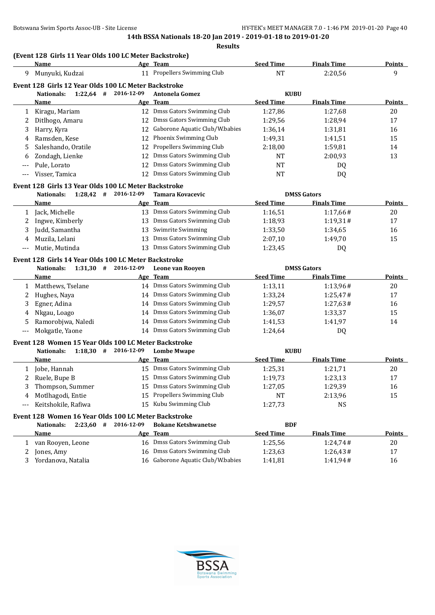# **(Event 128 Girls 11 Year Olds 100 LC Meter Backstroke)**

|       | Name                                                 |            | Age Team                        | <b>Seed Time</b> | <b>Finals Time</b> | Points        |
|-------|------------------------------------------------------|------------|---------------------------------|------------------|--------------------|---------------|
| 9     | Munyuki, Kudzai                                      | 11         | Propellers Swimming Club        | NT               | 2:20.56            | 9             |
|       | Event 128 Girls 12 Year Olds 100 LC Meter Backstroke |            |                                 |                  |                    |               |
|       | 1:22.64<br>Nationals:<br>#                           | 2016-12-09 | <b>Antonela Gomez</b>           | <b>KUBU</b>      |                    |               |
|       | <b>Name</b>                                          |            | Age Team                        | <b>Seed Time</b> | <b>Finals Time</b> | <b>Points</b> |
|       | Kiragu, Mariam                                       | 12         | Dmss Gators Swimming Club       | 1:27.86          | 1:27.68            | 20            |
|       | Ditlhogo, Amaru                                      | 12.        | Dmss Gators Swimming Club       | 1:29.56          | 1:28.94            | 17            |
| 3     | Harry, Kyra                                          | 12         | Gaborone Aquatic Club/W.babies  | 1:36.14          | 1:31,81            | 16            |
| 4     | Ramsden. Kese                                        | 12         | Phoenix Swimming Club           | 1:49.31          | 1:41.51            | 15            |
| 5     | Saleshando, Oratile                                  | 12.        | <b>Propellers Swimming Club</b> | 2:18.00          | 1:59.81            | 14            |
| 6     | Zondagh, Lienke                                      | 12         | Dmss Gators Swimming Club       | <b>NT</b>        | 2:00.93            | 13            |
| $---$ | Pule, Lorato                                         | 12         | Dmss Gators Swimming Club       | <b>NT</b>        | DQ                 |               |
| $---$ | Visser, Tamica                                       | 12         | Dmss Gators Swimming Club       | NT               | DQ                 |               |

#### **Event 128 Girls 13 Year Olds 100 LC Meter Backstroke**

|       | 1:28.42<br>Nationals:<br># | 2016-12-09 | Tamara Kovacevic          |                  | <b>DMSS Gators</b> |               |
|-------|----------------------------|------------|---------------------------|------------------|--------------------|---------------|
|       | Name                       |            | Age Team                  | <b>Seed Time</b> | <b>Finals Time</b> | <b>Points</b> |
|       | Jack, Michelle             | 13.        | Dmss Gators Swimming Club | 1:16.51          | 1:17,66#           | 20            |
|       | Ingwe, Kimberly            | 13.        | Dmss Gators Swimming Club | 1:18,93          | 1:19.31#           | 17            |
|       | Judd, Samantha             |            | 13 Swimrite Swimming      | 1:33,50          | 1:34.65            | 16            |
| 4     | Muzila, Lelani             | 13.        | Dmss Gators Swimming Club | 2:07,10          | 1:49.70            | 15            |
| $---$ | Mutie, Mutinda             | 13.        | Dmss Gators Swimming Club | 1:23,45          | D <sub>0</sub>     |               |

#### **Event 128 Girls 14 Year Olds 100 LC Meter Backstroke**

|    | 1:31,30<br>Nationals:<br># | 2016-12-09 | Leone van Rooven          |                  | <b>DMSS Gators</b> |        |
|----|----------------------------|------------|---------------------------|------------------|--------------------|--------|
|    | Name                       |            | Age Team                  | <b>Seed Time</b> | <b>Finals Time</b> | Points |
|    | Matthews, Tselane          | 14         | Dmss Gators Swimming Club | 1:13,11          | 1:13.96#           | 20     |
|    | Hughes, Naya               | 14         | Dmss Gators Swimming Club | 1:33,24          | 1:25.47#           | 17     |
|    | Egner, Adina               | 14         | Dmss Gators Swimming Club | 1:29.57          | 1:27,63#           | 16     |
| 4  | Nkgau, Loago               | 14         | Dmss Gators Swimming Club | 1:36,07          | 1:33,37            | 15     |
| 5. | Ramorobjwa, Naledi         | 14         | Dmss Gators Swimming Club | 1:41,53          | 1:41.97            | 14     |
|    | Mokgatle, Yaone            | 14         | Dmss Gators Swimming Club | 1:24.64          | DQ                 |        |

#### **Event 128 Women 15 Year Olds 100 LC Meter Backstroke**

| 1:18.30<br>Nationals:<br># | 2016-12-09 | <b>Lombe Mwape</b>          | <b>KUBU</b>      |                    |               |
|----------------------------|------------|-----------------------------|------------------|--------------------|---------------|
| Name                       |            | Age Team                    | <b>Seed Time</b> | <b>Finals Time</b> | <b>Points</b> |
| Jobe, Hannah               | 15.        | Dmss Gators Swimming Club   | 1:25,31          | 1:21,71            | 20            |
| 2 Ruele, Bupe B            | 15.        | Dmss Gators Swimming Club   | 1:19.73          | 1:23.13            | 17            |
| Thompson, Summer           | 15.        | Dmss Gators Swimming Club   | 1:27,05          | 1:29.39            | 16            |
| 4 Motlhagodi, Entie        |            | 15 Propellers Swimming Club | <b>NT</b>        | 2:13.96            | 15            |
| Keitshokile, Rafiwa        | 15.        | Kubu Swimming Club          | 1:27.73          | NS                 |               |

#### **Event 128 Women 16 Year Olds 100 LC Meter Backstroke**

| 2:23.60<br>Nationals:<br># | 2016-12-09 | <b>Bokane Ketshwanetse</b>        | <b>BDF</b>       |                    |        |
|----------------------------|------------|-----------------------------------|------------------|--------------------|--------|
| <b>Name</b>                |            | Age Team                          | <b>Seed Time</b> | <b>Finals Time</b> | Points |
| van Rooyen, Leone          |            | 16 Dmss Gators Swimming Club      | 1:25.56          | 1:24.74#           | 20     |
| Jones, Amy                 |            | Dmss Gators Swimming Club         | 1:23.63          | 1:26.43#           | 17     |
| Yordanova, Natalia         |            | 16 Gaborone Aquatic Club/W.babies | 1:41,81          | 1:41.94#           | 16     |

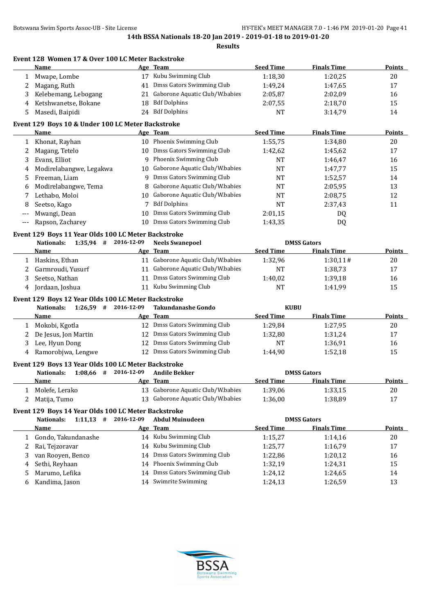|       | Name                                                                                               |            | Age Team                          | <b>Seed Time</b>   | <b>Finals Time</b> | <b>Points</b> |
|-------|----------------------------------------------------------------------------------------------------|------------|-----------------------------------|--------------------|--------------------|---------------|
| 1     | Mwape, Lombe                                                                                       |            | 17 Kubu Swimming Club             | 1:18,30            | 1:20,25            | 20            |
| 2     | Magang, Ruth                                                                                       |            | 41 Dmss Gators Swimming Club      | 1:49,24            | 1:47,65            | 17            |
| 3     | Kelebemang, Lebogang                                                                               | 21         | Gaborone Aquatic Club/W.babies    | 2:05,87            | 2:02,09            | 16            |
| 4     | Ketshwanetse, Bokane                                                                               | 18         | <b>Bdf Dolphins</b>               | 2:07,55            | 2:18,70            | 15            |
| 5     | Masedi, Baipidi                                                                                    | 24         | <b>Bdf Dolphins</b>               | <b>NT</b>          | 3:14,79            | 14            |
|       | Event 129 Boys 10 & Under 100 LC Meter Backstroke                                                  |            |                                   |                    |                    |               |
|       | Name                                                                                               |            | Age Team                          | <b>Seed Time</b>   | <b>Finals Time</b> | <b>Points</b> |
| 1     | Khonat, Rayhan                                                                                     |            | 10 Phoenix Swimming Club          | 1:55,75            | 1:34,80            | 20            |
| 2     | Magang, Tetelo                                                                                     |            | 10 Dmss Gators Swimming Club      | 1:42,62            | 1:45,62            | 17            |
| 3     | Evans, Elliot                                                                                      | 9          | Phoenix Swimming Club             | NT                 | 1:46,47            | 16            |
| 4     | Modirelabangwe, Legakwa                                                                            | 10         | Gaborone Aquatic Club/W.babies    | <b>NT</b>          | 1:47,77            | 15            |
| 5     | Freeman, Liam                                                                                      | 9          | Dmss Gators Swimming Club         | NT                 | 1:52,57            | 14            |
| 6     | Modirelabangwe, Tema                                                                               | 8          | Gaborone Aquatic Club/W.babies    | NT                 | 2:05,95            | 13            |
| 7     | Lethabo, Moloi                                                                                     | 10         | Gaborone Aquatic Club/W.babies    | NT                 | 2:08,75            | 12            |
| 8     | Seetso, Kago                                                                                       | 7          | <b>Bdf Dolphins</b>               | <b>NT</b>          | 2:37,43            | 11            |
| ---   | Mwangi, Dean                                                                                       | 10         | Dmss Gators Swimming Club         | 2:01,15            | DQ                 |               |
| $---$ | Rapson, Zacharey                                                                                   | 10         | Dmss Gators Swimming Club         | 1:43,35            | DQ                 |               |
|       | Event 129 Boys 11 Year Olds 100 LC Meter Backstroke                                                |            |                                   |                    |                    |               |
|       | $1:35.94$ # 2016-12-09<br><b>Nationals:</b>                                                        |            | <b>Neels Swanepoel</b>            | <b>DMSS Gators</b> |                    |               |
|       | Name                                                                                               |            | Age Team                          | <b>Seed Time</b>   | <b>Finals Time</b> | <b>Points</b> |
|       | 1 Haskins, Ethan                                                                                   |            | 11 Gaborone Aquatic Club/W.babies | 1:32,96            | 1:30,11#           | 20            |
| 2     | Garmroudi, Yusurf                                                                                  |            | 11 Gaborone Aquatic Club/W.babies | NT                 | 1:38,73            | 17            |
| 3     | Seetso, Nathan                                                                                     |            | 11 Dmss Gators Swimming Club      | 1:40,02            | 1:39,18            | 16            |
|       | Jordaan, Joshua                                                                                    |            | 11 Kubu Swimming Club             | <b>NT</b>          | 1:41,99            | 15            |
| 4     |                                                                                                    |            |                                   |                    |                    |               |
|       |                                                                                                    |            |                                   |                    |                    |               |
|       | Event 129 Boys 12 Year Olds 100 LC Meter Backstroke<br>$1:26,59$ # 2016-12-09<br><b>Nationals:</b> |            | <b>Takundanashe Gondo</b>         | <b>KUBU</b>        |                    |               |
|       | Name                                                                                               |            | Age Team                          | <b>Seed Time</b>   | <b>Finals Time</b> | <b>Points</b> |
| 1     | Mokobi, Kgotla                                                                                     |            | 12 Dmss Gators Swimming Club      | 1:29,84            | 1:27,95            | 20            |
| 2     | De Jesus, Jon Martin                                                                               |            | 12 Dmss Gators Swimming Club      | 1:32,80            | 1:31,24            | 17            |
| 3     | Lee, Hyun Dong                                                                                     |            | 12 Dmss Gators Swimming Club      | NT                 | 1:36,91            | 16            |
| 4     | Ramorobjwa, Lengwe                                                                                 |            | 12 Dmss Gators Swimming Club      | 1:44,90            | 1:52,18            | 15            |
|       | Event 129 Boys 13 Year Olds 100 LC Meter Backstroke                                                |            |                                   |                    |                    |               |
|       | $1:08,66$ # 2016-12-09<br>Nationals:                                                               |            | <b>Andile Bekker</b>              |                    | <b>DMSS Gators</b> |               |
|       | <u>Name</u>                                                                                        |            | Age Team                          | <b>Seed Time</b>   | <b>Finals Time</b> | <b>Points</b> |
| 1     | Molefe, Lerako                                                                                     |            | 13 Gaborone Aquatic Club/W.babies | 1:39,06            | 1:33,15            | 20            |
| 2     | Matija, Tumo                                                                                       | 13         | Gaborone Aquatic Club/W.babies    | 1:36,00            | 1:38,89            | 17            |
|       | Event 129 Boys 14 Year Olds 100 LC Meter Backstroke                                                |            |                                   |                    |                    |               |
|       | $1:11,13$ #<br><b>Nationals:</b>                                                                   | 2016-12-09 | <b>Abdul Muinudeen</b>            |                    | <b>DMSS Gators</b> |               |
|       | <b>Name</b>                                                                                        |            | Age Team                          | <b>Seed Time</b>   | <b>Finals Time</b> | <b>Points</b> |
| 1     | Gondo, Takundanashe                                                                                |            | 14 Kubu Swimming Club             | 1:15,27            | 1:14,16            | 20            |
| 2     | Rai, Tejzoravar                                                                                    | 14         | Kubu Swimming Club                | 1:25,77            | 1:16,79            | 17            |
| 3     | van Rooyen, Benco                                                                                  | 14         | Dmss Gators Swimming Club         | 1:22,86            | 1:20,12            | 16            |
| 4     | Sethi, Reyhaan                                                                                     | 14         | Phoenix Swimming Club             | 1:32,19            | 1:24,31            | 15            |
| 5     | Marumo, Lefika                                                                                     | 14         | Dmss Gators Swimming Club         | 1:24,12            | 1:24,65            | 14            |

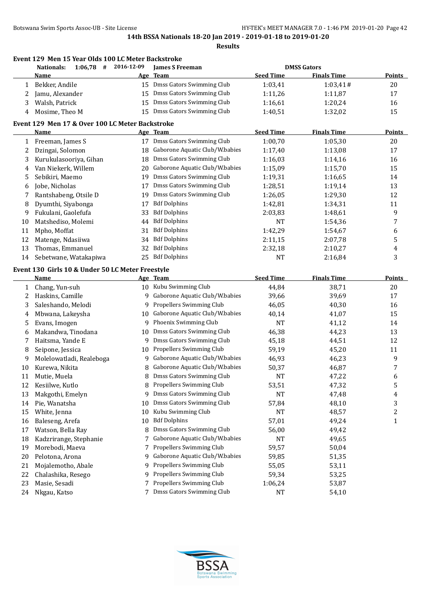**Event 129 Men 15 Year Olds 100 LC Meter Backstroke**

|    | $1:06,78$ # 2016-12-09<br><b>Nationals:</b>              |    | <b>James S Freeman</b>            |                  | <b>DMSS Gators</b> |               |
|----|----------------------------------------------------------|----|-----------------------------------|------------------|--------------------|---------------|
|    | <b>Name</b>                                              |    | Age Team                          | <b>Seed Time</b> | <b>Finals Time</b> | <b>Points</b> |
| 1  | Bekker, Andile                                           |    | 15 Dmss Gators Swimming Club      | 1:03,41          | 1:03,41#           | $20\,$        |
| 2  | Jamu, Alexander                                          | 15 | Dmss Gators Swimming Club         | 1:11,26          | 1:11,87            | 17            |
| 3  | Walsh, Patrick                                           | 15 | Dmss Gators Swimming Club         | 1:16,61          | 1:20,24            | 16            |
| 4  | Mosime, Theo M                                           | 15 | Dmss Gators Swimming Club         | 1:40,51          | 1:32,02            | 15            |
|    | Event 129 Men 17 & Over 100 LC Meter Backstroke          |    |                                   |                  |                    |               |
|    | <b>Name</b>                                              |    | Age Team                          | <b>Seed Time</b> | <b>Finals Time</b> | <b>Points</b> |
|    | 1 Freeman, James S                                       |    | 17 Dmss Gators Swimming Club      | 1:00,70          | 1:05,30            | 20            |
| 2  | Dzingai, Solomon                                         |    | 18 Gaborone Aquatic Club/W.babies | 1:17,40          | 1:13,08            | 17            |
| 3  | Kurukulasooriya, Gihan                                   |    | 18 Dmss Gators Swimming Club      | 1:16,03          | 1:14,16            | 16            |
| 4  | Van Niekerk, Willem                                      |    | 20 Gaborone Aquatic Club/W.babies | 1:15,09          | 1:15,70            | 15            |
| 5  | Sebikiri, Maemo                                          | 19 | Dmss Gators Swimming Club         | 1:19,31          | 1:16,65            | 14            |
| 6  | Jobe, Nicholas                                           | 17 | Dmss Gators Swimming Club         | 1:28,51          | 1:19,14            | 13            |
| 7  | Rantshabeng, Otsile D                                    | 19 | Dmss Gators Swimming Club         | 1:26,05          | 1:29,30            | 12            |
| 8  | Dyumthi, Siyabonga                                       | 17 | <b>Bdf Dolphins</b>               | 1:42,81          | 1:34,31            | 11            |
| 9  | Fukulani, Gaolefufa                                      | 33 | <b>Bdf Dolphins</b>               | 2:03,83          | 1:48,61            | 9             |
| 10 | Matshediso, Molemi                                       | 44 | <b>Bdf Dolphins</b>               | NT               | 1:54,36            | 7             |
| 11 | Mpho, Moffat                                             | 31 | <b>Bdf Dolphins</b>               | 1:42,29          | 1:54,67            | 6             |
| 12 | Matenge, Ndasiiwa                                        | 34 | <b>Bdf Dolphins</b>               | 2:11,15          | 2:07,78            | 5             |
| 13 | Thomas, Emmanuel                                         | 32 | <b>Bdf Dolphins</b>               | 2:32,18          | 2:10,27            | 4             |
| 14 | Sebetwane, Watakapiwa                                    | 25 | <b>Bdf Dolphins</b>               | NT               | 2:16,84            | 3             |
|    |                                                          |    |                                   |                  |                    |               |
|    | Event 130 Girls 10 & Under 50 LC Meter Freestyle<br>Name |    |                                   | <b>Seed Time</b> | <b>Finals Time</b> |               |
|    |                                                          |    | Age Team                          |                  |                    | <b>Points</b> |
| 1  | Chang, Yun-suh                                           |    | 10 Kubu Swimming Club             | 44,84            | 38,71              | 20            |
| 2  | Haskins, Camille                                         | 9  | Gaborone Aquatic Club/W.babies    | 39,66            | 39,69              | 17            |
| 3  | Saleshando, Melodi                                       | 9  | Propellers Swimming Club          | 46,05            | 40,30              | 16            |
| 4  | Mbwana, Lakeysha                                         | 10 | Gaborone Aquatic Club/W.babies    | 40,14            | 41,07              | 15            |
| 5  | Evans, Imogen                                            | 9  | Phoenix Swimming Club             | <b>NT</b>        | 41,12              | 14            |
| 6  | Makandwa, Tinodana                                       | 10 | Dmss Gators Swimming Club         | 46,38            | 44,23              | 13            |
| 7  | Haitsma, Yande E                                         | 9  | Dmss Gators Swimming Club         | 45,18            | 44,51              | 12            |
| 8  | Seipone, Jessica                                         | 10 | Propellers Swimming Club          | 59,19            | 45,20              | 11            |
| 9  | Molelowatladi, Realeboga                                 | 9  | Gaborone Aquatic Club/W.babies    | 46,93            | 46,23              | 9             |
| 10 | Kurewa, Nikita                                           | 8  | Gaborone Aquatic Club/W.babies    | 50,37            | 46,87              | 7             |
| 11 | Mutie, Muela                                             | 8  | Dmss Gators Swimming Club         | NT               | 47,22              | 6             |
| 12 | Kesiilwe, Kutlo                                          |    | 8 Propellers Swimming Club        | 53,51            | 47,32              | 5             |
| 13 | Makgothi, Emelyn                                         | 9  | Dmss Gators Swimming Club         | <b>NT</b>        | 47,48              | 4             |
| 14 | Pie, Wanatsha                                            | 10 | Dmss Gators Swimming Club         | 57,84            | 48,10              | 3             |
| 15 | White, Jenna                                             | 10 | Kubu Swimming Club                | NT               | 48,57              | 2             |
| 16 | Baleseng, Arefa                                          | 10 | <b>Bdf Dolphins</b>               | 57,01            | 49,24              | 1             |
| 17 | Watson, Bella Ray                                        | 8  | Dmss Gators Swimming Club         | 56,00            | 49,42              |               |
| 18 | Kadzrirange, Stephanie                                   | 7  | Gaborone Aquatic Club/W.babies    | NT               | 49,65              |               |
| 19 | Morebodi, Maeva                                          | 7  | Propellers Swimming Club          | 59,57            | 50,04              |               |
| 20 | Pelotona, Arona                                          | 9  | Gaborone Aquatic Club/W.babies    | 59,85            | 51,35              |               |
| 21 | Mojalemotho, Abale                                       | 9  | Propellers Swimming Club          | 55,05            | 53,11              |               |
| 22 | Chalashika, Resego                                       | 9  | Propellers Swimming Club          | 59,34            | 53,25              |               |
| 23 | Masie, Sesadi                                            | 7  | Propellers Swimming Club          | 1:06,24          | 53,87              |               |
| 24 | Nkgau, Katso                                             | 7  | Dmss Gators Swimming Club         | NT               | 54,10              |               |
|    |                                                          |    |                                   |                  |                    |               |

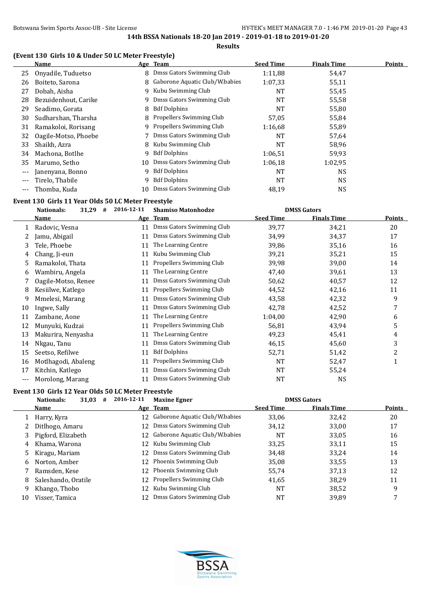**Results**

# **(Event 130 Girls 10 & Under 50 LC Meter Freestyle)**

|          | <b>Name</b>          |    | Age Team                       | <b>Seed Time</b> | <b>Finals Time</b> | <b>Points</b> |
|----------|----------------------|----|--------------------------------|------------------|--------------------|---------------|
| 25       | Onyadile, Tuduetso   | 8  | Dmss Gators Swimming Club      | 1:11,88          | 54,47              |               |
| 26       | Boiteto, Sarona      | 8  | Gaborone Aquatic Club/W.babies | 1:07,33          | 55,11              |               |
| 27       | Dobah, Aisha         | 9  | Kubu Swimming Club             | NT               | 55,45              |               |
| 28       | Bezuidenhout, Carike | q. | Dmss Gators Swimming Club      | <b>NT</b>        | 55,58              |               |
| 29       | Seadimo, Gorata      | 8  | <b>Bdf Dolphins</b>            | NT               | 55,80              |               |
| 30       | Sudharshan, Tharsha  | 8. | Propellers Swimming Club       | 57,05            | 55,84              |               |
| 31       | Ramakoloi, Rorisang  | 9. | Propellers Swimming Club       | 1:16,68          | 55,89              |               |
| 32       | Oagile-Motso, Phoebe |    | Dmss Gators Swimming Club      | <b>NT</b>        | 57,64              |               |
| 33       | Shaikh, Azra         | 8. | Kubu Swimming Club             | NT               | 58,96              |               |
| 34       | Machona, Botlhe      | q  | <b>Bdf Dolphins</b>            | 1:06.51          | 59,93              |               |
| 35       | Marumo, Setho        | 10 | Dmss Gators Swimming Club      | 1:06.18          | 1:02,95            |               |
| $---$    | Janenyana, Bonno     | g  | <b>Bdf Dolphins</b>            | NT               | NS                 |               |
| $---$    | Tirelo, Thabile      | q  | <b>Bdf Dolphins</b>            | NT               | NS.                |               |
| $\cdots$ | Thomba, Kuda         | 10 | Dmss Gators Swimming Club      | 48,19            | NS                 |               |

# **Event 130 Girls 11 Year Olds 50 LC Meter Freestyle**

|       | 2016-12-11<br><b>DMSS Gators</b><br>Nationals:<br>31,29<br><b>Shamiso Matonhodze</b><br># |    |                           |                  |                    |        |
|-------|-------------------------------------------------------------------------------------------|----|---------------------------|------------------|--------------------|--------|
|       | Name                                                                                      |    | Age Team                  | <b>Seed Time</b> | <b>Finals Time</b> | Points |
|       | Radovic, Vesna                                                                            | 11 | Dmss Gators Swimming Club | 39,77            | 34,21              | 20     |
|       | Jamu, Abigail                                                                             | 11 | Dmss Gators Swimming Club | 34,99            | 34,37              | 17     |
| 3     | Tele, Phoebe                                                                              | 11 | The Learning Centre       | 39,86            | 35,16              | 16     |
| 4     | Chang, Ji-eun                                                                             | 11 | Kubu Swimming Club        | 39,21            | 35,21              | 15     |
| 5     | Ramakoloi, Thata                                                                          | 11 | Propellers Swimming Club  | 39,98            | 39,00              | 14     |
| 6     | Wambiru, Angela                                                                           | 11 | The Learning Centre       | 47,40            | 39,61              | 13     |
|       | Oagile-Motso, Renee                                                                       | 11 | Dmss Gators Swimming Club | 50,62            | 40,57              | 12     |
| 8     | Kesiilwe, Katlego                                                                         | 11 | Propellers Swimming Club  | 44,52            | 42,16              | 11     |
| 9     | Mmelesi, Marang                                                                           | 11 | Dmss Gators Swimming Club | 43,58            | 42,32              | 9      |
| 10    | Ingwe, Sally                                                                              | 11 | Dmss Gators Swimming Club | 42,78            | 42,52              | 7      |
| 11    | Zambane, Aone                                                                             | 11 | The Learning Centre       | 1:04,00          | 42,90              | 6      |
| 12    | Munyuki, Kudzai                                                                           | 11 | Propellers Swimming Club  | 56,81            | 43,94              | 5      |
| 13    | Makurira, Nenyasha                                                                        | 11 | The Learning Centre       | 49,23            | 45,41              | 4      |
| 14    | Nkgau, Tanu                                                                               | 11 | Dmss Gators Swimming Club | 46,15            | 45,60              | 3      |
| 15    | Seetso, Refilwe                                                                           | 11 | <b>Bdf Dolphins</b>       | 52,71            | 51,42              | 2      |
| 16    | Motlhagodi, Abaleng                                                                       | 11 | Propellers Swimming Club  | NT               | 52,47              |        |
| 17    | Kitchin, Katlego                                                                          | 11 | Dmss Gators Swimming Club | <b>NT</b>        | 55,24              |        |
| $---$ | Morolong, Marang                                                                          | 11 | Dmss Gators Swimming Club | NT               | <b>NS</b>          |        |

#### **Event 130 Girls 12 Year Olds 50 LC Meter Freestyle**

| 31,03<br>Nationals:<br># | 2016-12-11 | <b>Maxine Egner</b>       |                                                                                                                                                                           |                    |                    |
|--------------------------|------------|---------------------------|---------------------------------------------------------------------------------------------------------------------------------------------------------------------------|--------------------|--------------------|
| Name                     |            |                           | <b>Seed Time</b>                                                                                                                                                          | <b>Finals Time</b> | Points             |
| Harry, Kyra<br>1         |            |                           | 33,06                                                                                                                                                                     | 32,42              | 20                 |
| Ditlhogo, Amaru          |            | Dmss Gators Swimming Club | 34,12                                                                                                                                                                     | 33,00              | 17                 |
| Pigford, Elizabeth       |            |                           | NT                                                                                                                                                                        | 33,05              | 16                 |
| Khama, Warona<br>4       |            | Kubu Swimming Club        | 33,25                                                                                                                                                                     | 33,11              | 15                 |
| 5 Kiragu, Mariam         | 12.        | Dmss Gators Swimming Club | 34,48                                                                                                                                                                     | 33,24              | 14                 |
| Norton, Amber<br>6.      |            |                           | 35,08                                                                                                                                                                     | 33,55              | 13                 |
| Ramsden, Kese            |            |                           | 55,74                                                                                                                                                                     | 37,13              | 12                 |
| Saleshando, Oratile      |            | Propellers Swimming Club  | 41,65                                                                                                                                                                     | 38,29              | 11                 |
| Khango, Thobo            |            | Kubu Swimming Club        | NT                                                                                                                                                                        | 38,52              | 9                  |
| Visser, Tamica           |            | Dmss Gators Swimming Club | NT                                                                                                                                                                        | 39.89              |                    |
|                          |            |                           | Age Team<br>12 Gaborone Aquatic Club/W.babies<br>12<br>12 Gaborone Aquatic Club/W.babies<br>12<br>12 Phoenix Swimming Club<br>12 Phoenix Swimming Club<br>12<br>12<br>12. |                    | <b>DMSS Gators</b> |

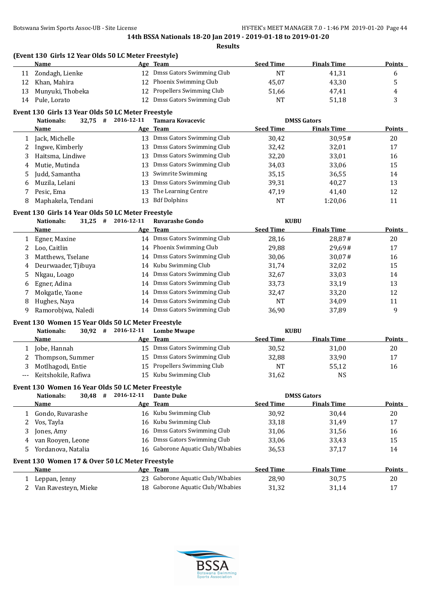**(Event 130 Girls 12 Year Olds 50 LC Meter Freestyle)**

|        | <b>Name</b>                                        |                      | Age Team                                                            | <b>Seed Time</b> | <b>Finals Time</b>                       | <b>Points</b> |
|--------|----------------------------------------------------|----------------------|---------------------------------------------------------------------|------------------|------------------------------------------|---------------|
| 11     | Zondagh, Lienke                                    |                      | 12 Dmss Gators Swimming Club                                        | <b>NT</b>        | 41,31                                    | 6             |
| 12     | Khan, Mahira                                       | 12                   | Phoenix Swimming Club                                               | 45,07            | 43,30                                    | 5             |
| 13     | Munyuki, Thobeka                                   | 12                   | Propellers Swimming Club                                            | 51,66            | 47,41                                    | 4             |
| 14     | Pule, Lorato                                       | 12                   | Dmss Gators Swimming Club                                           | <b>NT</b>        | 51,18                                    | 3             |
|        |                                                    |                      |                                                                     |                  |                                          |               |
|        | Event 130 Girls 13 Year Olds 50 LC Meter Freestyle | 2016-12-11           |                                                                     |                  |                                          |               |
|        | $32,75$ #<br>Nationals:<br>Name                    |                      | Tamara Kovacevic<br>Age Team                                        | <b>Seed Time</b> | <b>DMSS Gators</b><br><b>Finals Time</b> | <b>Points</b> |
|        |                                                    |                      | 13 Dmss Gators Swimming Club                                        |                  |                                          |               |
| 1      | Jack, Michelle                                     |                      |                                                                     | 30,42            | 30,95#                                   | 20            |
| 2      | Ingwe, Kimberly                                    |                      | 13 Dmss Gators Swimming Club                                        | 32,42            | 32,01                                    | 17            |
| 3      | Haitsma, Lindiwe                                   | 13                   | Dmss Gators Swimming Club                                           | 32,20            | 33,01                                    | 16            |
| 4      | Mutie, Mutinda                                     | 13                   | Dmss Gators Swimming Club                                           | 34,03            | 33,06                                    | 15            |
| 5      | Judd, Samantha                                     | 13                   | Swimrite Swimming                                                   | 35,15            | 36,55                                    | 14            |
| 6      | Muzila, Lelani                                     | 13                   | Dmss Gators Swimming Club                                           | 39,31            | 40,27                                    | 13            |
| 7      | Pesic, Ema                                         | 13                   | The Learning Centre                                                 | 47,19            | 41,40                                    | 12            |
| 8      | Maphakela, Tendani                                 | 13                   | <b>Bdf Dolphins</b>                                                 | <b>NT</b>        | 1:20,06                                  | 11            |
|        | Event 130 Girls 14 Year Olds 50 LC Meter Freestyle |                      |                                                                     |                  |                                          |               |
|        | $31,25$ #<br><b>Nationals:</b>                     | 2016-12-11           | <b>Ruvarashe Gondo</b>                                              | <b>KUBU</b>      |                                          |               |
|        | Name                                               |                      | Age Team                                                            | <b>Seed Time</b> | <b>Finals Time</b>                       | <b>Points</b> |
| 1      | Egner, Maxine                                      |                      | 14 Dmss Gators Swimming Club                                        | 28,16            | 28,87#                                   | 20            |
| 2      | Loo, Caitlin                                       |                      | 14 Phoenix Swimming Club                                            | 29,88            | 29,69#                                   | 17            |
| 3      | Matthews, Tselane                                  | 14                   | Dmss Gators Swimming Club                                           | 30,06            | 30,07#                                   | 16            |
| 4      | Deurwaader, Tjibuya                                | 14                   | Kubu Swimming Club                                                  | 31,74            | 32,02                                    | 15            |
| 5      | Nkgau, Loago                                       | 14                   | Dmss Gators Swimming Club                                           | 32,67            | 33,03                                    | 14            |
| 6      | Egner, Adina                                       | 14                   | Dmss Gators Swimming Club                                           | 33,73            | 33,19                                    | 13            |
| 7      | Mokgatle, Yaone                                    | 14                   | Dmss Gators Swimming Club                                           | 32,47            | 33,20                                    | 12            |
| 8      | Hughes, Naya                                       | 14                   | Dmss Gators Swimming Club                                           | <b>NT</b>        | 34,09                                    | 11            |
| 9      | Ramorobjwa, Naledi                                 |                      | 14 Dmss Gators Swimming Club                                        | 36,90            | 37,89                                    | 9             |
|        |                                                    |                      |                                                                     |                  |                                          |               |
|        | Event 130 Women 15 Year Olds 50 LC Meter Freestyle |                      |                                                                     |                  |                                          |               |
|        | Nationals:                                         | $30,92$ # 2016-12-11 | <b>Lombe Mwape</b>                                                  | <b>KUBU</b>      |                                          |               |
|        | Name                                               |                      | Age Team                                                            | <b>Seed Time</b> | <b>Finals Time</b>                       | <b>Points</b> |
| 1      | Jobe, Hannah                                       |                      | 15 Dmss Gators Swimming Club                                        | 30,52            | 31,00                                    | 20            |
| 2      | Thompson, Summer                                   | 15                   | Dmss Gators Swimming Club                                           | 32,88            | 33,90                                    | 17            |
| 3      | Motlhagodi, Entie                                  | 15                   | Propellers Swimming Club                                            | NT               | 55,12                                    | 16            |
| $---$  | Keitshokile, Rafiwa                                |                      | 15 Kubu Swimming Club                                               | 31,62            | <b>NS</b>                                |               |
|        | Event 130 Women 16 Year Olds 50 LC Meter Freestyle |                      |                                                                     |                  |                                          |               |
|        | <b>Nationals:</b><br>$30,48$ #                     | 2016-12-11           | <b>Dante Duke</b>                                                   |                  | <b>DMSS Gators</b>                       |               |
|        | <u>Name</u>                                        |                      | Age Team                                                            | <b>Seed Time</b> | <b>Finals Time</b>                       | <b>Points</b> |
| 1      | Gondo, Ruvarashe                                   |                      | 16 Kubu Swimming Club                                               | 30,92            | 30,44                                    | 20            |
| 2      | Vos, Tayla                                         | 16                   | Kubu Swimming Club                                                  | 33,18            | 31,49                                    | 17            |
| 3      | Jones, Amy                                         | 16                   | Dmss Gators Swimming Club                                           | 31,06            | 31,56                                    | 16            |
| 4      | van Rooyen, Leone                                  | 16                   | Dmss Gators Swimming Club                                           | 33,06            | 33,43                                    | 15            |
| 5      | Yordanova, Natalia                                 | 16                   | Gaborone Aquatic Club/W.babies                                      | 36,53            | 37,17                                    | 14            |
|        |                                                    |                      |                                                                     |                  |                                          |               |
|        |                                                    |                      |                                                                     |                  |                                          |               |
|        | Event 130 Women 17 & Over 50 LC Meter Freestyle    |                      |                                                                     |                  |                                          |               |
|        | <b>Name</b>                                        |                      | Age Team                                                            | <b>Seed Time</b> | <b>Finals Time</b>                       | <b>Points</b> |
| 1<br>2 | Leppan, Jenny<br>Van Ravesteyn, Mieke              | 18                   | 23 Gaborone Aquatic Club/W.babies<br>Gaborone Aquatic Club/W.babies | 28,90<br>31,32   | 30,75<br>31,14                           | 20<br>17      |

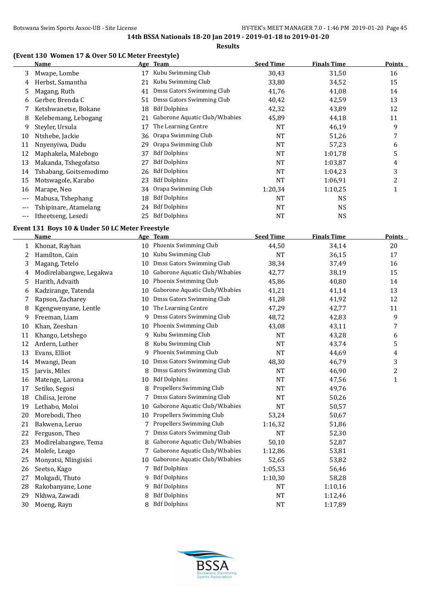**Results**

# **(Event 130 Women 17 & Over 50 LC Meter Freestyle)**

|     | <b>Name</b>            |    | Age Team                       | <b>Seed Time</b> | <b>Finals Time</b> | <b>Points</b> |
|-----|------------------------|----|--------------------------------|------------------|--------------------|---------------|
| 3   | Mwape, Lombe           | 17 | Kubu Swimming Club             | 30,43            | 31,50              | 16            |
| 4   | Herbst, Samantha       | 21 | Kubu Swimming Club             | 33,80            | 34,52              | 15            |
| 5   | Magang, Ruth           | 41 | Dmss Gators Swimming Club      | 41,76            | 41,08              | 14            |
| 6   | Gerber, Brenda C       | 51 | Dmss Gators Swimming Club      | 40,42            | 42,59              | 13            |
|     | Ketshwanetse, Bokane   | 18 | <b>Bdf Dolphins</b>            | 42,32            | 43,89              | 12            |
| 8   | Kelebemang, Lebogang   |    | Gaborone Aquatic Club/W.babies | 45,89            | 44,18              | 11            |
| 9   | Steyler, Ursula        | 17 | The Learning Centre            | <b>NT</b>        | 46,19              | 9             |
| 10  | Ntshebe, Jackie        | 36 | Orapa Swimming Club            | <b>NT</b>        | 51,26              | 7             |
| 11  | Nnyenyiwa, Dudu        | 29 | Orapa Swimming Club            | <b>NT</b>        | 57,23              | 6             |
| 12  | Maphakela, Malebogo    | 37 | <b>Bdf Dolphins</b>            | NT               | 1:01.78            | 5             |
| 13  | Makanda, Tshegofatso   | 27 | <b>Bdf Dolphins</b>            | <b>NT</b>        | 1:03,87            | 4             |
| 14  | Tshabang, Goitsemodimo | 26 | <b>Bdf Dolphins</b>            | <b>NT</b>        | 1:04.23            | 3             |
| 15  | Motswagole, Karabo     | 23 | <b>Bdf Dolphins</b>            | <b>NT</b>        | 1:06.91            | 2             |
| 16  | Marape, Neo            | 34 | Orapa Swimming Club            | 1:20,34          | 1:10,25            |               |
| --- | Mabusa, Tshephang      | 18 | <b>Bdf Dolphins</b>            | <b>NT</b>        | <b>NS</b>          |               |
| --- | Tshipinare, Atamelang  | 24 | <b>Bdf Dolphins</b>            | NT               | <b>NS</b>          |               |
| --- | Itheetseng, Lesedi     | 25 | <b>Bdf Dolphins</b>            | <b>NT</b>        | <b>NS</b>          |               |

# **Event 131 Boys 10 & Under 50 LC Meter Freestyle**

|    | <b>Name</b>             |    | Age Team                       | <b>Seed Time</b> | <b>Finals Time</b> | <b>Points</b> |
|----|-------------------------|----|--------------------------------|------------------|--------------------|---------------|
| 1  | Khonat, Rayhan          | 10 | Phoenix Swimming Club          | 44,50            | 34,14              | 20            |
| 2  | Hamilton, Cain          | 10 | Kubu Swimming Club             | <b>NT</b>        | 36,15              | 17            |
| 3  | Magang, Tetelo          | 10 | Dmss Gators Swimming Club      | 38,34            | 37,49              | 16            |
| 4  | Modirelabangwe, Legakwa | 10 | Gaborone Aquatic Club/W.babies | 42,77            | 38,19              | 15            |
| 5  | Harith, Advaith         | 10 | Phoenix Swimming Club          | 45,86            | 40,80              | 14            |
| 6  | Kadzirange, Tatenda     | 10 | Gaborone Aquatic Club/W.babies | 41,21            | 41,14              | 13            |
| 7  | Rapson, Zacharey        | 10 | Dmss Gators Swimming Club      | 41,28            | 41,92              | 12            |
| 8  | Kgengwenyane, Lentle    | 10 | The Learning Centre            | 47,29            | 42,77              | 11            |
| 9  | Freeman, Liam           | 9  | Dmss Gators Swimming Club      | 48,72            | 42,83              | 9             |
| 10 | Khan, Zeeshan           | 10 | Phoenix Swimming Club          | 43,08            | 43,11              | 7             |
| 11 | Khango, Letshego        | 9  | Kubu Swimming Club             | <b>NT</b>        | 43,28              | 6             |
| 12 | Ardern, Luther          | 8  | Kubu Swimming Club             | NT               | 43,74              | 5             |
| 13 | Evans, Elliot           | 9  | Phoenix Swimming Club          | <b>NT</b>        | 44,69              | 4             |
| 14 | Mwangi, Dean            | 10 | Dmss Gators Swimming Club      | 48,30            | 46,79              | 3             |
| 15 | Jarvis, Miles           | 8  | Dmss Gators Swimming Club      | <b>NT</b>        | 46,90              | 2             |
| 16 | Matenge, Larona         | 10 | <b>Bdf Dolphins</b>            | <b>NT</b>        | 47,56              | $\mathbf{1}$  |
| 17 | Setiko, Segosi          | 8  | Propellers Swimming Club       | <b>NT</b>        | 49,76              |               |
| 18 | Chilisa, Jerone         | 7  | Dmss Gators Swimming Club      | NT               | 50,26              |               |
| 19 | Lethabo, Moloi          | 10 | Gaborone Aquatic Club/W.babies | <b>NT</b>        | 50,57              |               |
| 20 | Morebodi, Theo          | 10 | Propellers Swimming Club       | 53,24            | 50,67              |               |
| 21 | Bakwena, Leruo          | 7  | Propellers Swimming Club       | 1:16,32          | 51,86              |               |
| 22 | Ferguson, Theo          |    | Dmss Gators Swimming Club      | <b>NT</b>        | 52,30              |               |
| 23 | Modirelabangwe, Tema    | 8  | Gaborone Aquatic Club/W.babies | 50,10            | 52,87              |               |
| 24 | Molefe, Leago           |    | Gaborone Aquatic Club/W.babies | 1:12,86          | 53,81              |               |
| 25 | Monyatsi, Nlingisisi    | 10 | Gaborone Aquatic Club/W.babies | 52,65            | 53,82              |               |
| 26 | Seetso, Kago            | 7  | <b>Bdf Dolphins</b>            | 1:05,53          | 56,46              |               |
| 27 | Mokgadi, Thuto          | 9  | <b>Bdf Dolphins</b>            | 1:10,30          | 58,28              |               |
| 28 | Rakobanyane, Lone       | 9  | <b>Bdf Dolphins</b>            | <b>NT</b>        | 1:10,16            |               |
| 29 | Nkhwa, Zawadi           |    | <b>Bdf Dolphins</b>            | NT               | 1:12,46            |               |
| 30 | Moeng, Rayn             | 8  | <b>Bdf Dolphins</b>            | NT               | 1:17,89            |               |

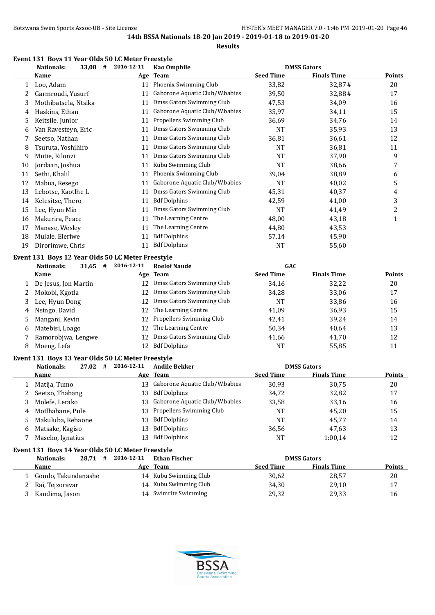# **Event 131 Boys 11 Year Olds 50 LC Meter Freestyle**<br> **Event 131 Boys 11 Year Olds 50 LC Meter Freestyle**

|    | <b>Nationals:</b><br>33,08<br># | 2016-12-11 | Kao Omphile                    |                  | <b>DMSS Gators</b> |               |
|----|---------------------------------|------------|--------------------------------|------------------|--------------------|---------------|
|    | <b>Name</b>                     |            | Age Team                       | <b>Seed Time</b> | <b>Finals Time</b> | <b>Points</b> |
|    | Loo, Adam                       | 11         | Phoenix Swimming Club          | 33,82            | 32,87#             | 20            |
|    | Garmroudi, Yusurf               | 11         | Gaborone Aquatic Club/W.babies | 39,50            | 32,88#             | 17            |
| 3  | Mothibatsela, Ntsika            | 11         | Dmss Gators Swimming Club      | 47,53            | 34,09              | 16            |
| 4  | Haskins, Ethan                  | 11         | Gaborone Aquatic Club/W.babies | 35,97            | 34,11              | 15            |
| 5  | Keitsile, Junior                | 11         | Propellers Swimming Club       | 36,69            | 34,76              | 14            |
| 6  | Van Ravesteyn, Eric             | 11         | Dmss Gators Swimming Club      | NT               | 35,93              | 13            |
|    | Seetso, Nathan                  | 11         | Dmss Gators Swimming Club      | 36,81            | 36,61              | 12            |
| 8  | Tsuruta, Yoshihiro              | 11         | Dmss Gators Swimming Club      | NT               | 36,81              | 11            |
| 9  | Mutie, Kilonzi                  | 11         | Dmss Gators Swimming Club      | <b>NT</b>        | 37,90              | 9             |
| 10 | Jordaan, Joshua                 | 11         | Kubu Swimming Club             | NT               | 38,66              | 7             |
| 11 | Sethi, Khalil                   | 11         | Phoenix Swimming Club          | 39,04            | 38,89              | 6             |
| 12 | Mabua, Resego                   | 11         | Gaborone Aquatic Club/W.babies | NT               | 40,02              | 5             |
| 13 | Lebotse, Kaotlhe L              | 11         | Dmss Gators Swimming Club      | 45,31            | 40,37              | 4             |
| 14 | Kelesitse, Thero                | 11         | <b>Bdf Dolphins</b>            | 42,59            | 41,00              | 3             |
| 15 | Lee, Hyun Min                   | 11         | Dmss Gators Swimming Club      | NT               | 41,49              | 2             |
| 16 | Makurira, Peace                 | 11         | The Learning Centre            | 48,00            | 43,18              | 1             |
| 17 | Manase, Wesley                  | 11         | The Learning Centre            | 44,80            | 43,53              |               |
| 18 | Mulale, Eleriwe                 | 11         | <b>Bdf Dolphins</b>            | 57,14            | 45,90              |               |
| 19 | Dirorimwe, Chris                | 11         | <b>Bdf Dolphins</b>            | NT               | 55,60              |               |

#### **Event 131 Boys 12 Year Olds 50 LC Meter Freestyle**

|    | <b>Nationals:</b><br>31,65<br># | 2016-12-11      | <b>Roelof Naude</b>         | <b>GAC</b>       |                    |               |
|----|---------------------------------|-----------------|-----------------------------|------------------|--------------------|---------------|
|    | Name                            |                 | Age Team                    | <b>Seed Time</b> | <b>Finals Time</b> | <b>Points</b> |
|    | De Jesus, Jon Martin            | 12              | Dmss Gators Swimming Club   | 34,16            | 32,22              | 20            |
|    | Mokobi, Kgotla                  | 12 <sup>1</sup> | Dmss Gators Swimming Club   | 34,28            | 33,06              | 17            |
|    | Lee, Hyun Dong                  | 12.             | Dmss Gators Swimming Club   | NT               | 33,86              | 16            |
| 4  | Nsingo, David                   | 12 <sup>1</sup> | The Learning Centre         | 41,09            | 36,93              | 15            |
| 5  | Mangani, Kevin                  |                 | 12 Propellers Swimming Club | 42,41            | 39,24              | 14            |
| b. | Matebisi, Loago                 | 12 <sup>1</sup> | The Learning Centre         | 50,34            | 40.64              | 13            |
|    | Ramorobjwa, Lengwe              | 12              | Dmss Gators Swimming Club   | 41,66            | 41,70              | 12            |
| 8  | Moeng, Lefa                     | 12              | <b>Bdf Dolphins</b>         | NT               | 55,85              | 11            |

# **Event 131 Boys 13 Year Olds 50 LC Meter Freestyle**

| <b>Nationals:</b><br>27,02<br># | 2016-12-11                                                     | <b>Andile Bekker</b> |                                                                                                                                           |                    |                    |
|---------------------------------|----------------------------------------------------------------|----------------------|-------------------------------------------------------------------------------------------------------------------------------------------|--------------------|--------------------|
| Name                            |                                                                |                      | <b>Seed Time</b>                                                                                                                          | <b>Finals Time</b> | <b>Points</b>      |
| Matija, Tumo                    |                                                                |                      | 30,93                                                                                                                                     | 30,75              | 20                 |
|                                 |                                                                | <b>Bdf Dolphins</b>  | 34,72                                                                                                                                     | 32,82              | 17                 |
| Molefe, Lerako                  |                                                                |                      | 33,58                                                                                                                                     | 33,16              | 16                 |
|                                 |                                                                |                      | <b>NT</b>                                                                                                                                 | 45.20              | 15                 |
|                                 |                                                                | <b>Bdf Dolphins</b>  | <b>NT</b>                                                                                                                                 | 45.77              | 14                 |
| Matsake, Kagiso                 |                                                                | <b>Bdf Dolphins</b>  | 36,56                                                                                                                                     | 47,63              | 13                 |
| Maseko, Ignatius                | 13.                                                            | <b>Bdf Dolphins</b>  | <b>NT</b>                                                                                                                                 | 1:00.14            | 12                 |
|                                 | 2 Seetso, Thabang<br>4 Motlhabane, Pule<br>5 Makuluba, Rebaone |                      | Age Team<br>Gaborone Aquatic Club/W.babies<br>13.<br>13.<br>13 Gaborone Aquatic Club/W.babies<br>13 Propellers Swimming Club<br>13.<br>13 |                    | <b>DMSS Gators</b> |

#### **Event 131 Boys 14 Year Olds 50 LC Meter Freestyle**

| 28.71#<br>Nationals: | 2016-12-11 | Ethan Fischer         |                  | <b>DMSS Gators</b> |               |
|----------------------|------------|-----------------------|------------------|--------------------|---------------|
| Name                 |            | Age Team              | <b>Seed Time</b> | <b>Finals Time</b> | <b>Points</b> |
| Gondo, Takundanashe  |            | 14 Kubu Swimming Club | 30,62            | 28,57              | 20            |
| 2 Rai, Tejzoravar    |            | 14 Kubu Swimming Club | 34,30            | 29.10              | 17            |
| Kandima, Jason       |            | 14 Swimrite Swimming  | 29,32            | 29,33              | 16            |

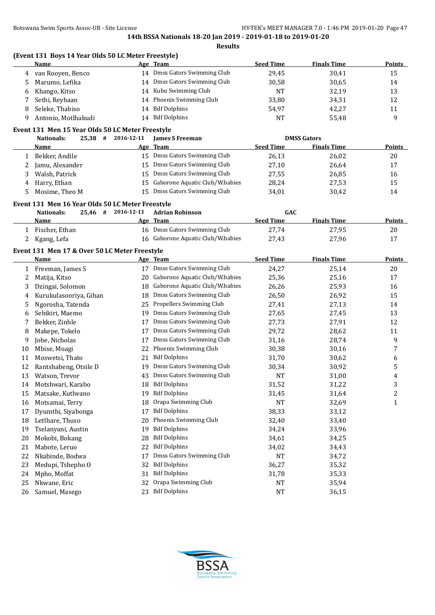**(Event 131 Boys 14 Year Olds 50 LC Meter Freestyle)**

|    | <b>Name</b>                                      |            | Age Team                          | <b>Seed Time</b> | <b>Finals Time</b> | <b>Points</b> |
|----|--------------------------------------------------|------------|-----------------------------------|------------------|--------------------|---------------|
| 4  | van Rooyen, Benco                                |            | 14 Dmss Gators Swimming Club      | 29,45            | 30,41              | 15            |
| 5  | Marumo, Lefika                                   |            | 14 Dmss Gators Swimming Club      | 30,58            | 30,65              | 14            |
| 6  | Khango, Kitso                                    |            | 14 Kubu Swimming Club             | <b>NT</b>        | 32,19              | 13            |
| 7  | Sethi, Reyhaan                                   | 14         | Phoenix Swimming Club             | 33,80            | 34,31              | 12            |
| 8  | Seleke, Thabiso                                  | 14         | <b>Bdf Dolphins</b>               | 54,97            | 42,27              | 11            |
| 9  | Antonio, Motlhakudi                              |            | 14 Bdf Dolphins                   | <b>NT</b>        | 55,48              | 9             |
|    | Event 131 Men 15 Year Olds 50 LC Meter Freestyle |            |                                   |                  |                    |               |
|    | $25,38$ #<br><b>Nationals:</b>                   | 2016-12-11 | <b>James S Freeman</b>            |                  | <b>DMSS Gators</b> |               |
|    | Name                                             |            | Age Team                          | <b>Seed Time</b> | <b>Finals Time</b> | <b>Points</b> |
|    | Bekker, Andile                                   |            | 15 Dmss Gators Swimming Club      | 26,13            | 26,02              | 20            |
| 1  |                                                  |            | 15 Dmss Gators Swimming Club      |                  |                    | 17            |
| 2  | Jamu, Alexander                                  |            |                                   | 27,10            | 26,64              |               |
| 3  | Walsh, Patrick                                   |            | 15 Dmss Gators Swimming Club      | 27,55            | 26,85              | 16            |
| 4  | Harry, Ethan                                     |            | 15 Gaborone Aquatic Club/W.babies | 28,24            | 27,53              | 15            |
| 5  | Mosime, Theo M                                   |            | 15 Dmss Gators Swimming Club      | 34,01            | 30,42              | 14            |
|    | Event 131 Men 16 Year Olds 50 LC Meter Freestyle |            |                                   |                  |                    |               |
|    | <b>Nationals:</b><br>$25,46$ #                   | 2016-12-11 | <b>Adrian Robinson</b>            | GAC              |                    |               |
|    | Name                                             |            | Age Team                          | <b>Seed Time</b> | <b>Finals Time</b> | <b>Points</b> |
|    | 1 Fischer, Ethan                                 |            | 16 Dmss Gators Swimming Club      | 27,74            | 27,95              | 20            |
| 2  | Kgang, Lefa                                      |            | 16 Gaborone Aquatic Club/W.babies | 27,43            | 27,96              | 17            |
|    | Event 131 Men 17 & Over 50 LC Meter Freestyle    |            |                                   |                  |                    |               |
|    | Name                                             |            | Age Team                          | <b>Seed Time</b> | <b>Finals Time</b> | <b>Points</b> |
| 1  | Freeman, James S                                 |            | 17 Dmss Gators Swimming Club      | 24,27            | 25,14              | 20            |
| 2  | Matija, Kitso                                    | 20         | Gaborone Aquatic Club/W.babies    | 25,36            | 25,16              | 17            |
| 3  | Dzingai, Solomon                                 | 18         | Gaborone Aquatic Club/W.babies    | 26,26            | 25,93              | 16            |
| 4  | Kurukulasooriya, Gihan                           | 18         | Dmss Gators Swimming Club         | 26,50            | 26,92              | 15            |
| 5  | Ngorosha, Tatenda                                | 25         | Propellers Swimming Club          | 27,41            | 27,13              | 14            |
|    | Sebikiri, Maemo                                  | 19         | Dmss Gators Swimming Club         | 27,65            | 27,45              | 13            |
| 6  |                                                  |            | Dmss Gators Swimming Club         |                  |                    |               |
| 7  | Bekker, Zinhle                                   | 17         | Dmss Gators Swimming Club         | 27,73            | 27,91              | 12            |
| 8  | Makepe, Tokelo                                   | 17         | Dmss Gators Swimming Club         | 29,72            | 28,62              | 11            |
| 9  | Jobe, Nicholas                                   | 17         |                                   | 31,16            | 28,74              | 9             |
| 10 | Mbise, Moagi                                     | 22         | Phoenix Swimming Club             | 30,38            | 30,16              | 7             |
| 11 | Moswetsi, Thato                                  | 21         | <b>Bdf Dolphins</b>               | 31,70            | 30,62              | 6             |
| 12 | Rantshabeng, Otsile D                            | 19         | Dmss Gators Swimming Club         | 30,34            | 30,92              | 5             |
| 13 | Watson, Trevor                                   | 43         | Dmss Gators Swimming Club         | <b>NT</b>        | 31,00              | 4             |
| 14 | Motshwari, Karabo                                |            | 18 Bdf Dolphins                   | 31,52            | 31,22              | 3             |
| 15 | Matsake, Kutlwano                                | 19         | <b>Bdf Dolphins</b>               | 31,45            | 31,64              | 2             |
| 16 | Motsamai, Terry                                  | 18         | Orapa Swimming Club               | NT               | 32,69              | $\mathbf{1}$  |
| 17 | Dyumthi, Siyabonga                               | 17         | <b>Bdf Dolphins</b>               | 38,33            | 33,12              |               |
| 18 | Letlhare, Thuso                                  | 20         | Phoenix Swimming Club             | 32,40            | 33,40              |               |
| 19 | Tselanyani, Austin                               | 19         | <b>Bdf Dolphins</b>               | 34,24            | 33,96              |               |
| 20 | Mokobi, Bokang                                   | 28         | <b>Bdf Dolphins</b>               | 34,61            | 34,25              |               |
| 21 | Mabote, Leruo                                    | 22         | <b>Bdf Dolphins</b>               | 34,02            | 34,43              |               |
| 22 | Nkabinde, Bodwa                                  | 17         | Dmss Gators Swimming Club         | NT               | 34,72              |               |
| 23 | Medupi, Tshepho O                                | 32         | <b>Bdf Dolphins</b>               | 36,27            | 35,32              |               |
| 24 | Mpho, Moffat                                     | 31         | <b>Bdf Dolphins</b>               | 31,78            | 35,33              |               |
| 25 | Nkwane, Eric                                     | 32         | Orapa Swimming Club               | NT               | 35,94              |               |
| 26 | Samuel, Masego                                   | 23         | <b>Bdf Dolphins</b>               | <b>NT</b>        | 36,15              |               |

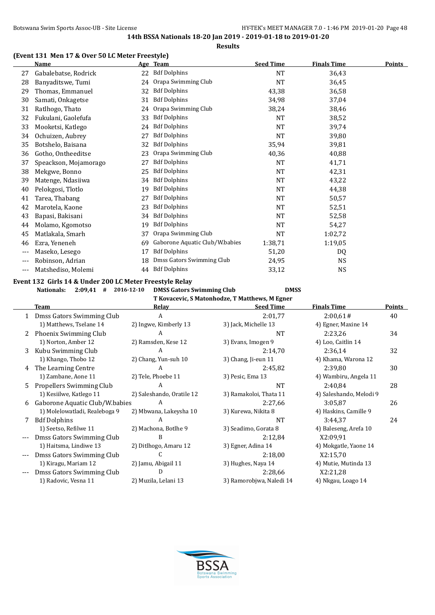# **(Event 131 Men 17 & Over 50 LC Meter Freestyle)**

|     | Name                  |    | Age Team                       | <b>Seed Time</b> | <b>Finals Time</b> | <b>Points</b> |
|-----|-----------------------|----|--------------------------------|------------------|--------------------|---------------|
| 27  | Gabalebatse, Rodrick  | 22 | <b>Bdf Dolphins</b>            | NT               | 36,43              |               |
| 28  | Banyaditswe, Tumi     | 24 | Orapa Swimming Club            | <b>NT</b>        | 36,45              |               |
| 29  | Thomas, Emmanuel      | 32 | <b>Bdf Dolphins</b>            | 43,38            | 36,58              |               |
| 30  | Samati, Onkagetse     | 31 | <b>Bdf Dolphins</b>            | 34,98            | 37,04              |               |
| 31  | Ratlhogo, Thato       | 24 | Orapa Swimming Club            | 38,24            | 38,46              |               |
| 32  | Fukulani, Gaolefufa   | 33 | <b>Bdf Dolphins</b>            | <b>NT</b>        | 38,52              |               |
| 33  | Mooketsi, Katlego     | 24 | <b>Bdf Dolphins</b>            | <b>NT</b>        | 39,74              |               |
| 34  | Ochuizen, Aubrey      | 27 | <b>Bdf Dolphins</b>            | NT               | 39,80              |               |
| 35  | Botshelo, Baisana     | 32 | <b>Bdf Dolphins</b>            | 35,94            | 39,81              |               |
| 36  | Gotho, Ontheeditse    | 23 | Orapa Swimming Club            | 40,36            | 40,88              |               |
| 37  | Speackson, Mojamorago | 27 | <b>Bdf Dolphins</b>            | NT               | 41,71              |               |
| 38  | Mekgwe, Bonno         | 25 | <b>Bdf Dolphins</b>            | NT               | 42,31              |               |
| 39  | Matenge, Ndasiiwa     | 34 | <b>Bdf Dolphins</b>            | NT               | 43,22              |               |
| 40  | Pelokgosi, Tlotlo     | 19 | <b>Bdf Dolphins</b>            | NT               | 44,38              |               |
| 41  | Tarea, Thabang        | 27 | <b>Bdf Dolphins</b>            | NT               | 50,57              |               |
| 42  | Marotela, Kaone       | 23 | <b>Bdf Dolphins</b>            | NT               | 52,51              |               |
| 43  | Bapasi, Bakisani      | 34 | <b>Bdf Dolphins</b>            | NT               | 52,58              |               |
| 44  | Molamo, Kgomotso      | 19 | <b>Bdf Dolphins</b>            | NT               | 54,27              |               |
| 45  | Matlakala, Smarh      | 37 | Orapa Swimming Club            | NT               | 1:02,72            |               |
| 46  | Ezra, Yeneneh         | 69 | Gaborone Aquatic Club/W.babies | 1:38,71          | 1:19,05            |               |
| --- | Maseko, Lesego        | 17 | <b>Bdf Dolphins</b>            | 51,20            | DQ                 |               |
|     | Robinson, Adrian      | 18 | Dmss Gators Swimming Club      | 24,95            | <b>NS</b>          |               |
| --- | Matshediso, Molemi    | 44 | <b>Bdf Dolphins</b>            | 33,12            | <b>NS</b>          |               |

# **Event 132 Girls 14 & Under 200 LC Meter Freestyle Relay**

**Nationals: 2:09,41 # 2016-12-10 DMSS Gators Swimming Club DMSS**

**T Kovacevic, S Matonhodze, T Matthews, M Egner**

|    | <b>Team</b>                    | Relay                     | <b>Seed Time</b>         | <b>Finals Time</b>      | Points |
|----|--------------------------------|---------------------------|--------------------------|-------------------------|--------|
|    | 1 Dmss Gators Swimming Club    | A                         | 2:01,77                  | 2:00,61#                | 40     |
|    | 1) Matthews, Tselane 14        | 2) Ingwe, Kimberly 13     | 3) Jack, Michelle 13     | 4) Egner, Maxine 14     |        |
| 2  | Phoenix Swimming Club          | A                         | NT                       | 2:23,26                 | 34     |
|    | 1) Norton, Amber 12            | 2) Ramsden, Kese 12       | 3) Evans, Imogen 9       | 4) Loo, Caitlin 14      |        |
| 3  | Kubu Swimming Club             | A                         | 2:14,70                  | 2:36,14                 | 32     |
|    | 1) Khango, Thobo 12            | 2) Chang, Yun-suh 10      | 3) Chang, Ji-eun 11      | 4) Khama, Warona 12     |        |
| 4  | The Learning Centre            | A                         | 2:45,82                  | 2:39,80                 | 30     |
|    | 1) Zambane, Aone 11            | 2) Tele, Phoebe 11        | 3) Pesic, Ema 13         | 4) Wambiru, Angela 11   |        |
| 5. | Propellers Swimming Club       | A                         | <b>NT</b>                | 2:40,84                 | 28     |
|    | 1) Kesiilwe, Katlego 11        | 2) Saleshando, Oratile 12 | 3) Ramakoloi, Thata 11   | 4) Saleshando, Melodi 9 |        |
| 6  | Gaborone Aquatic Club/W.babies | A                         | 2:27,66                  | 3:05,87                 | 26     |
|    | 1) Molelowatladi, Realeboga 9  | 2) Mbwana, Lakeysha 10    | 3) Kurewa, Nikita 8      | 4) Haskins, Camille 9   |        |
|    | <b>Bdf Dolphins</b>            | A                         | NT                       | 3:44,37                 | 24     |
|    | 1) Seetso, Refilwe 11          | 2) Machona, Botlhe 9      | 3) Seadimo, Gorata 8     | 4) Baleseng, Arefa 10   |        |
|    | Dmss Gators Swimming Club      | B                         | 2:12,84                  | X2:09,91                |        |
|    | 1) Haitsma, Lindiwe 13         | 2) Ditlhogo, Amaru 12     | 3) Egner, Adina 14       | 4) Mokgatle, Yaone 14   |        |
|    | Dmss Gators Swimming Club      |                           | 2:18,00                  | X2:15,70                |        |
|    | 1) Kiragu, Mariam 12           | 2) Jamu, Abigail 11       | 3) Hughes, Naya 14       | 4) Mutie, Mutinda 13    |        |
|    | Dmss Gators Swimming Club      | D                         | 2:28,66                  | X2:21,28                |        |
|    | 1) Radovic, Vesna 11           | 2) Muzila, Lelani 13      | 3) Ramorobjwa, Naledi 14 | 4) Nkgau, Loago 14      |        |

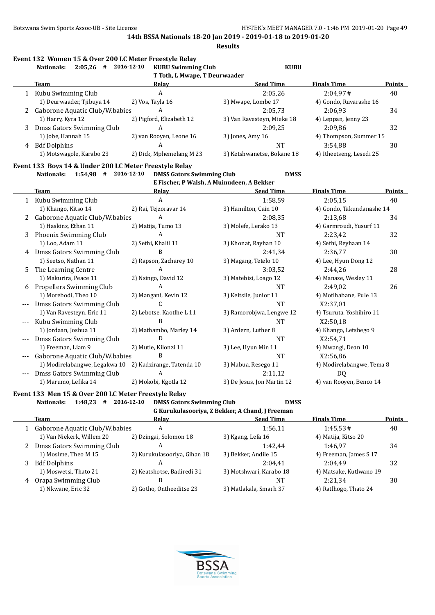**Results**

|  |  |  |  | Event 132  Women 15 & Over 200 LC Meter Freestyle Relay |
|--|--|--|--|---------------------------------------------------------|
|--|--|--|--|---------------------------------------------------------|

|        | 2:05,26<br>Nationals:<br>#     | 2016-12-10<br><b>KUBU Swimming Club</b> | <b>KUBU</b>                |                          |               |
|--------|--------------------------------|-----------------------------------------|----------------------------|--------------------------|---------------|
|        |                                | T Toth, L Mwape, T Deurwaader           |                            |                          |               |
|        | <b>Team</b>                    | Relay                                   | <b>Seed Time</b>           | <b>Finals Time</b>       | <b>Points</b> |
|        | Kubu Swimming Club             | A                                       | 2:05.26                    | 2:04.97#                 | 40            |
|        | 1) Deurwaader, Tjibuya 14      | 2) Vos, Tayla 16                        | 3) Mwape, Lombe 17         | 4) Gondo, Ruvarashe 16   |               |
| $^{2}$ | Gaborone Aquatic Club/W.babies | A                                       | 2:05.73                    | 2:06.93                  | 34            |
|        | 1) Harry, Kyra 12              | 2) Pigford, Elizabeth 12                | 3) Van Ravesteyn, Mieke 18 | 4) Leppan, Jenny 23      |               |
| 3      | Dmss Gators Swimming Club      | A                                       | 2:09.25                    | 2:09.86                  | 32            |
|        | 1) Jobe, Hannah 15             | 2) van Rooyen, Leone 16                 | 3) Jones, Amy 16           | 4) Thompson, Summer 15   |               |
| 4      | <b>Bdf Dolphins</b>            | A                                       | <b>NT</b>                  | 3:54.88                  | 30            |
|        | 1) Motswagole, Karabo 23       | 2) Dick, Mphemelang M 23                | 3) Ketshwanetse, Bokane 18 | 4) Itheetseng, Lesedi 25 |               |

#### **Event 133 Boys 14 & Under 200 LC Meter Freestyle Relay**

**Nationals: 1:54,98 # 2016-12-10 DMSS Gators Swimming Club DMSS E Fischer, P Walsh, A Muinudeen, A Bekker**

|     | Team                           | <b>Relay</b>              | <b>Seed Time</b>           | <b>Finals Time</b>        | <b>Points</b> |
|-----|--------------------------------|---------------------------|----------------------------|---------------------------|---------------|
|     | 1 Kubu Swimming Club           | A                         | 1:58,59                    | 2:05,15                   | 40            |
|     | 1) Khango, Kitso 14            | 2) Rai, Tejzoravar 14     | 3) Hamilton, Cain 10       | 4) Gondo, Takundanashe 14 |               |
|     | Gaborone Aquatic Club/W.babies | A                         | 2:08.35                    | 2:13,68                   | 34            |
|     | 1) Haskins, Ethan 11           | 2) Matija, Tumo 13        | 3) Molefe, Lerako 13       | 4) Garmroudi, Yusurf 11   |               |
| 3   | Phoenix Swimming Club          | A                         | <b>NT</b>                  | 2:23,42                   | 32            |
|     | 1) Loo, Adam 11                | 2) Sethi, Khalil 11       | 3) Khonat, Rayhan 10       | 4) Sethi, Reyhaan 14      |               |
| 4   | Dmss Gators Swimming Club      | B                         | 2:41,34                    | 2:36,77                   | 30            |
|     | 1) Seetso, Nathan 11           | 2) Rapson, Zacharey 10    | 3) Magang, Tetelo 10       | 4) Lee, Hyun Dong 12      |               |
| 5.  | The Learning Centre            | A                         | 3:03,52                    | 2:44,26                   | 28            |
|     | 1) Makurira, Peace 11          | 2) Nsingo, David 12       | 3) Matebisi, Loago 12      | 4) Manase, Wesley 11      |               |
| 6   | Propellers Swimming Club       | A                         | NT                         | 2:49,02                   | 26            |
|     | 1) Morebodi, Theo 10           | 2) Mangani, Kevin 12      | 3) Keitsile, Junior 11     | 4) Motlhabane, Pule 13    |               |
|     | Dmss Gators Swimming Club      | C.                        | <b>NT</b>                  | X2:37,01                  |               |
|     | 1) Van Ravesteyn, Eric 11      | 2) Lebotse, Kaotlhe L 11  | 3) Ramorobjwa, Lengwe 12   | 4) Tsuruta, Yoshihiro 11  |               |
| --- | Kubu Swimming Club             | B                         | <b>NT</b>                  | X2:50,18                  |               |
|     | 1) Jordaan, Joshua 11          | 2) Mathambo, Marley 14    | 3) Ardern, Luther 8        | 4) Khango, Letshego 9     |               |
|     | Dmss Gators Swimming Club      | D                         | <b>NT</b>                  | X2:54,71                  |               |
|     | 1) Freeman, Liam 9             | 2) Mutie, Kilonzi 11      | 3) Lee, Hyun Min 11        | 4) Mwangi, Dean 10        |               |
|     | Gaborone Aquatic Club/W.babies | B                         | <b>NT</b>                  | X2:56,86                  |               |
|     | 1) Modirelabangwe, Legakwa 10  | 2) Kadzirange, Tatenda 10 | 3) Mabua, Resego 11        | 4) Modirelabangwe, Tema 8 |               |
| --- | Dmss Gators Swimming Club      | A                         | 2:11,12                    | DQ.                       |               |
|     | 1) Marumo, Lefika 14           | 2) Mokobi, Kgotla 12      | 3) De Jesus, Jon Martin 12 | 4) van Rooyen, Benco 14   |               |

#### **Event 133 Men 15 & Over 200 LC Meter Freestyle Relay**

**Nationals: 1:48,23 # 2016-12-10 DMSS Gators Swimming Club DMSS**

|  | G Kurukulasooriya, Z Bekker, A Chand, J Freeman |  |
|--|-------------------------------------------------|--|
|--|-------------------------------------------------|--|

|    | Team                             | Relav                        | <b>Seed Time</b>        | <b>Finals Time</b>      | <b>Points</b> |
|----|----------------------------------|------------------------------|-------------------------|-------------------------|---------------|
|    | 1 Gaborone Aquatic Club/W.babies | A                            | 1:56.11                 | 1:45.53#                | 40            |
|    | 1) Van Niekerk, Willem 20        | 2) Dzingai, Solomon 18       | 3) Kgang, Lefa 16       | 4) Matija, Kitso 20     |               |
| 2  | Dmss Gators Swimming Club        | А                            | 1:42.44                 | 1:46.97                 | 34            |
|    | 1) Mosime, Theo M 15             | 2) Kurukulasooriya, Gihan 18 | 3) Bekker, Andile 15    | 4) Freeman, James S 17  |               |
| 3. | <b>Bdf Dolphins</b>              | А                            | 2:04.41                 | 2:04.49                 | 32            |
|    | 1) Moswetsi, Thato 21            | 2) Keatshotse, Badiredi 31   | 3) Motshwari, Karabo 18 | 4) Matsake, Kutlwano 19 |               |
| 4  | Orapa Swimming Club              | В                            | NT                      | 2:21.34                 | 30            |
|    | 1) Nkwane, Eric 32               | 2) Gotho, Ontheeditse 23     | 3) Matlakala, Smarh 37  | 4) Ratlhogo, Thato 24   |               |
|    |                                  |                              |                         |                         |               |